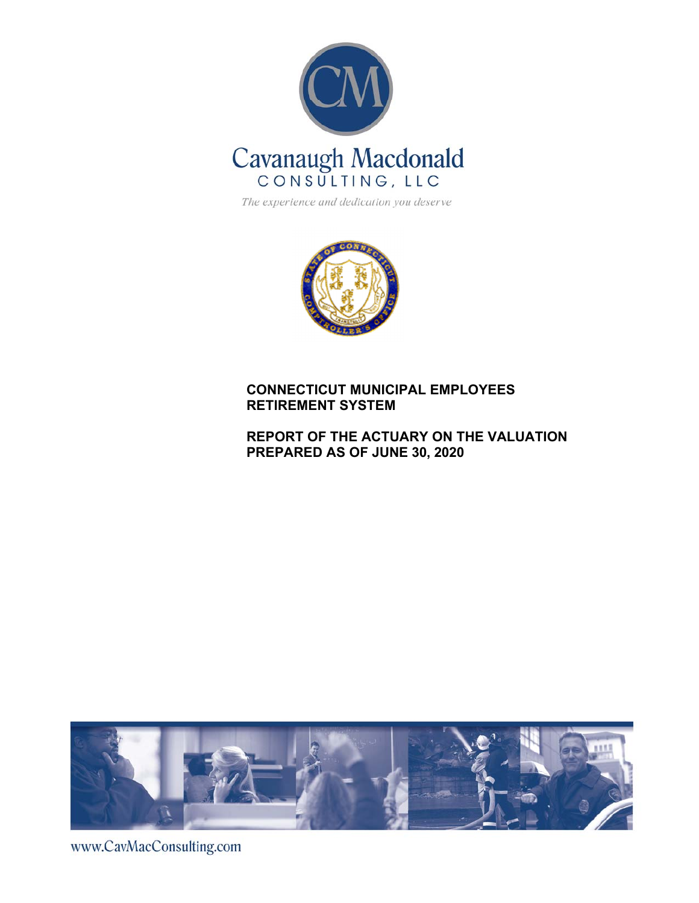

The experience and dedication you deserve



### **CONNECTICUT MUNICIPAL EMPLOYEES RETIREMENT SYSTEM**

### **REPORT OF THE ACTUARY ON THE VALUATION PREPARED AS OF JUNE 30, 2020**



www.CavMacConsulting.com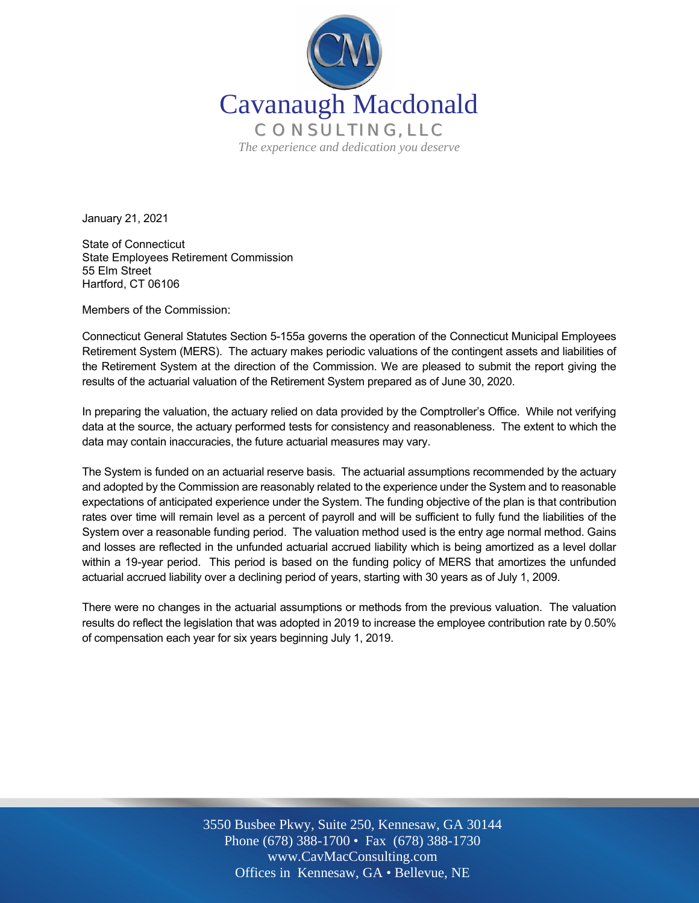

January 21, 2021

State of Connecticut State Employees Retirement Commission 55 Elm Street Hartford, CT 06106

Members of the Commission:

Connecticut General Statutes Section 5-155a governs the operation of the Connecticut Municipal Employees Retirement System (MERS). The actuary makes periodic valuations of the contingent assets and liabilities of the Retirement System at the direction of the Commission. We are pleased to submit the report giving the results of the actuarial valuation of the Retirement System prepared as of June 30, 2020.

In preparing the valuation, the actuary relied on data provided by the Comptroller's Office. While not verifying data at the source, the actuary performed tests for consistency and reasonableness. The extent to which the data may contain inaccuracies, the future actuarial measures may vary.

The System is funded on an actuarial reserve basis. The actuarial assumptions recommended by the actuary and adopted by the Commission are reasonably related to the experience under the System and to reasonable expectations of anticipated experience under the System. The funding objective of the plan is that contribution rates over time will remain level as a percent of payroll and will be sufficient to fully fund the liabilities of the System over a reasonable funding period. The valuation method used is the entry age normal method. Gains and losses are reflected in the unfunded actuarial accrued liability which is being amortized as a level dollar within a 19-year period. This period is based on the funding policy of MERS that amortizes the unfunded actuarial accrued liability over a declining period of years, starting with 30 years as of July 1, 2009.

There were no changes in the actuarial assumptions or methods from the previous valuation. The valuation results do reflect the legislation that was adopted in 2019 to increase the employee contribution rate by 0.50% of compensation each year for six years beginning July 1, 2019.

> Off Offices in Kennesaw, GA • Bellevue, NE 3550 Busbee Pkwy, Suite 250, Kennesaw, GA 30144 Phone (678) 388-1700 • Fax (678) 388-1730 www.CavMacConsulting.com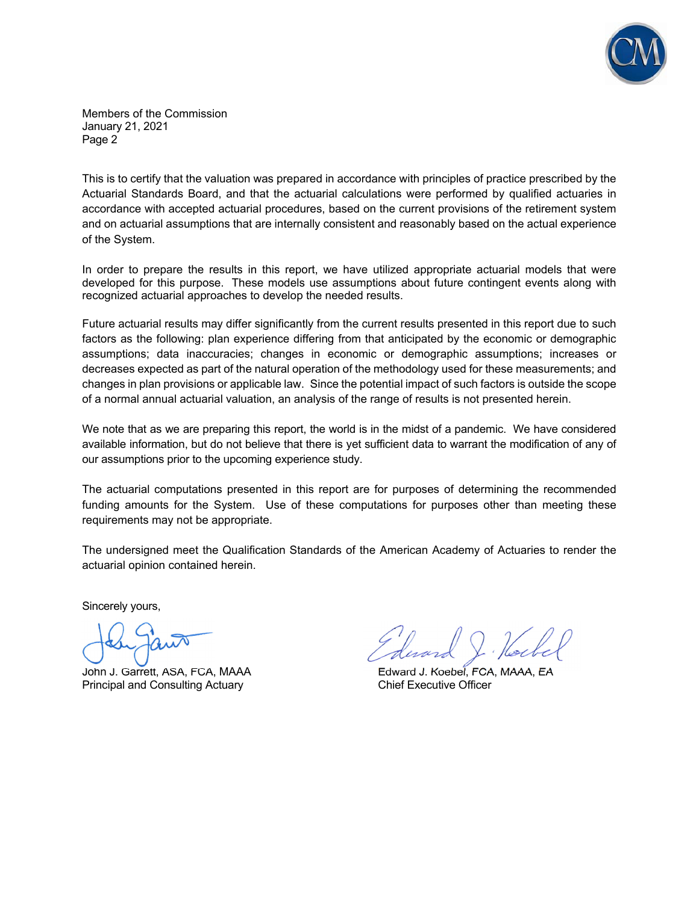

Members of the Commission January 21, 2021 Page 2

This is to certify that the valuation was prepared in accordance with principles of practice prescribed by the Actuarial Standards Board, and that the actuarial calculations were performed by qualified actuaries in accordance with accepted actuarial procedures, based on the current provisions of the retirement system and on actuarial assumptions that are internally consistent and reasonably based on the actual experience of the System.

In order to prepare the results in this report, we have utilized appropriate actuarial models that were developed for this purpose. These models use assumptions about future contingent events along with recognized actuarial approaches to develop the needed results.

Future actuarial results may differ significantly from the current results presented in this report due to such factors as the following: plan experience differing from that anticipated by the economic or demographic assumptions; data inaccuracies; changes in economic or demographic assumptions; increases or decreases expected as part of the natural operation of the methodology used for these measurements; and changes in plan provisions or applicable law. Since the potential impact of such factors is outside the scope of a normal annual actuarial valuation, an analysis of the range of results is not presented herein.

We note that as we are preparing this report, the world is in the midst of a pandemic. We have considered available information, but do not believe that there is yet sufficient data to warrant the modification of any of our assumptions prior to the upcoming experience study.

The actuarial computations presented in this report are for purposes of determining the recommended funding amounts for the System. Use of these computations for purposes other than meeting these requirements may not be appropriate.

The undersigned meet the Qualification Standards of the American Academy of Actuaries to render the actuarial opinion contained herein.

Sincerely yours,

ľ

Principal and Consulting Actuary Chief Executive Officer

John J. Garrett, ASA, FCA, MAAA **Example 20** Edward J. Koebel, FCA, MAAA, EA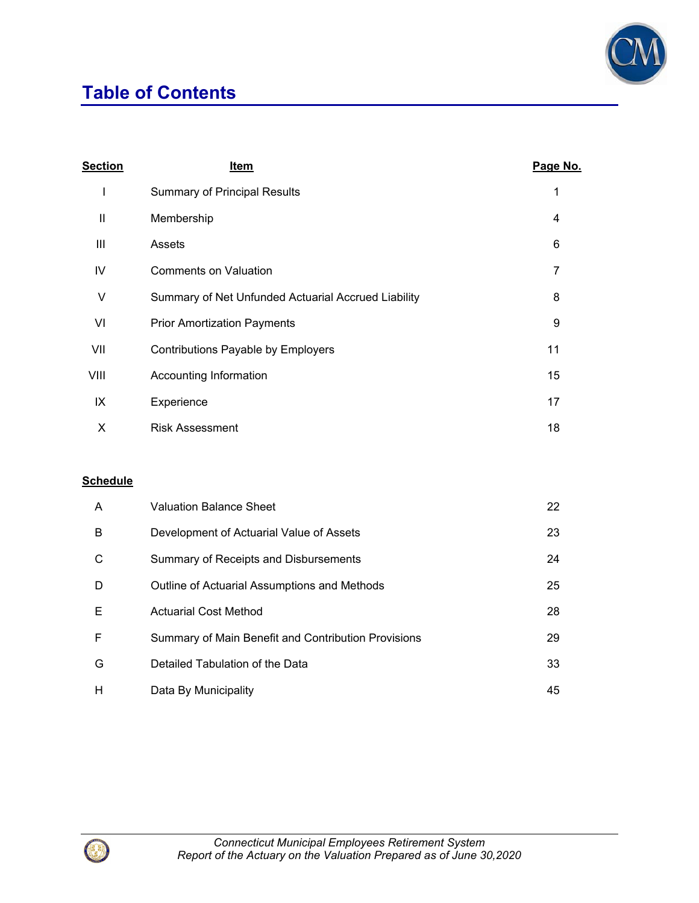# **Table of Contents**



| <b>Section</b> | Item                                                | Page No. |
|----------------|-----------------------------------------------------|----------|
| L              | <b>Summary of Principal Results</b>                 | 1        |
| Ш              | Membership                                          | 4        |
| Ш              | Assets                                              | 6        |
| IV             | Comments on Valuation                               | 7        |
| V              | Summary of Net Unfunded Actuarial Accrued Liability | 8        |
| VI             | <b>Prior Amortization Payments</b>                  | 9        |
| VII            | Contributions Payable by Employers                  | 11       |
| VIII           | Accounting Information                              | 15       |
| IX             | Experience                                          | 17       |
| X              | <b>Risk Assessment</b>                              | 18       |

### **Schedule**

| A | <b>Valuation Balance Sheet</b>                      | 22 |
|---|-----------------------------------------------------|----|
| B | Development of Actuarial Value of Assets            | 23 |
| С | Summary of Receipts and Disbursements               | 24 |
| D | Outline of Actuarial Assumptions and Methods        | 25 |
| E | <b>Actuarial Cost Method</b>                        | 28 |
| F | Summary of Main Benefit and Contribution Provisions | 29 |
| G | Detailed Tabulation of the Data                     | 33 |
| н | Data By Municipality                                | 45 |

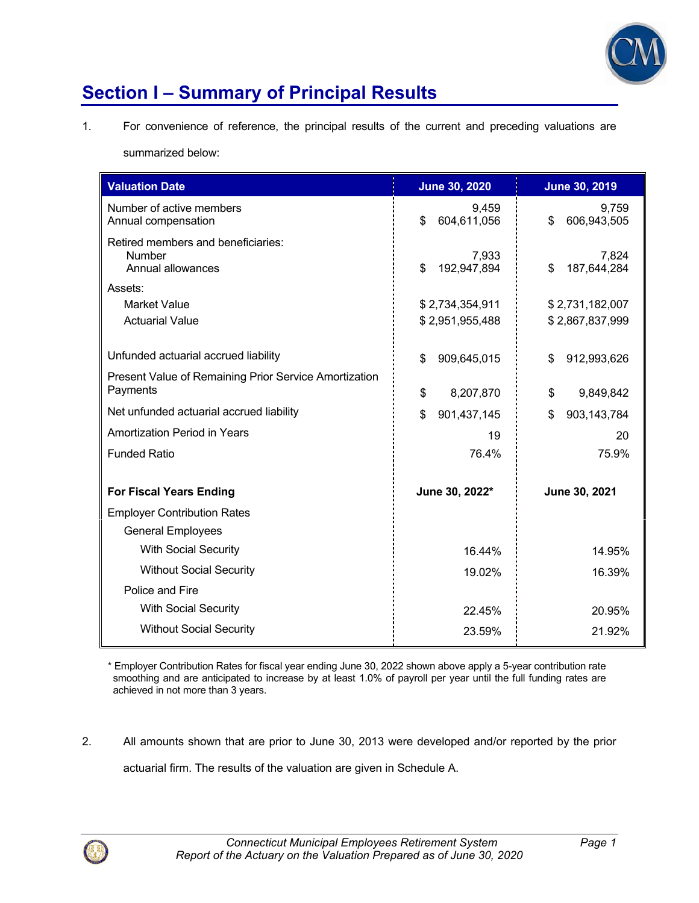

# **Section I – Summary of Principal Results**

1. For convenience of reference, the principal results of the current and preceding valuations are

summarized below:

| <b>Valuation Date</b>                                                    | <b>June 30, 2020</b>                  | <b>June 30, 2019</b>       |
|--------------------------------------------------------------------------|---------------------------------------|----------------------------|
| Number of active members<br>Annual compensation                          | 9,459<br>604,611,056<br>\$            | 9,759<br>606,943,505<br>\$ |
| Retired members and beneficiaries:<br><b>Number</b><br>Annual allowances | 7,933<br>$\mathbf{\$}$<br>192,947,894 | 7,824<br>\$<br>187,644,284 |
| Assets:                                                                  |                                       |                            |
| <b>Market Value</b>                                                      | \$2,734,354,911                       | \$2,731,182,007            |
| <b>Actuarial Value</b>                                                   | \$2,951,955,488                       | \$2,867,837,999            |
| Unfunded actuarial accrued liability                                     | \$<br>909,645,015                     | \$<br>912,993,626          |
| Present Value of Remaining Prior Service Amortization<br>Payments        | \$<br>8,207,870                       | \$<br>9,849,842            |
| Net unfunded actuarial accrued liability                                 | \$<br>901,437,145                     | 903,143,784<br>\$          |
| <b>Amortization Period in Years</b>                                      | 19                                    | 20                         |
| <b>Funded Ratio</b>                                                      | 76.4%                                 | 75.9%                      |
| <b>For Fiscal Years Ending</b>                                           | June 30, 2022*                        | June 30, 2021              |
| <b>Employer Contribution Rates</b>                                       |                                       |                            |
| <b>General Employees</b>                                                 |                                       |                            |
| <b>With Social Security</b>                                              | 16.44%                                | 14.95%                     |
| <b>Without Social Security</b>                                           | 19.02%                                | 16.39%                     |
| Police and Fire                                                          |                                       |                            |
| <b>With Social Security</b>                                              | 22.45%                                | 20.95%                     |
| <b>Without Social Security</b>                                           | 23.59%                                | 21.92%                     |

\* Employer Contribution Rates for fiscal year ending June 30, 2022 shown above apply a 5-year contribution rate smoothing and are anticipated to increase by at least 1.0% of payroll per year until the full funding rates are achieved in not more than 3 years.

2. All amounts shown that are prior to June 30, 2013 were developed and/or reported by the prior actuarial firm. The results of the valuation are given in Schedule A.

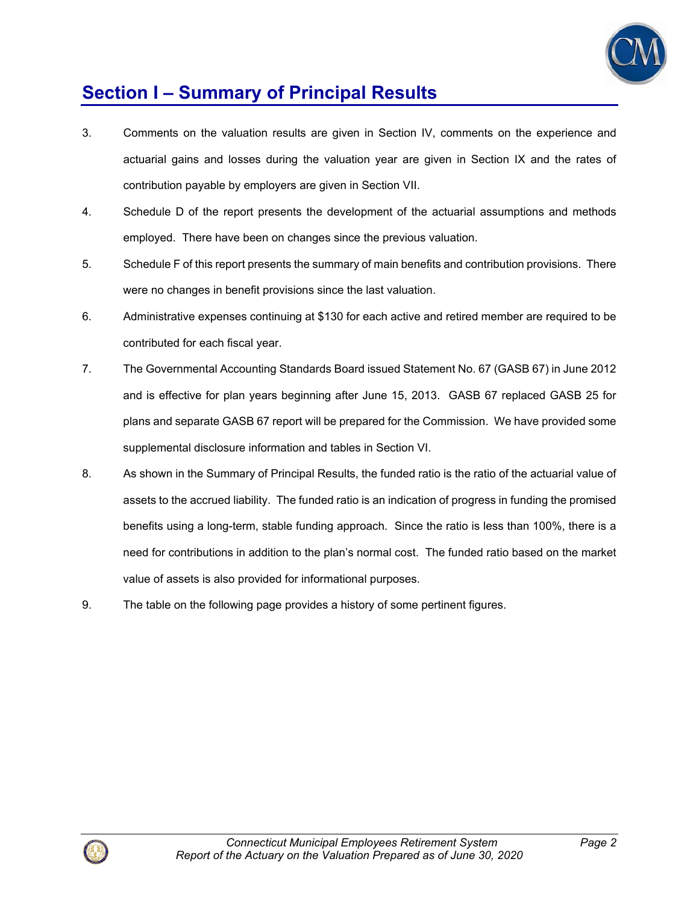

# **Section I – Summary of Principal Results**

- 3. Comments on the valuation results are given in Section IV, comments on the experience and actuarial gains and losses during the valuation year are given in Section IX and the rates of contribution payable by employers are given in Section VII.
- 4. Schedule D of the report presents the development of the actuarial assumptions and methods employed. There have been on changes since the previous valuation.
- 5. Schedule F of this report presents the summary of main benefits and contribution provisions. There were no changes in benefit provisions since the last valuation.
- 6. Administrative expenses continuing at \$130 for each active and retired member are required to be contributed for each fiscal year.
- 7. The Governmental Accounting Standards Board issued Statement No. 67 (GASB 67) in June 2012 and is effective for plan years beginning after June 15, 2013. GASB 67 replaced GASB 25 for plans and separate GASB 67 report will be prepared for the Commission. We have provided some supplemental disclosure information and tables in Section VI.
- 8. As shown in the Summary of Principal Results, the funded ratio is the ratio of the actuarial value of assets to the accrued liability. The funded ratio is an indication of progress in funding the promised benefits using a long-term, stable funding approach. Since the ratio is less than 100%, there is a need for contributions in addition to the plan's normal cost. The funded ratio based on the market value of assets is also provided for informational purposes.
- 9. The table on the following page provides a history of some pertinent figures.

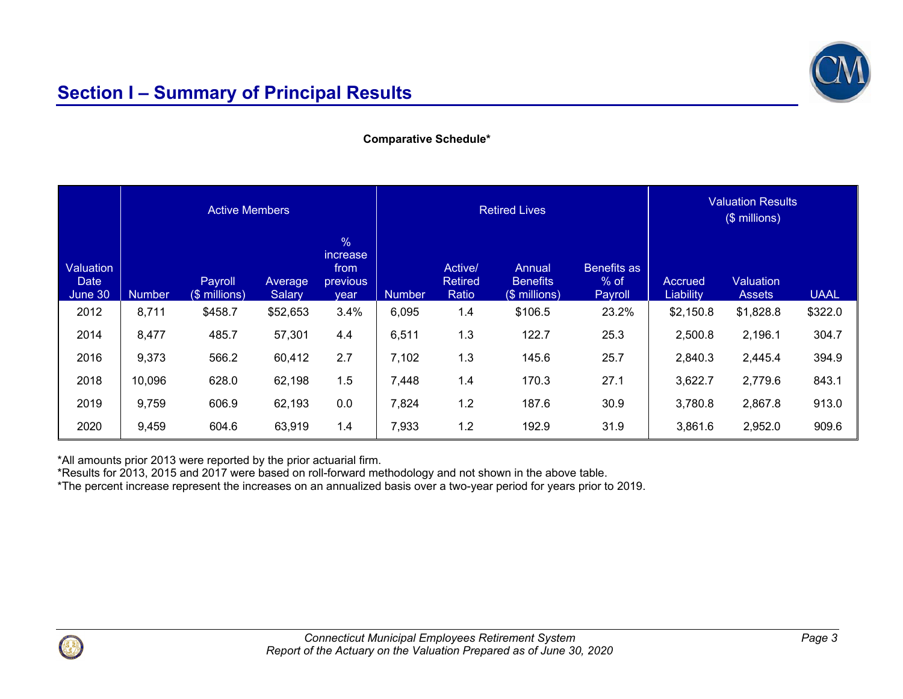

### **Comparative Schedule\***

|                                     | <b>Active Members</b> |                          |                   |                                                     | <b>Retired Lives</b> |                                    |                                            | <b>Valuation Results</b><br>(\$ millions) |                      |                                   |             |
|-------------------------------------|-----------------------|--------------------------|-------------------|-----------------------------------------------------|----------------------|------------------------------------|--------------------------------------------|-------------------------------------------|----------------------|-----------------------------------|-------------|
| Valuation<br><b>Date</b><br>June 30 | <b>Number</b>         | Payroll<br>(\$ millions) | Average<br>Salary | $\%$<br><i>increase</i><br>from<br>previous<br>year | <b>Number</b>        | Active/<br><b>Retired</b><br>Ratio | Annual<br><b>Benefits</b><br>(\$ millions) | Benefits as<br>$%$ of<br>Payroll          | Accrued<br>Liability | <b>Valuation</b><br><b>Assets</b> | <b>UAAL</b> |
| 2012                                | 8,711                 | \$458.7                  | \$52,653          | 3.4%                                                | 6,095                | 1.4                                | \$106.5                                    | 23.2%                                     | \$2,150.8            | \$1,828.8                         | \$322.0     |
| 2014                                | 8,477                 | 485.7                    | 57,301            | 4.4                                                 | 6,511                | 1.3                                | 122.7                                      | 25.3                                      | 2,500.8              | 2,196.1                           | 304.7       |
| 2016                                | 9,373                 | 566.2                    | 60,412            | 2.7                                                 | 7,102                | 1.3                                | 145.6                                      | 25.7                                      | 2,840.3              | 2,445.4                           | 394.9       |
| 2018                                | 10,096                | 628.0                    | 62,198            | 1.5                                                 | 7,448                | 1.4                                | 170.3                                      | 27.1                                      | 3,622.7              | 2,779.6                           | 843.1       |
| 2019                                | 9,759                 | 606.9                    | 62,193            | 0.0                                                 | 7,824                | 1.2                                | 187.6                                      | 30.9                                      | 3,780.8              | 2,867.8                           | 913.0       |
| 2020                                | 9,459                 | 604.6                    | 63,919            | 1.4                                                 | 7,933                | 1.2                                | 192.9                                      | 31.9                                      | 3,861.6              | 2,952.0                           | 909.6       |

\*All amounts prior 2013 were reported by the prior actuarial firm.

\*Results for 2013, 2015 and 2017 were based on roll-forward methodology and not shown in the above table.

\*The percent increase represent the increases on an annualized basis over a two-year period for years prior to 2019.

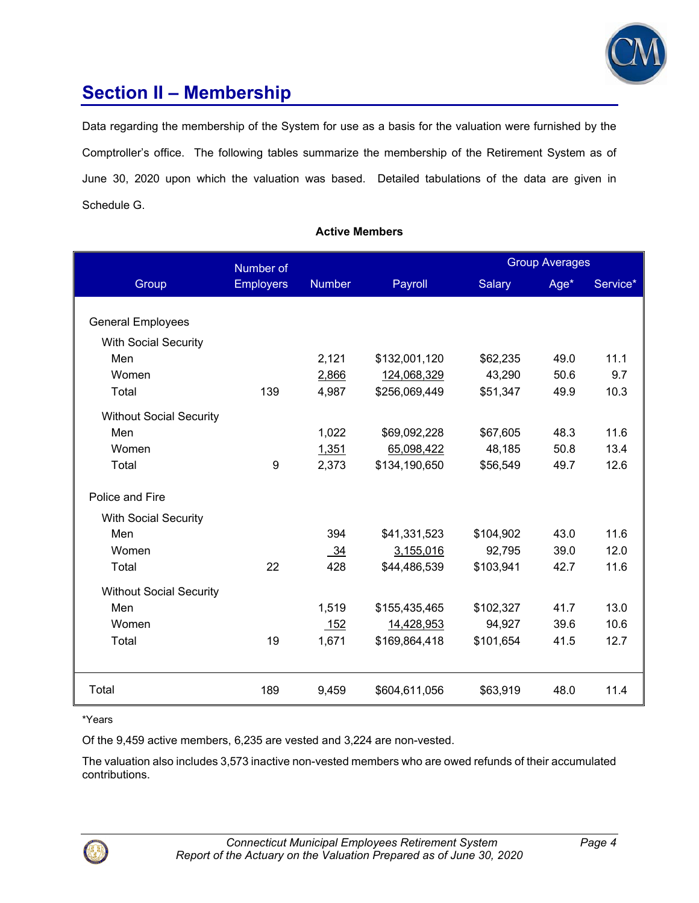

### **Section II – Membership**

Data regarding the membership of the System for use as a basis for the valuation were furnished by the Comptroller's office. The following tables summarize the membership of the Retirement System as of June 30, 2020 upon which the valuation was based. Detailed tabulations of the data are given in Schedule G.

### **Active Members**

|                                | Number of        |                |               |               | <b>Group Averages</b> |          |
|--------------------------------|------------------|----------------|---------------|---------------|-----------------------|----------|
| Group                          | <b>Employers</b> | <b>Number</b>  | Payroll       | <b>Salary</b> | Age*                  | Service* |
|                                |                  |                |               |               |                       |          |
| <b>General Employees</b>       |                  |                |               |               |                       |          |
| <b>With Social Security</b>    |                  |                |               |               |                       |          |
| Men                            |                  | 2,121          | \$132,001,120 | \$62,235      | 49.0                  | 11.1     |
| Women                          |                  | 2,866          | 124,068,329   | 43,290        | 50.6                  | 9.7      |
| Total                          | 139              | 4,987          | \$256,069,449 | \$51,347      | 49.9                  | 10.3     |
| <b>Without Social Security</b> |                  |                |               |               |                       |          |
| Men                            |                  | 1,022          | \$69,092,228  | \$67,605      | 48.3                  | 11.6     |
| Women                          |                  | 1,351          | 65,098,422    | 48,185        | 50.8                  | 13.4     |
| Total                          | $\boldsymbol{9}$ | 2,373          | \$134,190,650 | \$56,549      | 49.7                  | 12.6     |
| Police and Fire                |                  |                |               |               |                       |          |
| <b>With Social Security</b>    |                  |                |               |               |                       |          |
| Men                            |                  | 394            | \$41,331,523  | \$104,902     | 43.0                  | 11.6     |
| Women                          |                  | $\frac{34}{2}$ | 3,155,016     | 92,795        | 39.0                  | 12.0     |
| Total                          | 22               | 428            | \$44,486,539  | \$103,941     | 42.7                  | 11.6     |
| <b>Without Social Security</b> |                  |                |               |               |                       |          |
| Men                            |                  | 1,519          | \$155,435,465 | \$102,327     | 41.7                  | 13.0     |
| Women                          |                  | 152            | 14,428,953    | 94,927        | 39.6                  | 10.6     |
| Total                          | 19               | 1,671          | \$169,864,418 | \$101,654     | 41.5                  | 12.7     |
|                                |                  |                |               |               |                       |          |
| Total                          | 189              | 9,459          | \$604,611,056 | \$63,919      | 48.0                  | 11.4     |

\*Years

Of the 9,459 active members, 6,235 are vested and 3,224 are non-vested.

The valuation also includes 3,573 inactive non-vested members who are owed refunds of their accumulated contributions.

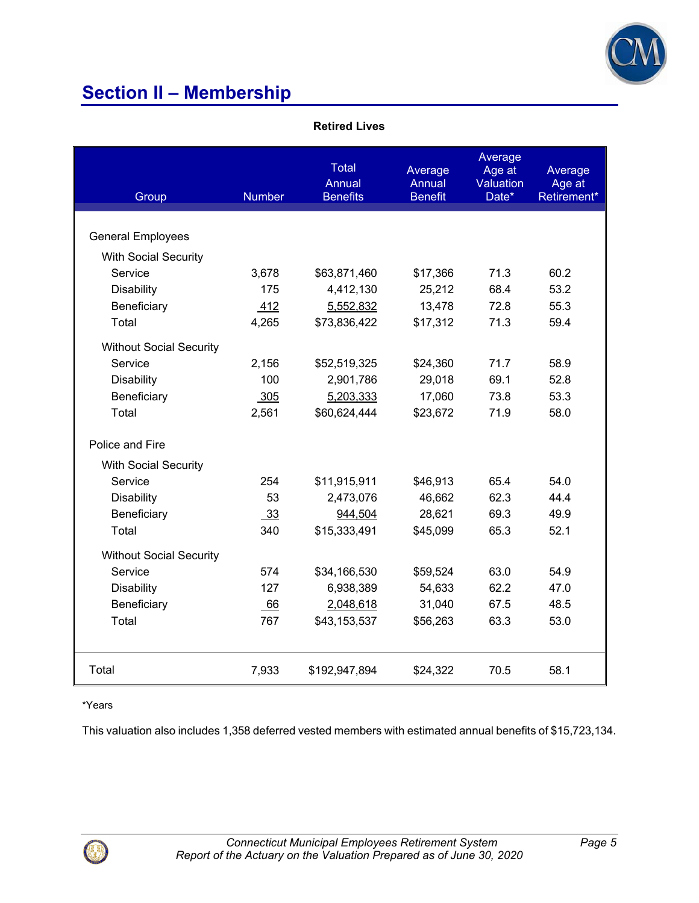

# **Section II – Membership**

|  | Retired Lives |
|--|---------------|
|  |               |

| Group                          | <b>Number</b> | <b>Total</b><br>Annual<br><b>Benefits</b> | Average<br>Annual<br><b>Benefit</b> | Average<br>Age at<br>Valuation<br>Date* | Average<br>Age at<br>Retirement* |
|--------------------------------|---------------|-------------------------------------------|-------------------------------------|-----------------------------------------|----------------------------------|
|                                |               |                                           |                                     |                                         |                                  |
| <b>General Employees</b>       |               |                                           |                                     |                                         |                                  |
| <b>With Social Security</b>    |               |                                           |                                     |                                         |                                  |
| Service                        | 3,678         | \$63,871,460                              | \$17,366                            | 71.3                                    | 60.2                             |
| Disability                     | 175           | 4,412,130                                 | 25,212                              | 68.4                                    | 53.2                             |
| Beneficiary                    | 412           | 5,552,832                                 | 13,478                              | 72.8                                    | 55.3                             |
| Total                          | 4,265         | \$73,836,422                              | \$17,312                            | 71.3                                    | 59.4                             |
| <b>Without Social Security</b> |               |                                           |                                     |                                         |                                  |
| Service                        | 2,156         | \$52,519,325                              | \$24,360                            | 71.7                                    | 58.9                             |
| Disability                     | 100           | 2,901,786                                 | 29,018                              | 69.1                                    | 52.8                             |
| Beneficiary                    | 305           | 5,203,333                                 | 17,060                              | 73.8                                    | 53.3                             |
| Total                          | 2,561         | \$60,624,444                              | \$23,672                            | 71.9                                    | 58.0                             |
| Police and Fire                |               |                                           |                                     |                                         |                                  |
| <b>With Social Security</b>    |               |                                           |                                     |                                         |                                  |
| Service                        | 254           | \$11,915,911                              | \$46,913                            | 65.4                                    | 54.0                             |
| <b>Disability</b>              | 53            | 2,473,076                                 | 46,662                              | 62.3                                    | 44.4                             |
| Beneficiary                    | 33            | 944,504                                   | 28,621                              | 69.3                                    | 49.9                             |
| Total                          | 340           | \$15,333,491                              | \$45,099                            | 65.3                                    | 52.1                             |
| <b>Without Social Security</b> |               |                                           |                                     |                                         |                                  |
| Service                        | 574           | \$34,166,530                              | \$59,524                            | 63.0                                    | 54.9                             |
| <b>Disability</b>              | 127           | 6,938,389                                 | 54,633                              | 62.2                                    | 47.0                             |
| Beneficiary                    | 66            | 2,048,618                                 | 31,040                              | 67.5                                    | 48.5                             |
| Total                          | 767           | \$43,153,537                              | \$56,263                            | 63.3                                    | 53.0                             |
|                                |               |                                           |                                     |                                         |                                  |
| Total                          | 7,933         | \$192,947,894                             | \$24,322                            | 70.5                                    | 58.1                             |

#### \*Years

This valuation also includes 1,358 deferred vested members with estimated annual benefits of \$15,723,134.

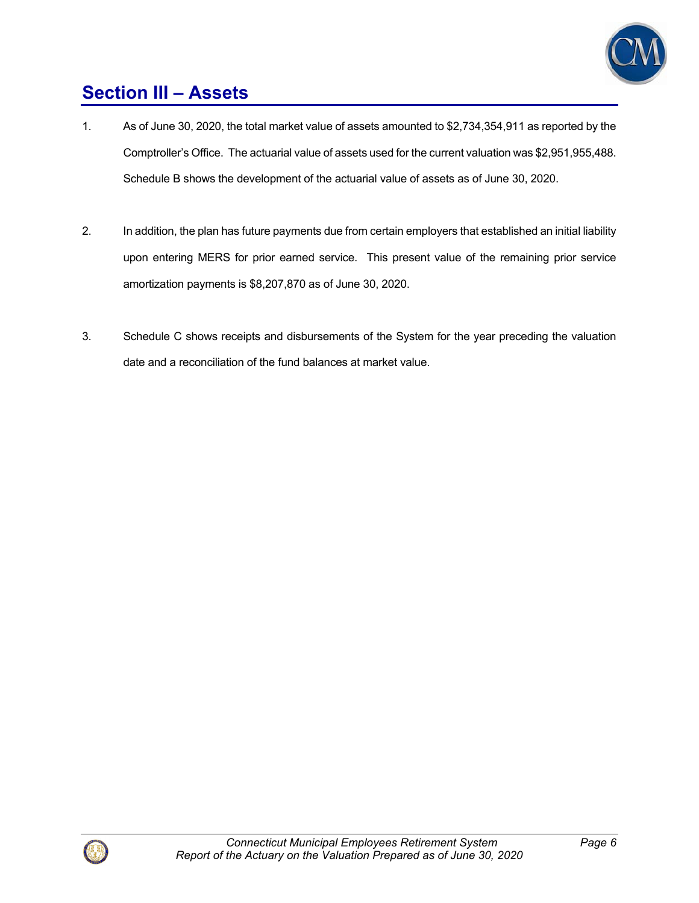

# **Section III – Assets**

- 1. As of June 30, 2020, the total market value of assets amounted to \$2,734,354,911 as reported by the Comptroller's Office. The actuarial value of assets used for the current valuation was \$2,951,955,488. Schedule B shows the development of the actuarial value of assets as of June 30, 2020.
- 2. In addition, the plan has future payments due from certain employers that established an initial liability upon entering MERS for prior earned service. This present value of the remaining prior service amortization payments is \$8,207,870 as of June 30, 2020.
- 3. Schedule C shows receipts and disbursements of the System for the year preceding the valuation date and a reconciliation of the fund balances at market value.

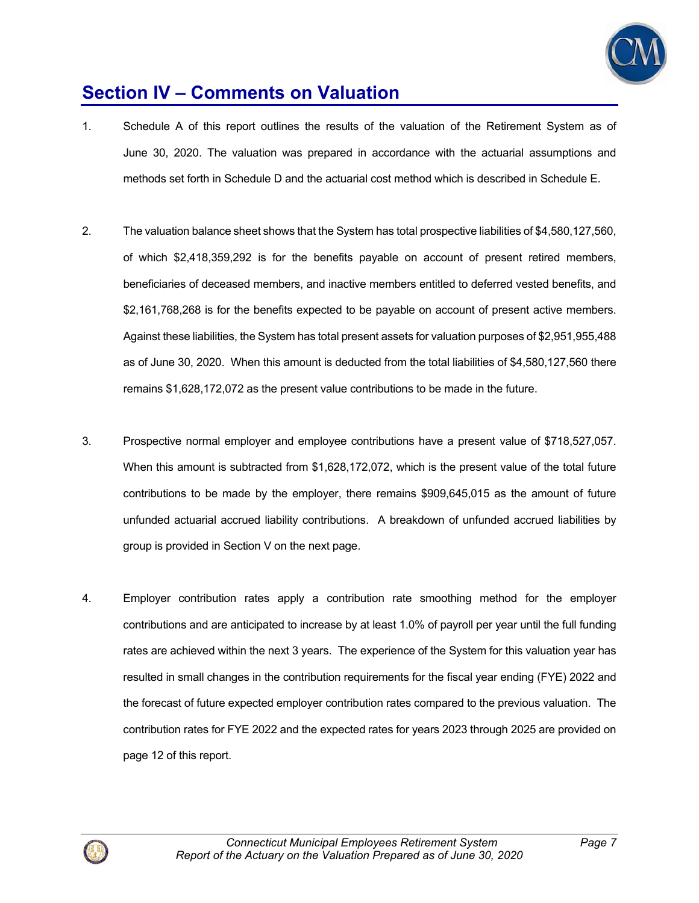

### **Section IV – Comments on Valuation**

- 1. Schedule A of this report outlines the results of the valuation of the Retirement System as of June 30, 2020. The valuation was prepared in accordance with the actuarial assumptions and methods set forth in Schedule D and the actuarial cost method which is described in Schedule E.
- 2. The valuation balance sheet shows that the System has total prospective liabilities of \$4,580,127,560, of which \$2,418,359,292 is for the benefits payable on account of present retired members, beneficiaries of deceased members, and inactive members entitled to deferred vested benefits, and \$2,161,768,268 is for the benefits expected to be payable on account of present active members. Against these liabilities, the System has total present assets for valuation purposes of \$2,951,955,488 as of June 30, 2020. When this amount is deducted from the total liabilities of \$4,580,127,560 there remains \$1,628,172,072 as the present value contributions to be made in the future.
- 3. Prospective normal employer and employee contributions have a present value of \$718,527,057. When this amount is subtracted from \$1,628,172,072, which is the present value of the total future contributions to be made by the employer, there remains \$909,645,015 as the amount of future unfunded actuarial accrued liability contributions. A breakdown of unfunded accrued liabilities by group is provided in Section V on the next page.
- 4. Employer contribution rates apply a contribution rate smoothing method for the employer contributions and are anticipated to increase by at least 1.0% of payroll per year until the full funding rates are achieved within the next 3 years. The experience of the System for this valuation year has resulted in small changes in the contribution requirements for the fiscal year ending (FYE) 2022 and the forecast of future expected employer contribution rates compared to the previous valuation. The contribution rates for FYE 2022 and the expected rates for years 2023 through 2025 are provided on page 12 of this report.

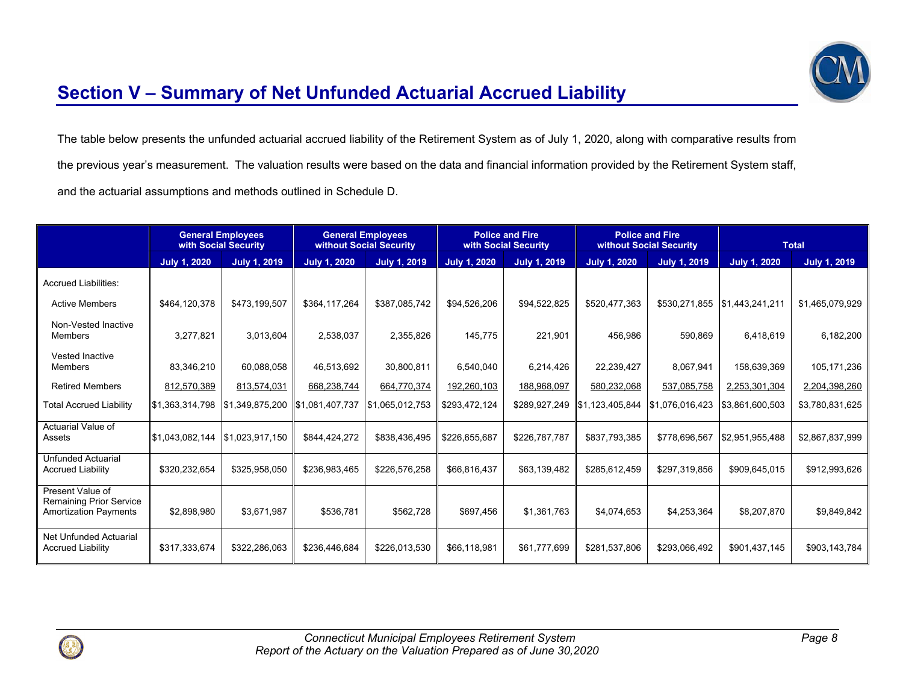

### **Section V – Summary of Net Unfunded Actuarial Accrued Liability**

The table below presents the unfunded actuarial accrued liability of the Retirement System as of July 1, 2020, along with comparative results from the previous year's measurement. The valuation results were based on the data and financial information provided by the Retirement System staff, and the actuarial assumptions and methods outlined in Schedule D.

|                                                                             | <b>General Employees</b><br>with Social Security |                     | <b>General Employees</b><br>without Social Security |                     | <b>Police and Fire</b><br>with Social Security |                     | <b>Police and Fire</b><br>without Social Security |                     | <b>Total</b>                  |                     |
|-----------------------------------------------------------------------------|--------------------------------------------------|---------------------|-----------------------------------------------------|---------------------|------------------------------------------------|---------------------|---------------------------------------------------|---------------------|-------------------------------|---------------------|
|                                                                             | <b>July 1, 2020</b>                              | <b>July 1, 2019</b> | <b>July 1, 2020</b>                                 | <b>July 1, 2019</b> | <b>July 1, 2020</b>                            | <b>July 1, 2019</b> | <b>July 1, 2020</b>                               | <b>July 1, 2019</b> | <b>July 1, 2020</b>           | <b>July 1, 2019</b> |
| <b>Accrued Liabilities:</b>                                                 |                                                  |                     |                                                     |                     |                                                |                     |                                                   |                     |                               |                     |
| <b>Active Members</b>                                                       | \$464,120,378                                    | \$473,199,507       | \$364,117,264                                       | \$387,085,742       | \$94,526,206                                   | \$94,522,825        | \$520,477,363                                     |                     | \$530,271,855 \$1,443,241,211 | \$1,465,079,929     |
| Non-Vested Inactive<br><b>Members</b>                                       | 3.277.821                                        | 3,013,604           | 2,538,037                                           | 2,355,826           | 145.775                                        | 221,901             | 456,986                                           | 590.869             | 6,418,619                     | 6,182,200           |
| <b>Vested Inactive</b><br><b>Members</b>                                    | 83,346,210                                       | 60,088,058          | 46,513,692                                          | 30,800,811          | 6,540,040                                      | 6,214,426           | 22,239,427                                        | 8,067,941           | 158,639,369                   | 105, 171, 236       |
| <b>Retired Members</b>                                                      | 812,570,389                                      | 813,574,031         | 668,238,744                                         | 664,770,374         | 192,260,103                                    | 188,968,097         | 580,232,068                                       | 537,085,758         | 2,253,301,304                 | 2,204,398,260       |
| <b>Total Accrued Liability</b>                                              | \$1,363,314,798                                  | \$1,349,875,200     | \$1,081,407,737                                     | \$1,065,012,753     | \$293,472,124                                  |                     | \$289,927,249 \$1,123,405,844                     | \$1,076,016,423     | \$3,861,600,503               | \$3,780,831,625     |
| Actuarial Value of<br>Assets                                                | \$1.043.082.144                                  | \$1,023,917,150     | \$844.424.272                                       | \$838.436.495       | \$226,655,687                                  | \$226,787,787       | \$837,793,385                                     | \$778.696.567       | \$2,951,955,488               | \$2,867,837,999     |
| <b>Unfunded Actuarial</b><br><b>Accrued Liability</b>                       | \$320,232,654                                    | \$325,958,050       | \$236,983,465                                       | \$226.576.258       | \$66,816,437                                   | \$63,139,482        | \$285,612,459                                     | \$297.319.856       | \$909.645.015                 | \$912,993,626       |
| Present Value of<br>Remaining Prior Service<br><b>Amortization Payments</b> | \$2.898.980                                      | \$3.671.987         | \$536.781                                           | \$562.728           | \$697,456                                      | \$1.361.763         | \$4.074.653                                       | \$4,253,364         | \$8,207,870                   | \$9,849,842         |
| Net Unfunded Actuarial<br><b>Accrued Liability</b>                          | \$317,333,674                                    | \$322,286,063       | \$236,446,684                                       | \$226,013,530       | \$66,118,981                                   | \$61,777,699        | \$281,537,806                                     | \$293,066,492       | \$901,437,145                 | \$903,143,784       |

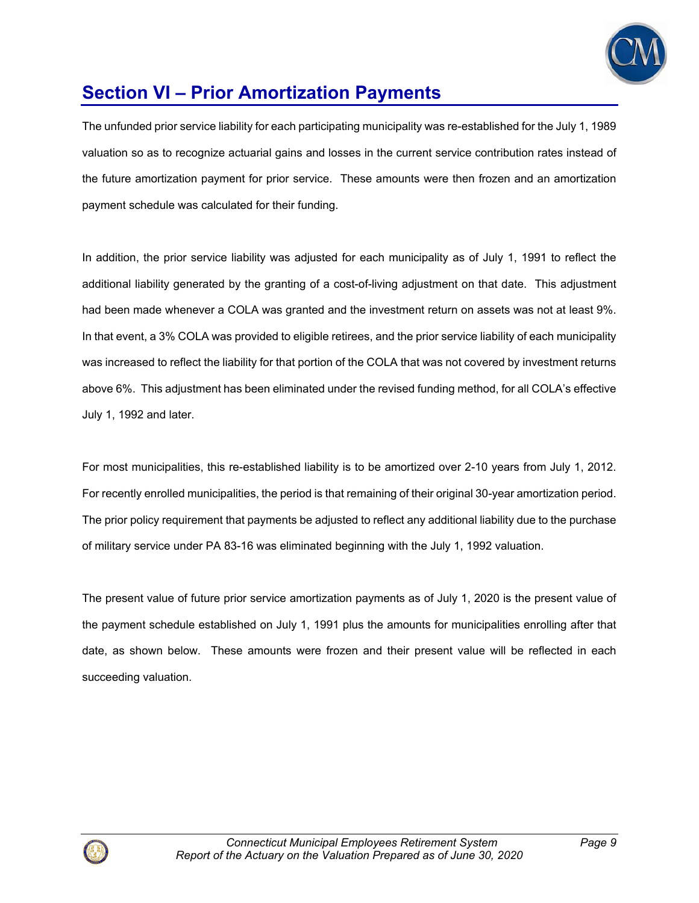

# **Section VI – Prior Amortization Payments**

The unfunded prior service liability for each participating municipality was re-established for the July 1, 1989 valuation so as to recognize actuarial gains and losses in the current service contribution rates instead of the future amortization payment for prior service. These amounts were then frozen and an amortization payment schedule was calculated for their funding.

In addition, the prior service liability was adjusted for each municipality as of July 1, 1991 to reflect the additional liability generated by the granting of a cost-of-living adjustment on that date. This adjustment had been made whenever a COLA was granted and the investment return on assets was not at least 9%. In that event, a 3% COLA was provided to eligible retirees, and the prior service liability of each municipality was increased to reflect the liability for that portion of the COLA that was not covered by investment returns above 6%. This adjustment has been eliminated under the revised funding method, for all COLA's effective July 1, 1992 and later.

For most municipalities, this re-established liability is to be amortized over 2-10 years from July 1, 2012. For recently enrolled municipalities, the period is that remaining of their original 30-year amortization period. The prior policy requirement that payments be adjusted to reflect any additional liability due to the purchase of military service under PA 83-16 was eliminated beginning with the July 1, 1992 valuation.

The present value of future prior service amortization payments as of July 1, 2020 is the present value of the payment schedule established on July 1, 1991 plus the amounts for municipalities enrolling after that date, as shown below. These amounts were frozen and their present value will be reflected in each succeeding valuation.

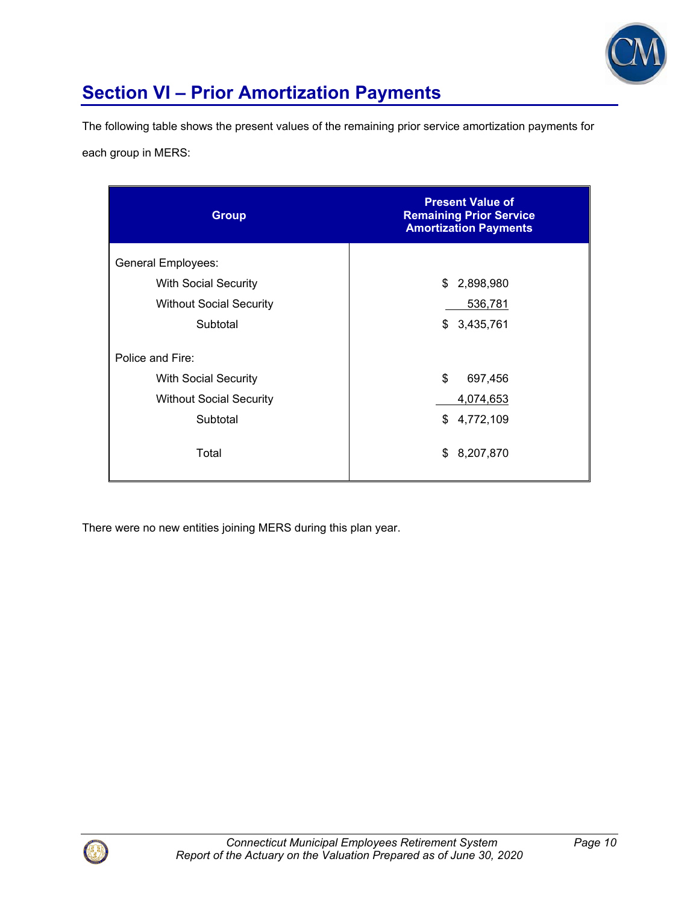

# **Section VI – Prior Amortization Payments**

The following table shows the present values of the remaining prior service amortization payments for

each group in MERS:

| <b>Group</b>                   | <b>Present Value of</b><br><b>Remaining Prior Service</b><br><b>Amortization Payments</b> |
|--------------------------------|-------------------------------------------------------------------------------------------|
| <b>General Employees:</b>      |                                                                                           |
| <b>With Social Security</b>    | 2,898,980<br>\$                                                                           |
| <b>Without Social Security</b> | 536,781                                                                                   |
| Subtotal                       | 3,435,761<br>\$                                                                           |
| Police and Fire:               |                                                                                           |
| <b>With Social Security</b>    | \$<br>697,456                                                                             |
| <b>Without Social Security</b> | 4,074,653                                                                                 |
| Subtotal                       | \$<br>4,772,109                                                                           |
| Total                          | 8,207,870<br>\$                                                                           |

There were no new entities joining MERS during this plan year.

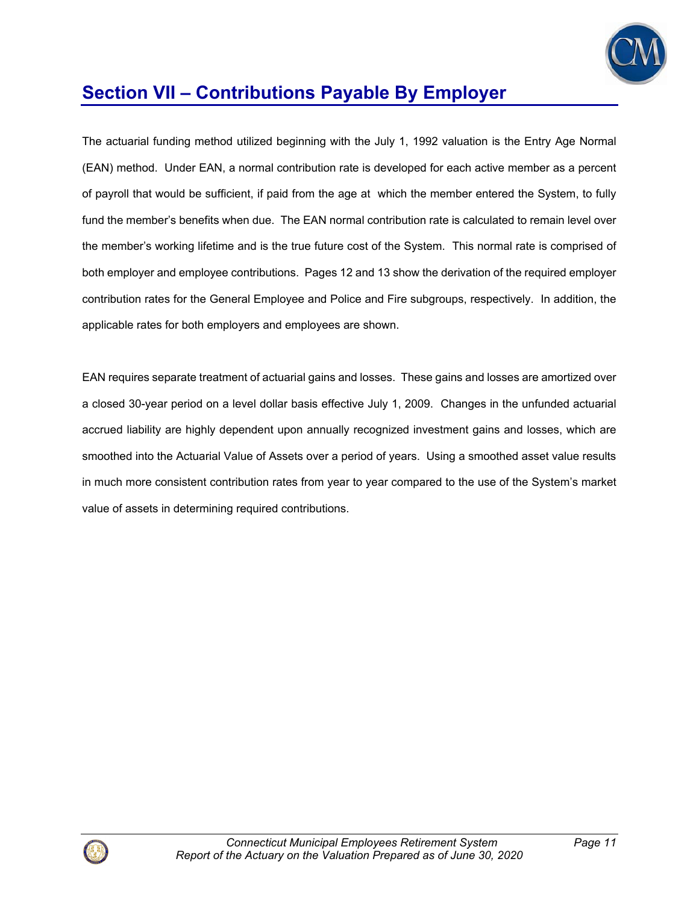

The actuarial funding method utilized beginning with the July 1, 1992 valuation is the Entry Age Normal (EAN) method. Under EAN, a normal contribution rate is developed for each active member as a percent of payroll that would be sufficient, if paid from the age at which the member entered the System, to fully fund the member's benefits when due. The EAN normal contribution rate is calculated to remain level over the member's working lifetime and is the true future cost of the System. This normal rate is comprised of both employer and employee contributions. Pages 12 and 13 show the derivation of the required employer contribution rates for the General Employee and Police and Fire subgroups, respectively. In addition, the applicable rates for both employers and employees are shown.

EAN requires separate treatment of actuarial gains and losses. These gains and losses are amortized over a closed 30-year period on a level dollar basis effective July 1, 2009. Changes in the unfunded actuarial accrued liability are highly dependent upon annually recognized investment gains and losses, which are smoothed into the Actuarial Value of Assets over a period of years. Using a smoothed asset value results in much more consistent contribution rates from year to year compared to the use of the System's market value of assets in determining required contributions.

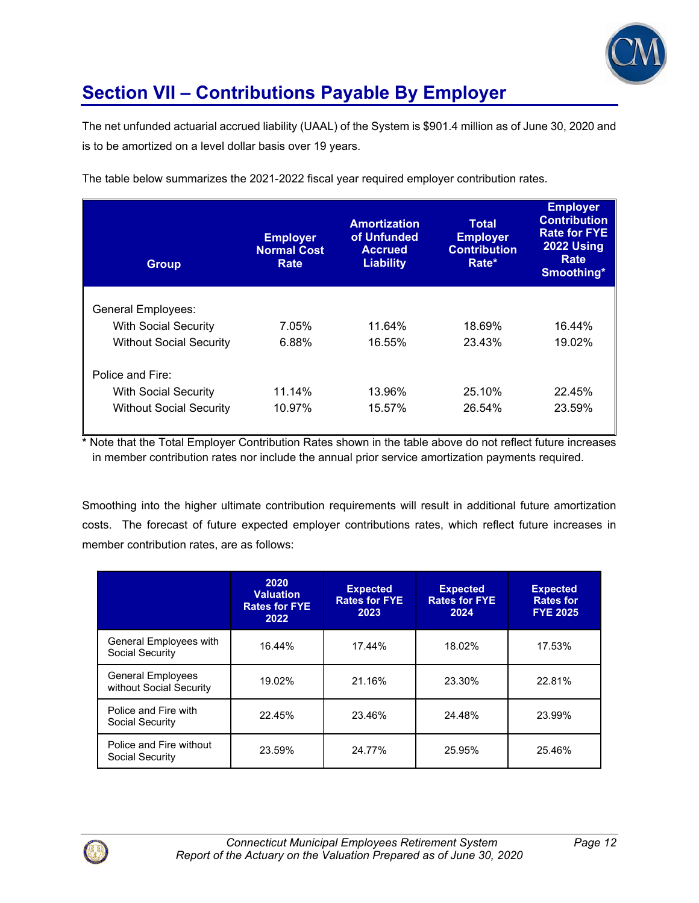

The net unfunded actuarial accrued liability (UAAL) of the System is \$901.4 million as of June 30, 2020 and is to be amortized on a level dollar basis over 19 years.

| <b>Group</b>                   | <b>Employer</b><br><b>Normal Cost</b><br>Rate | <b>Amortization</b><br>of Unfunded<br><b>Accrued</b><br><b>Liability</b> | <b>Total</b><br><b>Employer</b><br><b>Contribution</b><br>Rate* | <b>Employer</b><br><b>Contribution</b><br><b>Rate for FYE</b><br>2022 Using<br>Rate<br>Smoothing* |
|--------------------------------|-----------------------------------------------|--------------------------------------------------------------------------|-----------------------------------------------------------------|---------------------------------------------------------------------------------------------------|
| <b>General Employees:</b>      |                                               |                                                                          |                                                                 |                                                                                                   |
| <b>With Social Security</b>    | 7.05%                                         | 11.64%                                                                   | 18.69%                                                          | 16.44%                                                                                            |
| <b>Without Social Security</b> | 6.88%                                         | 16.55%                                                                   | 23.43%                                                          | 19.02%                                                                                            |
| Police and Fire:               |                                               |                                                                          |                                                                 |                                                                                                   |
| <b>With Social Security</b>    | 11.14%                                        | 13.96%                                                                   | 25.10%                                                          | 22.45%                                                                                            |
| <b>Without Social Security</b> | 10.97%                                        | 15.57%                                                                   | 26.54%                                                          | 23.59%                                                                                            |

The table below summarizes the 2021-2022 fiscal year required employer contribution rates.

**\*** Note that the Total Employer Contribution Rates shown in the table above do not reflect future increases in member contribution rates nor include the annual prior service amortization payments required.

Smoothing into the higher ultimate contribution requirements will result in additional future amortization costs. The forecast of future expected employer contributions rates, which reflect future increases in member contribution rates, are as follows:

|                                                     | 2020<br><b>Valuation</b><br><b>Rates for FYE</b><br>2022 | <b>Expected</b><br><b>Rates for FYE</b><br>2023 | <b>Expected</b><br><b>Rates for FYE</b><br>2024 | <b>Expected</b><br><b>Rates for</b><br><b>FYE 2025</b> |
|-----------------------------------------------------|----------------------------------------------------------|-------------------------------------------------|-------------------------------------------------|--------------------------------------------------------|
| General Employees with<br>Social Security           | 16.44%                                                   | 17.44%                                          | 18.02%                                          | 17.53%                                                 |
| <b>General Employees</b><br>without Social Security | 19.02%                                                   | 21.16%                                          | 23.30%                                          | 22.81%                                                 |
| Police and Fire with<br>Social Security             | 22.45%                                                   | 23.46%                                          | 24.48%                                          | 23.99%                                                 |
| Police and Fire without<br>Social Security          | 23.59%                                                   | 24.77%                                          | 25.95%                                          | 25.46%                                                 |

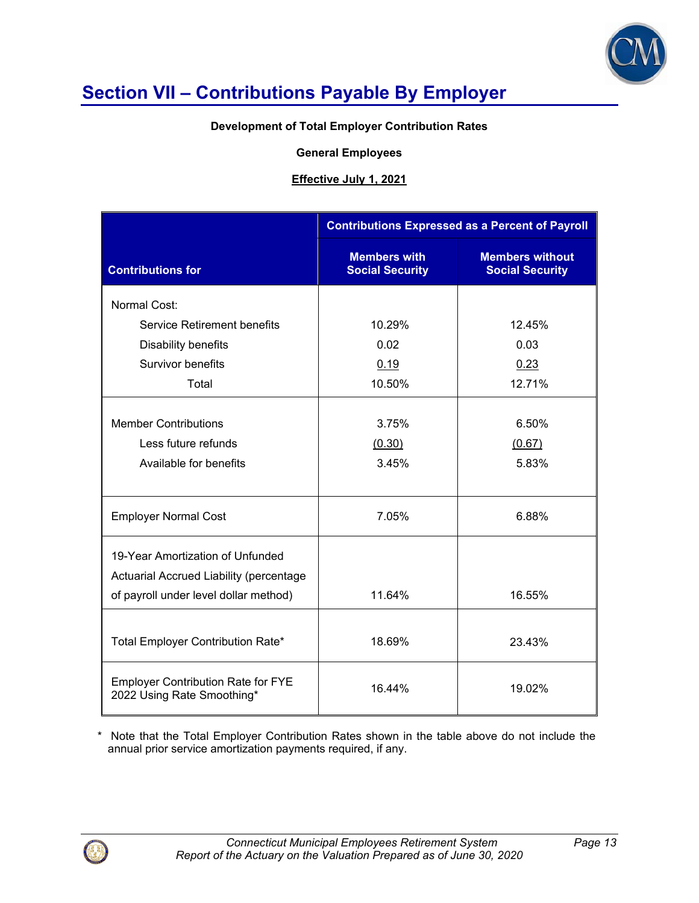

#### **Development of Total Employer Contribution Rates**

#### **General Employees**

#### **Effective July 1, 2021**

|                                                                         | <b>Contributions Expressed as a Percent of Payroll</b> |                                                  |  |  |  |
|-------------------------------------------------------------------------|--------------------------------------------------------|--------------------------------------------------|--|--|--|
| <b>Contributions for</b>                                                | <b>Members with</b><br><b>Social Security</b>          | <b>Members without</b><br><b>Social Security</b> |  |  |  |
| Normal Cost:                                                            |                                                        |                                                  |  |  |  |
| <b>Service Retirement benefits</b>                                      | 10.29%                                                 | 12.45%                                           |  |  |  |
| Disability benefits                                                     | 0.02                                                   | 0.03                                             |  |  |  |
| Survivor benefits                                                       | 0.19                                                   | 0.23                                             |  |  |  |
| Total                                                                   | 10.50%                                                 | 12.71%                                           |  |  |  |
|                                                                         |                                                        |                                                  |  |  |  |
| <b>Member Contributions</b>                                             | 3.75%                                                  | 6.50%                                            |  |  |  |
| Less future refunds                                                     | (0.30)                                                 | (0.67)                                           |  |  |  |
| Available for benefits                                                  | 3.45%                                                  | 5.83%                                            |  |  |  |
|                                                                         |                                                        |                                                  |  |  |  |
| <b>Employer Normal Cost</b>                                             | 7.05%                                                  | 6.88%                                            |  |  |  |
| 19-Year Amortization of Unfunded                                        |                                                        |                                                  |  |  |  |
| Actuarial Accrued Liability (percentage                                 |                                                        |                                                  |  |  |  |
| of payroll under level dollar method)                                   | 11.64%                                                 | 16.55%                                           |  |  |  |
|                                                                         |                                                        |                                                  |  |  |  |
| Total Employer Contribution Rate*                                       | 18.69%                                                 | 23.43%                                           |  |  |  |
| <b>Employer Contribution Rate for FYE</b><br>2022 Using Rate Smoothing* | 16.44%                                                 | 19.02%                                           |  |  |  |

\* Note that the Total Employer Contribution Rates shown in the table above do not include the annual prior service amortization payments required, if any.

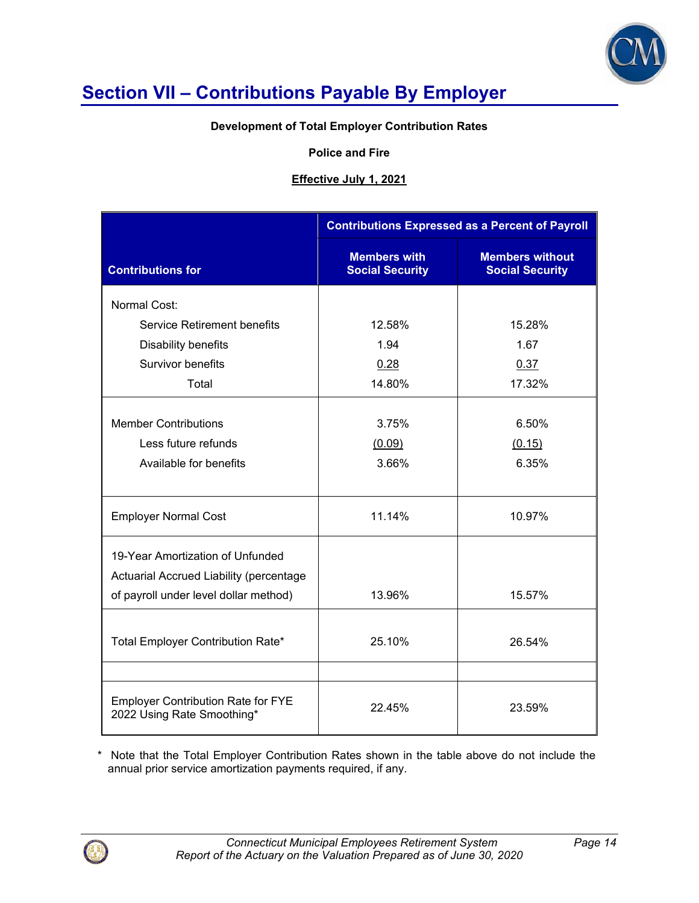

### **Development of Total Employer Contribution Rates**

#### **Police and Fire**

### **Effective July 1, 2021**

|                                                                         | <b>Contributions Expressed as a Percent of Payroll</b> |                                                  |  |
|-------------------------------------------------------------------------|--------------------------------------------------------|--------------------------------------------------|--|
| <b>Contributions for</b>                                                | <b>Members with</b><br><b>Social Security</b>          | <b>Members without</b><br><b>Social Security</b> |  |
| Normal Cost:                                                            |                                                        |                                                  |  |
| Service Retirement benefits                                             | 12.58%                                                 | 15.28%                                           |  |
| Disability benefits                                                     | 1.94                                                   | 1.67                                             |  |
| Survivor benefits                                                       | 0.28                                                   | 0.37                                             |  |
| Total                                                                   | 14.80%                                                 | 17.32%                                           |  |
|                                                                         |                                                        |                                                  |  |
| <b>Member Contributions</b>                                             | 3.75%                                                  | 6.50%                                            |  |
| Less future refunds                                                     | (0.09)                                                 | (0.15)                                           |  |
| Available for benefits                                                  | 3.66%                                                  | 6.35%                                            |  |
|                                                                         |                                                        |                                                  |  |
| <b>Employer Normal Cost</b>                                             | 11.14%                                                 | 10.97%                                           |  |
| 19-Year Amortization of Unfunded                                        |                                                        |                                                  |  |
| Actuarial Accrued Liability (percentage                                 |                                                        |                                                  |  |
| of payroll under level dollar method)                                   | 13.96%                                                 | 15.57%                                           |  |
|                                                                         |                                                        |                                                  |  |
| Total Employer Contribution Rate*                                       | 25.10%                                                 | 26.54%                                           |  |
|                                                                         |                                                        |                                                  |  |
| <b>Employer Contribution Rate for FYE</b><br>2022 Using Rate Smoothing* | 22.45%                                                 | 23.59%                                           |  |

\* Note that the Total Employer Contribution Rates shown in the table above do not include the annual prior service amortization payments required, if any.

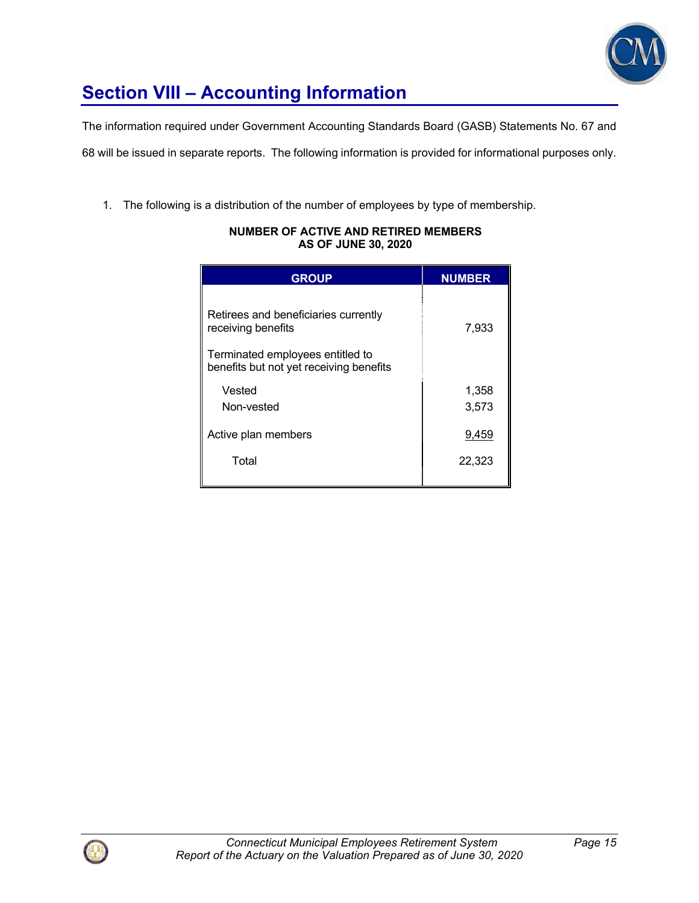

# **Section VIII – Accounting Information**

The information required under Government Accounting Standards Board (GASB) Statements No. 67 and

68 will be issued in separate reports. The following information is provided for informational purposes only.

1. The following is a distribution of the number of employees by type of membership.

| <b>GROUP</b>                                                                                                                              | <b>NUMBER</b>  |
|-------------------------------------------------------------------------------------------------------------------------------------------|----------------|
| Retirees and beneficiaries currently<br>receiving benefits<br>Terminated employees entitled to<br>benefits but not yet receiving benefits | 7,933          |
| Vested<br>Non-vested                                                                                                                      | 1,358<br>3,573 |
| Active plan members                                                                                                                       | 9,459          |
| Total                                                                                                                                     | 22,323         |

#### **NUMBER OF ACTIVE AND RETIRED MEMBERS AS OF JUNE 30, 2020**

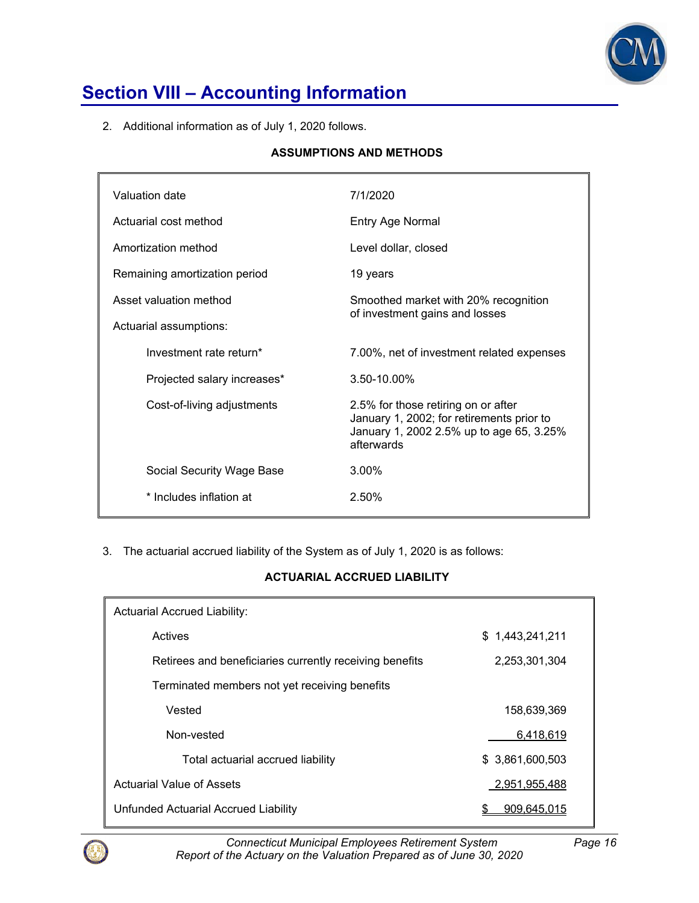

# **Section VIII – Accounting Information**

2. Additional information as of July 1, 2020 follows.

### **ASSUMPTIONS AND METHODS**

| Valuation date                | 7/1/2020                                                                                                                                   |
|-------------------------------|--------------------------------------------------------------------------------------------------------------------------------------------|
| Actuarial cost method         | Entry Age Normal                                                                                                                           |
| Amortization method           | Level dollar, closed                                                                                                                       |
| Remaining amortization period | 19 years                                                                                                                                   |
| Asset valuation method        | Smoothed market with 20% recognition<br>of investment gains and losses                                                                     |
| Actuarial assumptions:        |                                                                                                                                            |
| Investment rate return*       | 7.00%, net of investment related expenses                                                                                                  |
| Projected salary increases*   | $3.50 - 10.00\%$                                                                                                                           |
| Cost-of-living adjustments    | 2.5% for those retiring on or after<br>January 1, 2002; for retirements prior to<br>January 1, 2002 2.5% up to age 65, 3.25%<br>afterwards |
| Social Security Wage Base     | $3.00\%$                                                                                                                                   |
| * Includes inflation at       | 2.50%                                                                                                                                      |
|                               |                                                                                                                                            |

3. The actuarial accrued liability of the System as of July 1, 2020 is as follows:

### **ACTUARIAL ACCRUED LIABILITY**

| <b>Actuarial Accrued Liability:</b>                     |                  |  |  |
|---------------------------------------------------------|------------------|--|--|
| Actives                                                 | \$1,443,241,211  |  |  |
| Retirees and beneficiaries currently receiving benefits | 2,253,301,304    |  |  |
| Terminated members not yet receiving benefits           |                  |  |  |
| Vested                                                  | 158.639.369      |  |  |
| Non-vested                                              | 6,418,619        |  |  |
| Total actuarial accrued liability                       | \$ 3,861,600,503 |  |  |
| Actuarial Value of Assets                               | 2,951,955,488    |  |  |
| Unfunded Actuarial Accrued Liability                    | 909.645.015      |  |  |



*Connecticut Municipal Employees Retirement System Page 16 Report of the Actuary on the Valuation Prepared as of June 30, 2020*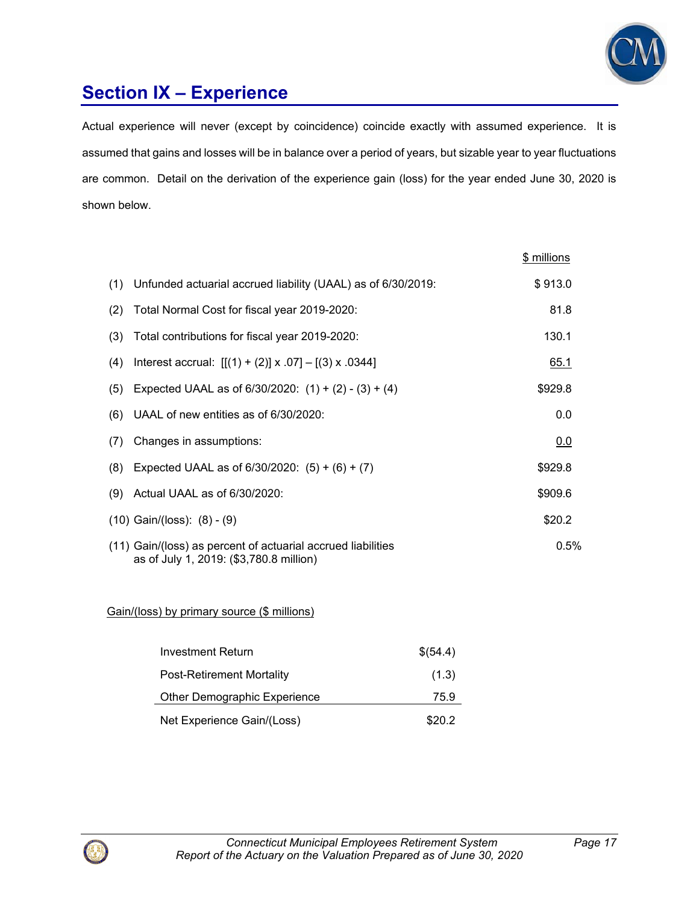

# **Section IX – Experience**

Actual experience will never (except by coincidence) coincide exactly with assumed experience. It is assumed that gains and losses will be in balance over a period of years, but sizable year to year fluctuations are common. Detail on the derivation of the experience gain (loss) for the year ended June 30, 2020 is shown below.

|     |                                                                                                         | \$ millions |
|-----|---------------------------------------------------------------------------------------------------------|-------------|
|     | (1) Unfunded actuarial accrued liability (UAAL) as of 6/30/2019:                                        | \$913.0     |
| (2) | Total Normal Cost for fiscal year 2019-2020:                                                            | 81.8        |
| (3) | Total contributions for fiscal year 2019-2020:                                                          | 130.1       |
| (4) | Interest accrual: $[[(1) + (2)] \times .07] - [(3) \times .0344]$                                       | 65.1        |
| (5) | Expected UAAL as of $6/30/2020$ : $(1) + (2) - (3) + (4)$                                               | \$929.8     |
| (6) | UAAL of new entities as of 6/30/2020:                                                                   | 0.0         |
| (7) | Changes in assumptions:                                                                                 | 0.0         |
| (8) | Expected UAAL as of $6/30/2020$ : $(5) + (6) + (7)$                                                     | \$929.8     |
| (9) | Actual UAAL as of 6/30/2020:                                                                            | \$909.6     |
|     | $(10)$ Gain/(loss): $(8) - (9)$                                                                         | \$20.2      |
|     | (11) Gain/(loss) as percent of actuarial accrued liabilities<br>as of July 1, 2019: (\$3,780.8 million) | $0.5\%$     |

### Gain/(loss) by primary source (\$ millions)

| Investment Return                | \$(54.4) |
|----------------------------------|----------|
| <b>Post-Retirement Mortality</b> | (1.3)    |
| Other Demographic Experience     | 75.9     |
| Net Experience Gain/(Loss)       | \$20.2   |

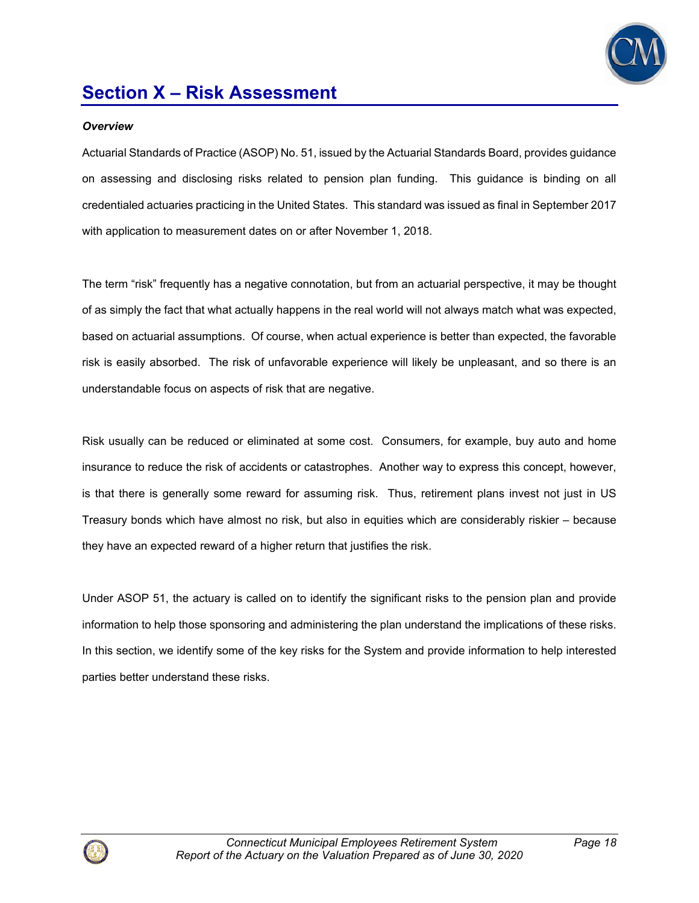

#### *Overview*

Actuarial Standards of Practice (ASOP) No. 51, issued by the Actuarial Standards Board, provides guidance on assessing and disclosing risks related to pension plan funding. This guidance is binding on all credentialed actuaries practicing in the United States. This standard was issued as final in September 2017 with application to measurement dates on or after November 1, 2018.

The term "risk" frequently has a negative connotation, but from an actuarial perspective, it may be thought of as simply the fact that what actually happens in the real world will not always match what was expected, based on actuarial assumptions. Of course, when actual experience is better than expected, the favorable risk is easily absorbed. The risk of unfavorable experience will likely be unpleasant, and so there is an understandable focus on aspects of risk that are negative.

Risk usually can be reduced or eliminated at some cost. Consumers, for example, buy auto and home insurance to reduce the risk of accidents or catastrophes. Another way to express this concept, however, is that there is generally some reward for assuming risk. Thus, retirement plans invest not just in US Treasury bonds which have almost no risk, but also in equities which are considerably riskier – because they have an expected reward of a higher return that justifies the risk.

Under ASOP 51, the actuary is called on to identify the significant risks to the pension plan and provide information to help those sponsoring and administering the plan understand the implications of these risks. In this section, we identify some of the key risks for the System and provide information to help interested parties better understand these risks.

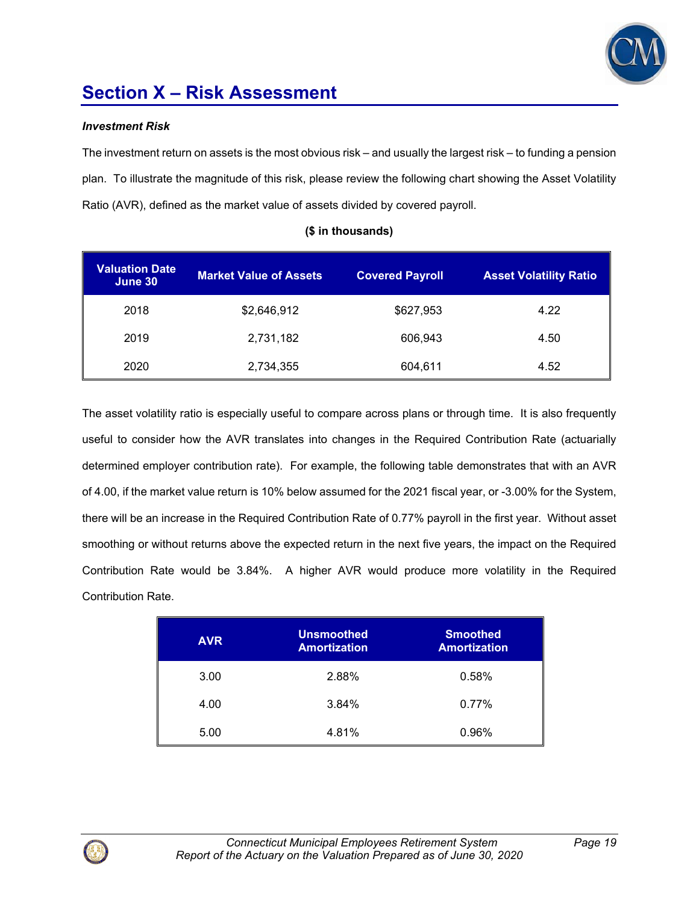

#### *Investment Risk*

The investment return on assets is the most obvious risk – and usually the largest risk – to funding a pension plan. To illustrate the magnitude of this risk, please review the following chart showing the Asset Volatility Ratio (AVR), defined as the market value of assets divided by covered payroll.

| <b>Valuation Date</b><br>June 30 | <b>Market Value of Assets</b> | <b>Covered Payroll</b> | <b>Asset Volatility Ratio</b> |
|----------------------------------|-------------------------------|------------------------|-------------------------------|
| 2018                             | \$2,646,912                   | \$627,953              | 4.22                          |
| 2019                             | 2,731,182                     | 606,943                | 4.50                          |
| 2020                             | 2,734,355                     | 604,611                | 4.52                          |

### **(\$ in thousands)**

The asset volatility ratio is especially useful to compare across plans or through time. It is also frequently useful to consider how the AVR translates into changes in the Required Contribution Rate (actuarially determined employer contribution rate). For example, the following table demonstrates that with an AVR of 4.00, if the market value return is 10% below assumed for the 2021 fiscal year, or -3.00% for the System, there will be an increase in the Required Contribution Rate of 0.77% payroll in the first year. Without asset smoothing or without returns above the expected return in the next five years, the impact on the Required Contribution Rate would be 3.84%. A higher AVR would produce more volatility in the Required Contribution Rate.

| <b>AVR</b> | <b>Unsmoothed</b><br><b>Amortization</b> | <b>Smoothed</b><br><b>Amortization</b> |
|------------|------------------------------------------|----------------------------------------|
| 3.00       | 2.88%                                    | 0.58%                                  |
| 4.00       | 3.84%                                    | 0.77%                                  |
| 5.00       | 4.81%                                    | 0.96%                                  |

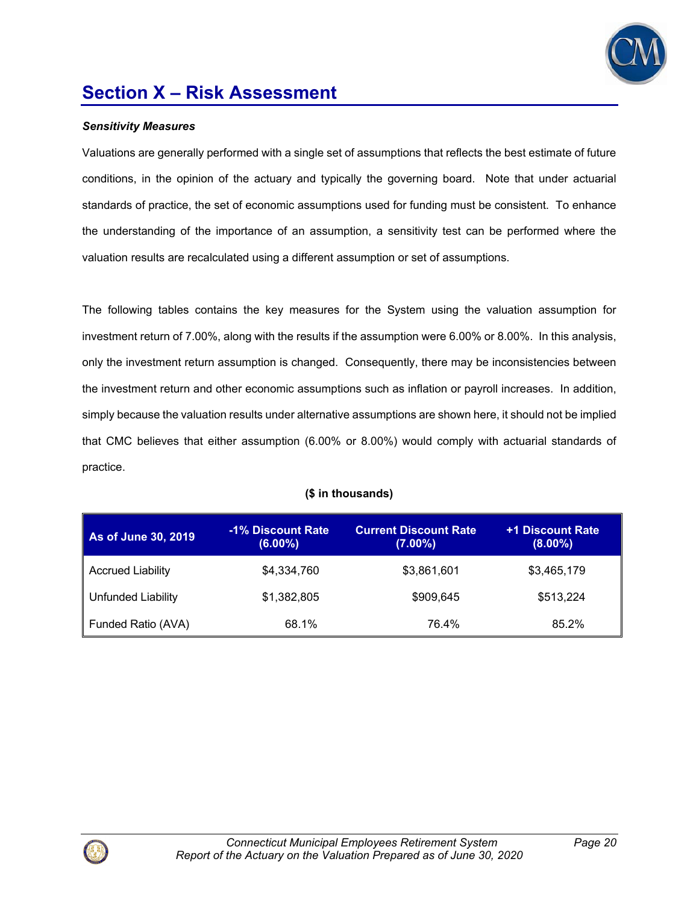

#### *Sensitivity Measures*

Valuations are generally performed with a single set of assumptions that reflects the best estimate of future conditions, in the opinion of the actuary and typically the governing board. Note that under actuarial standards of practice, the set of economic assumptions used for funding must be consistent. To enhance the understanding of the importance of an assumption, a sensitivity test can be performed where the valuation results are recalculated using a different assumption or set of assumptions.

The following tables contains the key measures for the System using the valuation assumption for investment return of 7.00%, along with the results if the assumption were 6.00% or 8.00%. In this analysis, only the investment return assumption is changed. Consequently, there may be inconsistencies between the investment return and other economic assumptions such as inflation or payroll increases. In addition, simply because the valuation results under alternative assumptions are shown here, it should not be implied that CMC believes that either assumption (6.00% or 8.00%) would comply with actuarial standards of practice.

### **(\$ in thousands)**

| As of June 30, 2019      | -1% Discount Rate<br>$(6.00\%)$ | <b>Current Discount Rate</b><br>$(7.00\%)$ | +1 Discount Rate<br>$(8.00\%)$ |
|--------------------------|---------------------------------|--------------------------------------------|--------------------------------|
| <b>Accrued Liability</b> | \$4,334,760                     | \$3,861,601                                | \$3,465,179                    |
| Unfunded Liability       | \$1,382,805                     | \$909.645                                  | \$513,224                      |
| Funded Ratio (AVA)       | 68.1%                           | 76.4%                                      | 85.2%                          |

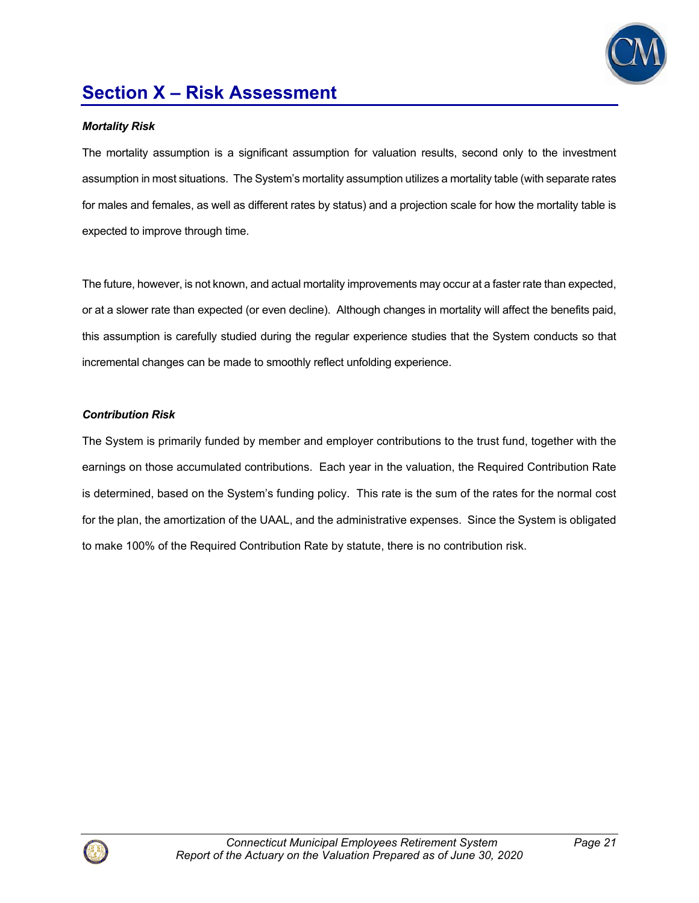

#### *Mortality Risk*

The mortality assumption is a significant assumption for valuation results, second only to the investment assumption in most situations. The System's mortality assumption utilizes a mortality table (with separate rates for males and females, as well as different rates by status) and a projection scale for how the mortality table is expected to improve through time.

The future, however, is not known, and actual mortality improvements may occur at a faster rate than expected, or at a slower rate than expected (or even decline). Although changes in mortality will affect the benefits paid, this assumption is carefully studied during the regular experience studies that the System conducts so that incremental changes can be made to smoothly reflect unfolding experience.

#### *Contribution Risk*

The System is primarily funded by member and employer contributions to the trust fund, together with the earnings on those accumulated contributions. Each year in the valuation, the Required Contribution Rate is determined, based on the System's funding policy. This rate is the sum of the rates for the normal cost for the plan, the amortization of the UAAL, and the administrative expenses. Since the System is obligated to make 100% of the Required Contribution Rate by statute, there is no contribution risk.

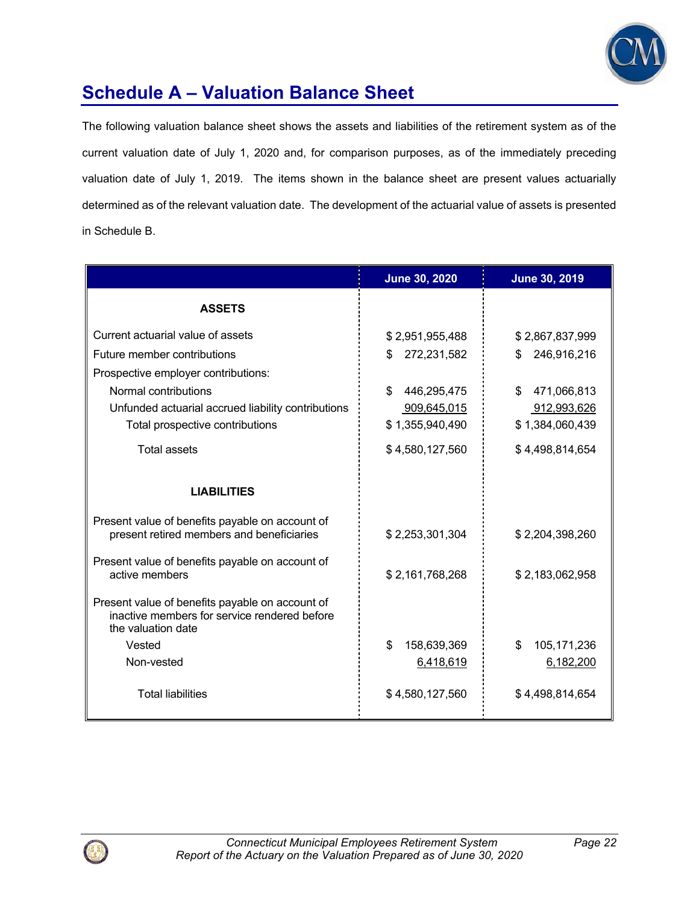

# **Schedule A – Valuation Balance Sheet**

The following valuation balance sheet shows the assets and liabilities of the retirement system as of the current valuation date of July 1, 2020 and, for comparison purposes, as of the immediately preceding valuation date of July 1, 2019. The items shown in the balance sheet are present values actuarially determined as of the relevant valuation date. The development of the actuarial value of assets is presented in Schedule B.

|                                                                                                                       | <b>June 30, 2020</b> | <b>June 30, 2019</b> |
|-----------------------------------------------------------------------------------------------------------------------|----------------------|----------------------|
| <b>ASSETS</b>                                                                                                         |                      |                      |
| Current actuarial value of assets                                                                                     | \$2,951,955,488      | \$2,867,837,999      |
| Future member contributions                                                                                           | 272,231,582<br>\$    | 246,916,216<br>\$    |
| Prospective employer contributions:                                                                                   |                      |                      |
| Normal contributions                                                                                                  | \$<br>446,295,475    | \$<br>471,066,813    |
| Unfunded actuarial accrued liability contributions                                                                    | 909,645,015          | 912,993,626          |
| Total prospective contributions                                                                                       | \$1,355,940,490      | \$1,384,060,439      |
| Total assets                                                                                                          | \$4,580,127,560      | \$4,498,814,654      |
| <b>LIABILITIES</b>                                                                                                    |                      |                      |
| Present value of benefits payable on account of<br>present retired members and beneficiaries                          | \$2,253,301,304      | \$2,204,398,260      |
| Present value of benefits payable on account of<br>active members                                                     | \$2,161,768,268      | \$2,183,062,958      |
| Present value of benefits payable on account of<br>inactive members for service rendered before<br>the valuation date |                      |                      |
| Vested                                                                                                                | 158,639,369<br>\$    | 105, 171, 236<br>\$  |
| Non-vested                                                                                                            | 6,418,619            | 6,182,200            |
| <b>Total liabilities</b>                                                                                              | \$4,580,127,560      | \$4,498,814,654      |

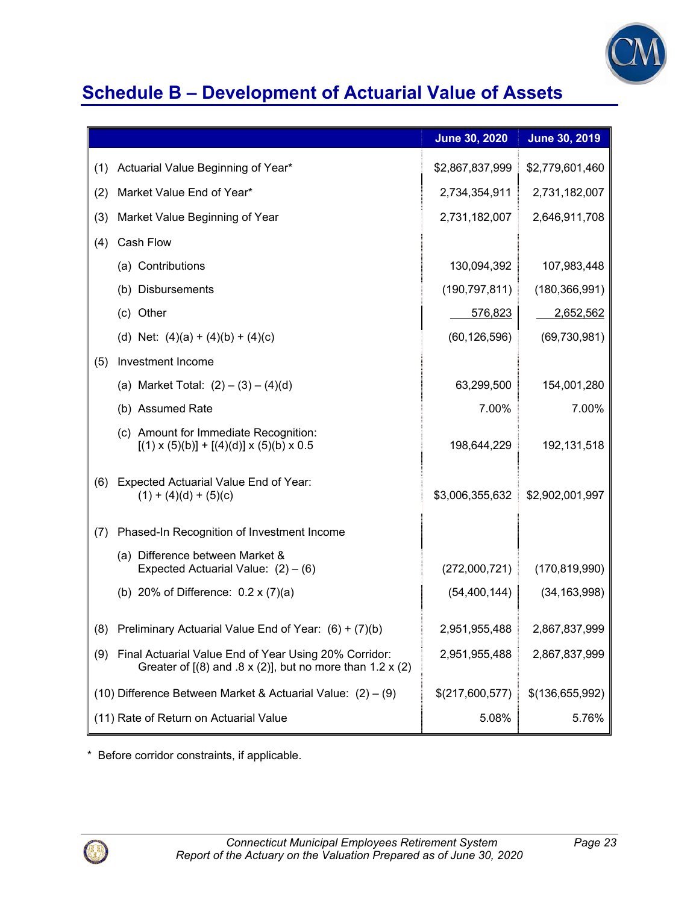

### **Schedule B – Development of Actuarial Value of Assets**

|     |                                                                                                                              | June 30, 2020   | <b>June 30, 2019</b> |
|-----|------------------------------------------------------------------------------------------------------------------------------|-----------------|----------------------|
| (1) | Actuarial Value Beginning of Year*                                                                                           | \$2,867,837,999 | \$2,779,601,460      |
| (2) | Market Value End of Year*                                                                                                    | 2,734,354,911   | 2,731,182,007        |
| (3) | Market Value Beginning of Year                                                                                               | 2,731,182,007   | 2,646,911,708        |
| (4) | Cash Flow                                                                                                                    |                 |                      |
|     | (a) Contributions                                                                                                            | 130,094,392     | 107,983,448          |
|     | (b) Disbursements                                                                                                            | (190, 797, 811) | (180, 366, 991)      |
|     | (c) Other                                                                                                                    | 576,823         | 2,652,562            |
|     | (d) Net: $(4)(a) + (4)(b) + (4)(c)$                                                                                          | (60, 126, 596)  | (69, 730, 981)       |
| (5) | Investment Income                                                                                                            |                 |                      |
|     | (a) Market Total: $(2) - (3) - (4)(d)$                                                                                       | 63,299,500      | 154,001,280          |
|     | (b) Assumed Rate                                                                                                             | 7.00%           | 7.00%                |
|     | (c) Amount for Immediate Recognition:<br>$[(1) \times (5)(b)] + [(4)(d)] \times (5)(b) \times 0.5$                           | 198,644,229     | 192,131,518          |
| (6) | Expected Actuarial Value End of Year:<br>$(1) + (4)(d) + (5)(c)$                                                             | \$3,006,355,632 | \$2,902,001,997      |
| (7) | Phased-In Recognition of Investment Income                                                                                   |                 |                      |
|     | (a) Difference between Market &<br>Expected Actuarial Value: $(2) - (6)$                                                     | (272,000,721)   | (170, 819, 990)      |
|     | (b) 20% of Difference: $0.2 \times (7)(a)$                                                                                   | (54, 400, 144)  | (34, 163, 998)       |
| (8) | Preliminary Actuarial Value End of Year: (6) + (7)(b)                                                                        | 2,951,955,488   | 2,867,837,999        |
| (9) | Final Actuarial Value End of Year Using 20% Corridor:<br>Greater of $[(8)$ and $.8 \times (2)]$ , but no more than 1.2 x (2) | 2,951,955,488   | 2,867,837,999        |
|     | (10) Difference Between Market & Actuarial Value: $(2) - (9)$                                                                | \$(217,600,577) | \$(136,655,992)      |
|     | (11) Rate of Return on Actuarial Value                                                                                       | 5.08%           | 5.76%                |

\* Before corridor constraints, if applicable.

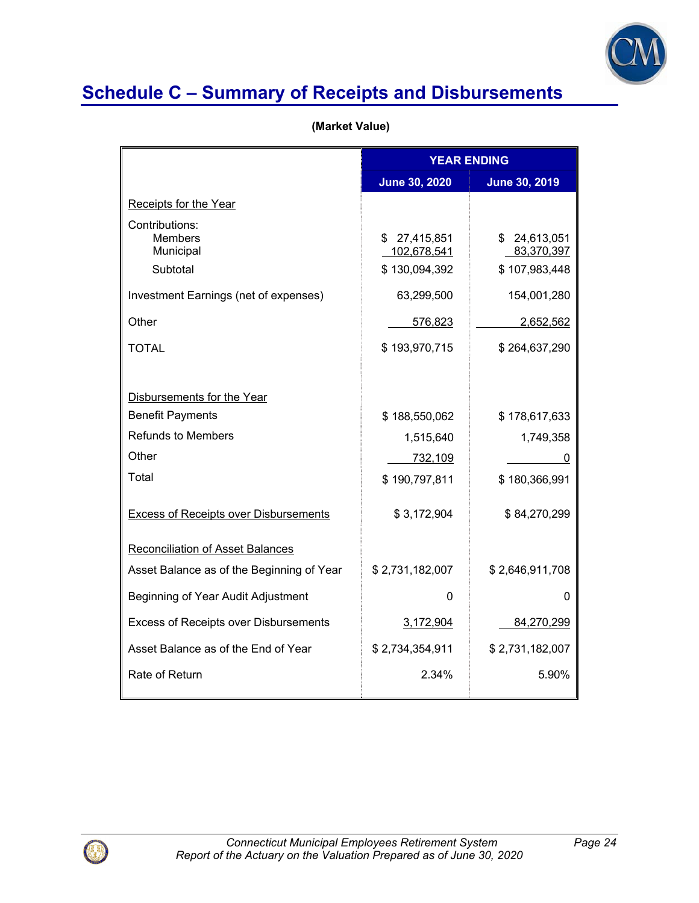

## **Schedule C – Summary of Receipts and Disbursements**

 **(Market Value)**

|                                                    | <b>YEAR ENDING</b>                           |                                             |
|----------------------------------------------------|----------------------------------------------|---------------------------------------------|
|                                                    | <b>June 30, 2020</b>                         | <b>June 30, 2019</b>                        |
| Receipts for the Year                              |                                              |                                             |
| Contributions:<br>Members<br>Municipal<br>Subtotal | \$27,415,851<br>102,678,541<br>\$130,094,392 | \$24,613,051<br>83,370,397<br>\$107,983,448 |
| Investment Earnings (net of expenses)              | 63,299,500                                   | 154,001,280                                 |
| Other                                              | 576,823                                      | 2,652,562                                   |
| <b>TOTAL</b>                                       | \$193,970,715                                | \$264,637,290                               |
| Disbursements for the Year                         |                                              |                                             |
| <b>Benefit Payments</b>                            | \$188,550,062                                | \$178,617,633                               |
| <b>Refunds to Members</b>                          | 1,515,640                                    | 1,749,358                                   |
| Other                                              | 732,109                                      | O                                           |
| Total                                              | \$190,797,811                                | \$180,366,991                               |
| <b>Excess of Receipts over Disbursements</b>       | \$3,172,904                                  | \$84,270,299                                |
| <b>Reconciliation of Asset Balances</b>            |                                              |                                             |
| Asset Balance as of the Beginning of Year          | \$2,731,182,007                              | \$2,646,911,708                             |
| Beginning of Year Audit Adjustment                 | 0                                            | 0                                           |
| <b>Excess of Receipts over Disbursements</b>       | 3,172,904                                    | 84,270,299                                  |
| Asset Balance as of the End of Year                | \$2,734,354,911                              | \$2,731,182,007                             |
| Rate of Return                                     | 2.34%                                        | 5.90%                                       |

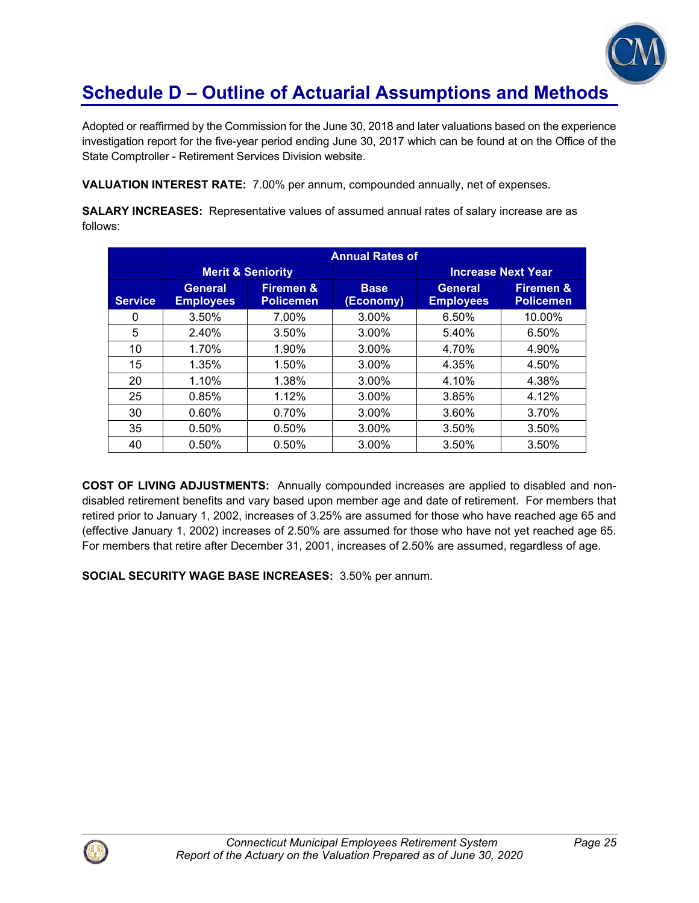

### **Schedule D – Outline of Actuarial Assumptions and Methods**

Adopted or reaffirmed by the Commission for the June 30, 2018 and later valuations based on the experience investigation report for the five-year period ending June 30, 2017 which can be found at on the Office of the State Comptroller - Retirement Services Division website.

**VALUATION INTEREST RATE:** 7.00% per annum, compounded annually, net of expenses.

**SALARY INCREASES:** Representative values of assumed annual rates of salary increase are as follows:

|                | <b>Annual Rates of</b>             |                                          |                          |                                    |                                          |
|----------------|------------------------------------|------------------------------------------|--------------------------|------------------------------------|------------------------------------------|
|                | <b>Merit &amp; Seniority</b>       |                                          |                          | <b>Increase Next Year</b>          |                                          |
| <b>Service</b> | <b>General</b><br><b>Employees</b> | <b>Firemen &amp;</b><br><b>Policemen</b> | <b>Base</b><br>(Economy) | <b>General</b><br><b>Employees</b> | <b>Firemen &amp;</b><br><b>Policemen</b> |
| 0              | 3.50%                              | 7.00%                                    | $3.00\%$                 | 6.50%                              | 10.00%                                   |
| 5              | 2.40%                              | 3.50%                                    | $3.00\%$                 | 5.40%                              | 6.50%                                    |
| 10             | 1.70%                              | 1.90%                                    | $3.00\%$                 | 4.70%                              | 4.90%                                    |
| 15             | 1.35%                              | 1.50%                                    | 3.00%                    | 4.35%                              | 4.50%                                    |
| 20             | 1.10%                              | 1.38%                                    | $3.00\%$                 | 4.10%                              | 4.38%                                    |
| 25             | 0.85%                              | 1.12%                                    | $3.00\%$                 | 3.85%                              | 4.12%                                    |
| 30             | 0.60%                              | 0.70%                                    | 3.00%                    | 3.60%                              | 3.70%                                    |
| 35             | 0.50%                              | 0.50%                                    | 3.00%                    | 3.50%                              | 3.50%                                    |
| 40             | 0.50%                              | 0.50%                                    | 3.00%                    | 3.50%                              | 3.50%                                    |

**COST OF LIVING ADJUSTMENTS:** Annually compounded increases are applied to disabled and nondisabled retirement benefits and vary based upon member age and date of retirement. For members that retired prior to January 1, 2002, increases of 3.25% are assumed for those who have reached age 65 and (effective January 1, 2002) increases of 2.50% are assumed for those who have not yet reached age 65. For members that retire after December 31, 2001, increases of 2.50% are assumed, regardless of age.

**SOCIAL SECURITY WAGE BASE INCREASES:** 3.50% per annum.

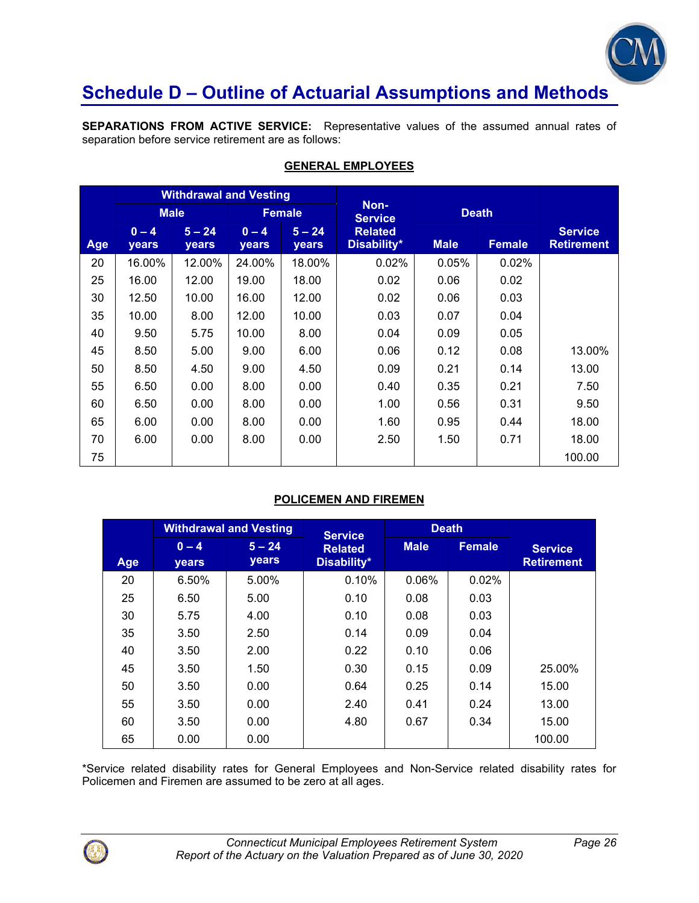

### **Schedule D – Outline of Actuarial Assumptions and Methods**

**SEPARATIONS FROM ACTIVE SERVICE:** Representative values of the assumed annual rates of separation before service retirement are as follows:

|            | <b>Withdrawal and Vesting</b> |                   |                  |                   |                               |             |               |                                     |
|------------|-------------------------------|-------------------|------------------|-------------------|-------------------------------|-------------|---------------|-------------------------------------|
|            |                               | <b>Male</b>       | <b>Female</b>    |                   | Non-<br><b>Service</b>        |             | <b>Death</b>  |                                     |
| <b>Age</b> | $0 - 4$<br><b>years</b>       | $5 - 24$<br>years | $0 - 4$<br>years | $5 - 24$<br>years | <b>Related</b><br>Disability* | <b>Male</b> | <b>Female</b> | <b>Service</b><br><b>Retirement</b> |
| 20         | 16.00%                        | 12.00%            | 24.00%           | 18.00%            | 0.02%                         | 0.05%       | 0.02%         |                                     |
| 25         | 16.00                         | 12.00             | 19.00            | 18.00             | 0.02                          | 0.06        | 0.02          |                                     |
| 30         | 12.50                         | 10.00             | 16.00            | 12.00             | 0.02                          | 0.06        | 0.03          |                                     |
| 35         | 10.00                         | 8.00              | 12.00            | 10.00             | 0.03                          | 0.07        | 0.04          |                                     |
| 40         | 9.50                          | 5.75              | 10.00            | 8.00              | 0.04                          | 0.09        | 0.05          |                                     |
| 45         | 8.50                          | 5.00              | 9.00             | 6.00              | 0.06                          | 0.12        | 0.08          | 13.00%                              |
| 50         | 8.50                          | 4.50              | 9.00             | 4.50              | 0.09                          | 0.21        | 0.14          | 13.00                               |
| 55         | 6.50                          | 0.00              | 8.00             | 0.00              | 0.40                          | 0.35        | 0.21          | 7.50                                |
| 60         | 6.50                          | 0.00              | 8.00             | 0.00              | 1.00                          | 0.56        | 0.31          | 9.50                                |
| 65         | 6.00                          | 0.00              | 8.00             | 0.00              | 1.60                          | 0.95        | 0.44          | 18.00                               |
| 70         | 6.00                          | 0.00              | 8.00             | 0.00              | 2.50                          | 1.50        | 0.71          | 18.00                               |
| 75         |                               |                   |                  |                   |                               |             |               | 100.00                              |

### **GENERAL EMPLOYEES**

### **POLICEMEN AND FIREMEN**

|     |                  | <b>Withdrawal and Vesting</b> | <b>Service</b>                | <b>Death</b> |               |                                     |
|-----|------------------|-------------------------------|-------------------------------|--------------|---------------|-------------------------------------|
| Age | $0 - 4$<br>years | $5 - 24$<br>years             | <b>Related</b><br>Disability* | <b>Male</b>  | <b>Female</b> | <b>Service</b><br><b>Retirement</b> |
| 20  | 6.50%            | 5.00%                         | 0.10%                         | 0.06%        | 0.02%         |                                     |
| 25  | 6.50             | 5.00                          | 0.10                          | 0.08         | 0.03          |                                     |
| 30  | 5.75             | 4.00                          | 0.10                          | 0.08         | 0.03          |                                     |
| 35  | 3.50             | 2.50                          | 0.14                          | 0.09         | 0.04          |                                     |
| 40  | 3.50             | 2.00                          | 0.22                          | 0.10         | 0.06          |                                     |
| 45  | 3.50             | 1.50                          | 0.30                          | 0.15         | 0.09          | 25.00%                              |
| 50  | 3.50             | 0.00                          | 0.64                          | 0.25         | 0.14          | 15.00                               |
| 55  | 3.50             | 0.00                          | 2.40                          | 0.41         | 0.24          | 13.00                               |
| 60  | 3.50             | 0.00                          | 4.80                          | 0.67         | 0.34          | 15.00                               |
| 65  | 0.00             | 0.00                          |                               |              |               | 100.00                              |

\*Service related disability rates for General Employees and Non-Service related disability rates for Policemen and Firemen are assumed to be zero at all ages.

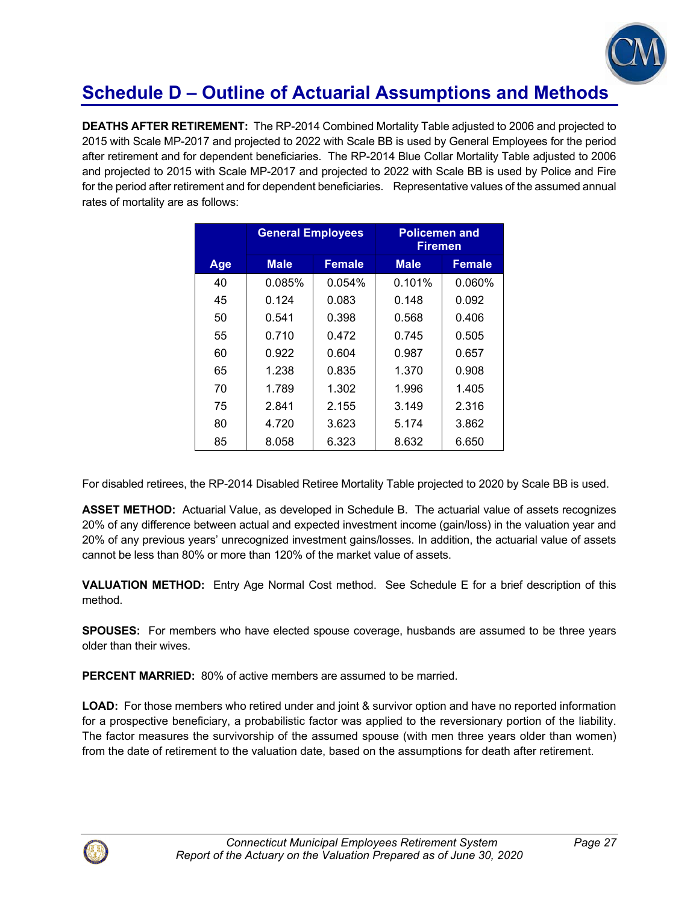

# **Schedule D – Outline of Actuarial Assumptions and Methods**

**DEATHS AFTER RETIREMENT:** The RP-2014 Combined Mortality Table adjusted to 2006 and projected to 2015 with Scale MP-2017 and projected to 2022 with Scale BB is used by General Employees for the period after retirement and for dependent beneficiaries. The RP-2014 Blue Collar Mortality Table adjusted to 2006 and projected to 2015 with Scale MP-2017 and projected to 2022 with Scale BB is used by Police and Fire for the period after retirement and for dependent beneficiaries. Representative values of the assumed annual rates of mortality are as follows:

|     | <b>General Employees</b> |               | <b>Policemen and</b><br>Firemen |               |  |
|-----|--------------------------|---------------|---------------------------------|---------------|--|
| Age | <b>Male</b>              | <b>Female</b> | <b>Male</b>                     | <b>Female</b> |  |
| 40  | 0.085%                   | $0.054\%$     | 0.101%                          | 0.060%        |  |
| 45  | 0.124                    | 0.083         | 0.148                           | 0.092         |  |
| 50  | 0.541                    | 0.398         | 0.568                           | 0.406         |  |
| 55  | 0.710                    | 0.472         | 0.745                           | 0.505         |  |
| 60  | 0.922                    | 0.604         | 0.987                           | 0.657         |  |
| 65  | 1.238                    | 0.835         | 1.370                           | 0.908         |  |
| 70  | 1.789                    | 1.302         | 1.996                           | 1.405         |  |
| 75  | 2.841                    | 2.155         | 3.149                           | 2.316         |  |
| 80  | 4.720                    | 3.623         | 5.174                           | 3.862         |  |
| 85  | 8.058                    | 6.323         | 8.632                           | 6.650         |  |

For disabled retirees, the RP-2014 Disabled Retiree Mortality Table projected to 2020 by Scale BB is used.

**ASSET METHOD:** Actuarial Value, as developed in Schedule B. The actuarial value of assets recognizes 20% of any difference between actual and expected investment income (gain/loss) in the valuation year and 20% of any previous years' unrecognized investment gains/losses. In addition, the actuarial value of assets cannot be less than 80% or more than 120% of the market value of assets.

**VALUATION METHOD:** Entry Age Normal Cost method. See Schedule E for a brief description of this method.

**SPOUSES:** For members who have elected spouse coverage, husbands are assumed to be three years older than their wives.

**PERCENT MARRIED:** 80% of active members are assumed to be married.

**LOAD:** For those members who retired under and joint & survivor option and have no reported information for a prospective beneficiary, a probabilistic factor was applied to the reversionary portion of the liability. The factor measures the survivorship of the assumed spouse (with men three years older than women) from the date of retirement to the valuation date, based on the assumptions for death after retirement.

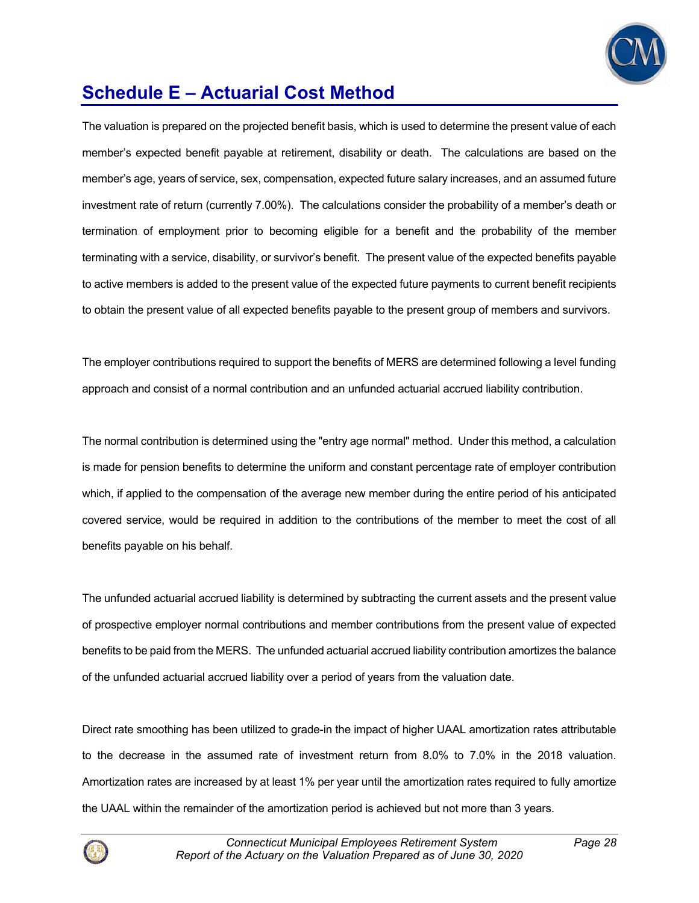

# **Schedule E – Actuarial Cost Method**

The valuation is prepared on the projected benefit basis, which is used to determine the present value of each member's expected benefit payable at retirement, disability or death. The calculations are based on the member's age, years of service, sex, compensation, expected future salary increases, and an assumed future investment rate of return (currently 7.00%). The calculations consider the probability of a member's death or termination of employment prior to becoming eligible for a benefit and the probability of the member terminating with a service, disability, or survivor's benefit. The present value of the expected benefits payable to active members is added to the present value of the expected future payments to current benefit recipients to obtain the present value of all expected benefits payable to the present group of members and survivors.

The employer contributions required to support the benefits of MERS are determined following a level funding approach and consist of a normal contribution and an unfunded actuarial accrued liability contribution.

The normal contribution is determined using the "entry age normal" method. Under this method, a calculation is made for pension benefits to determine the uniform and constant percentage rate of employer contribution which, if applied to the compensation of the average new member during the entire period of his anticipated covered service, would be required in addition to the contributions of the member to meet the cost of all benefits payable on his behalf.

The unfunded actuarial accrued liability is determined by subtracting the current assets and the present value of prospective employer normal contributions and member contributions from the present value of expected benefits to be paid from the MERS. The unfunded actuarial accrued liability contribution amortizes the balance of the unfunded actuarial accrued liability over a period of years from the valuation date.

Direct rate smoothing has been utilized to grade-in the impact of higher UAAL amortization rates attributable to the decrease in the assumed rate of investment return from 8.0% to 7.0% in the 2018 valuation. Amortization rates are increased by at least 1% per year until the amortization rates required to fully amortize the UAAL within the remainder of the amortization period is achieved but not more than 3 years.

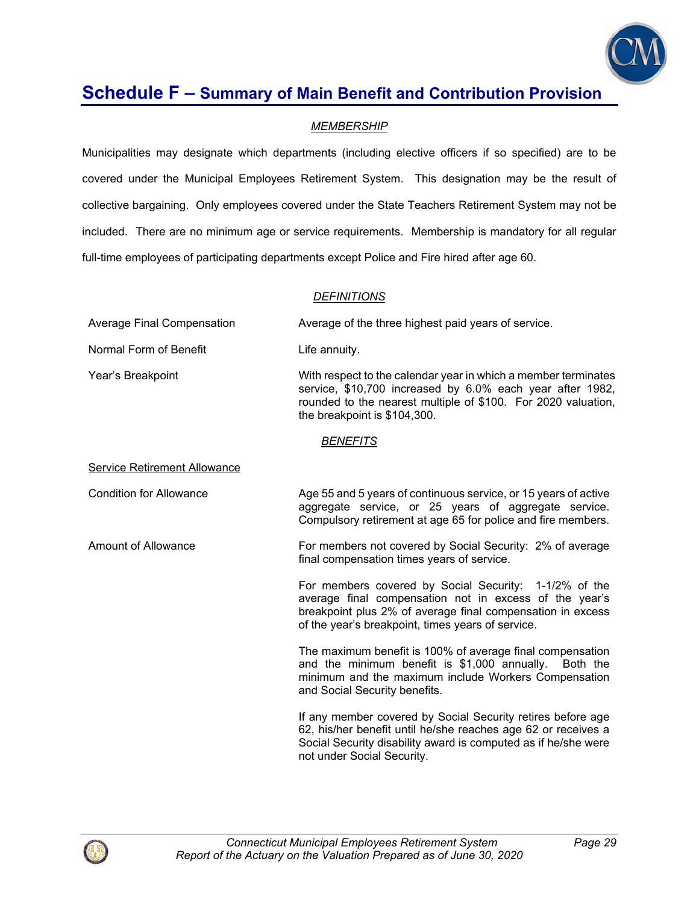

### *MEMBERSHIP*

Municipalities may designate which departments (including elective officers if so specified) are to be covered under the Municipal Employees Retirement System. This designation may be the result of collective bargaining. Only employees covered under the State Teachers Retirement System may not be included. There are no minimum age or service requirements. Membership is mandatory for all regular full-time employees of participating departments except Police and Fire hired after age 60.

### *DEFINITIONS*

| Average Final Compensation | Average of the three highest paid years of service.                                                                                                                                                                          |
|----------------------------|------------------------------------------------------------------------------------------------------------------------------------------------------------------------------------------------------------------------------|
| Normal Form of Benefit     | Life annuity.                                                                                                                                                                                                                |
| Year's Breakpoint          | With respect to the calendar year in which a member terminates<br>service, \$10,700 increased by 6.0% each year after 1982,<br>rounded to the nearest multiple of \$100. For 2020 valuation,<br>the breakpoint is \$104,300. |

#### *BENEFITS*

Service Retirement Allowance

Condition for Allowance **Age 55 and 5 years of continuous service**, or 15 years of active aggregate service, or 25 years of aggregate service. Compulsory retirement at age 65 for police and fire members.

Amount of Allowance For members not covered by Social Security: 2% of average final compensation times years of service.

> For members covered by Social Security: 1-1/2% of the average final compensation not in excess of the year's breakpoint plus 2% of average final compensation in excess of the year's breakpoint, times years of service.

> The maximum benefit is 100% of average final compensation and the minimum benefit is \$1,000 annually. Both the minimum and the maximum include Workers Compensation and Social Security benefits.

> If any member covered by Social Security retires before age 62, his/her benefit until he/she reaches age 62 or receives a Social Security disability award is computed as if he/she were not under Social Security.

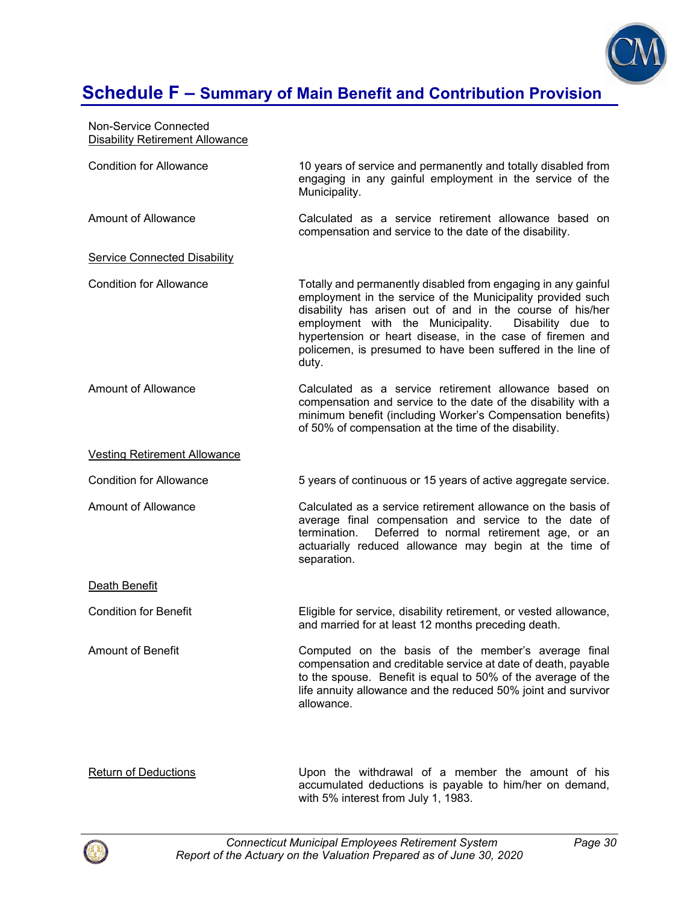

| Non-Service Connected<br><b>Disability Retirement Allowance</b> |                                                                                                                                                                                                                                                                                                                                                                                          |
|-----------------------------------------------------------------|------------------------------------------------------------------------------------------------------------------------------------------------------------------------------------------------------------------------------------------------------------------------------------------------------------------------------------------------------------------------------------------|
| <b>Condition for Allowance</b>                                  | 10 years of service and permanently and totally disabled from<br>engaging in any gainful employment in the service of the<br>Municipality.                                                                                                                                                                                                                                               |
| <b>Amount of Allowance</b>                                      | Calculated as a service retirement allowance based on<br>compensation and service to the date of the disability.                                                                                                                                                                                                                                                                         |
| <b>Service Connected Disability</b>                             |                                                                                                                                                                                                                                                                                                                                                                                          |
| <b>Condition for Allowance</b>                                  | Totally and permanently disabled from engaging in any gainful<br>employment in the service of the Municipality provided such<br>disability has arisen out of and in the course of his/her<br>employment with the Municipality.<br>Disability due to<br>hypertension or heart disease, in the case of firemen and<br>policemen, is presumed to have been suffered in the line of<br>duty. |
| <b>Amount of Allowance</b>                                      | Calculated as a service retirement allowance based on<br>compensation and service to the date of the disability with a<br>minimum benefit (including Worker's Compensation benefits)<br>of 50% of compensation at the time of the disability.                                                                                                                                            |
| <b>Vesting Retirement Allowance</b>                             |                                                                                                                                                                                                                                                                                                                                                                                          |
| <b>Condition for Allowance</b>                                  | 5 years of continuous or 15 years of active aggregate service.                                                                                                                                                                                                                                                                                                                           |
| <b>Amount of Allowance</b>                                      | Calculated as a service retirement allowance on the basis of<br>average final compensation and service to the date of<br>termination.<br>Deferred to normal retirement age, or an<br>actuarially reduced allowance may begin at the time of<br>separation.                                                                                                                               |
| Death Benefit                                                   |                                                                                                                                                                                                                                                                                                                                                                                          |
| <b>Condition for Benefit</b>                                    | Eligible for service, disability retirement, or vested allowance,<br>and married for at least 12 months preceding death.                                                                                                                                                                                                                                                                 |
| <b>Amount of Benefit</b>                                        | Computed on the basis of the member's average final<br>compensation and creditable service at date of death, payable<br>to the spouse. Benefit is equal to 50% of the average of the<br>life annuity allowance and the reduced 50% joint and survivor<br>allowance.                                                                                                                      |

Return of Deductions **Example 20** Upon the withdrawal of a member the amount of his accumulated deductions is payable to him/her on demand, with 5% interest from July 1, 1983.

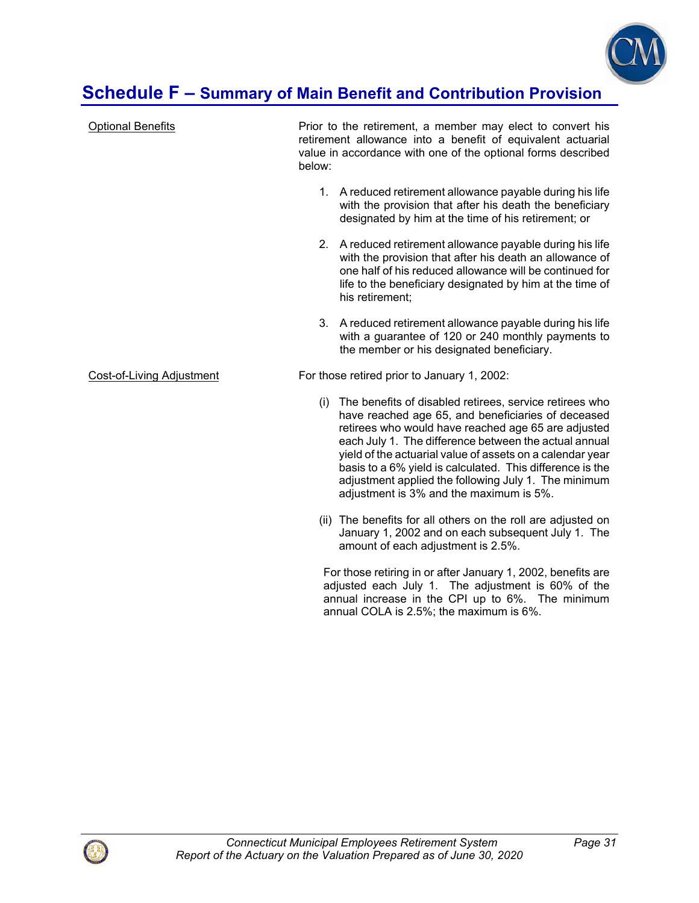

| <b>Optional Benefits</b>         | below: | Prior to the retirement, a member may elect to convert his<br>retirement allowance into a benefit of equivalent actuarial<br>value in accordance with one of the optional forms described                                                                                                                                                                                                                                                                  |
|----------------------------------|--------|------------------------------------------------------------------------------------------------------------------------------------------------------------------------------------------------------------------------------------------------------------------------------------------------------------------------------------------------------------------------------------------------------------------------------------------------------------|
|                                  |        | 1. A reduced retirement allowance payable during his life<br>with the provision that after his death the beneficiary<br>designated by him at the time of his retirement; or                                                                                                                                                                                                                                                                                |
|                                  |        | 2. A reduced retirement allowance payable during his life<br>with the provision that after his death an allowance of<br>one half of his reduced allowance will be continued for<br>life to the beneficiary designated by him at the time of<br>his retirement;                                                                                                                                                                                             |
|                                  |        | 3. A reduced retirement allowance payable during his life<br>with a guarantee of 120 or 240 monthly payments to<br>the member or his designated beneficiary.                                                                                                                                                                                                                                                                                               |
| <b>Cost-of-Living Adjustment</b> |        | For those retired prior to January 1, 2002:                                                                                                                                                                                                                                                                                                                                                                                                                |
|                                  | (i)    | The benefits of disabled retirees, service retirees who<br>have reached age 65, and beneficiaries of deceased<br>retirees who would have reached age 65 are adjusted<br>each July 1. The difference between the actual annual<br>yield of the actuarial value of assets on a calendar year<br>basis to a 6% yield is calculated. This difference is the<br>adjustment applied the following July 1. The minimum<br>adjustment is 3% and the maximum is 5%. |
|                                  |        | (ii) The benefits for all others on the roll are adjusted on<br>January 1, 2002 and on each subsequent July 1. The<br>amount of each adjustment is 2.5%.                                                                                                                                                                                                                                                                                                   |
|                                  |        | For those retiring in or after January 1, 2002, benefits are<br>adjusted each July 1. The adjustment is 60% of the                                                                                                                                                                                                                                                                                                                                         |

annual increase in the CPI up to 6%. The minimum

annual COLA is 2.5%; the maximum is 6%.

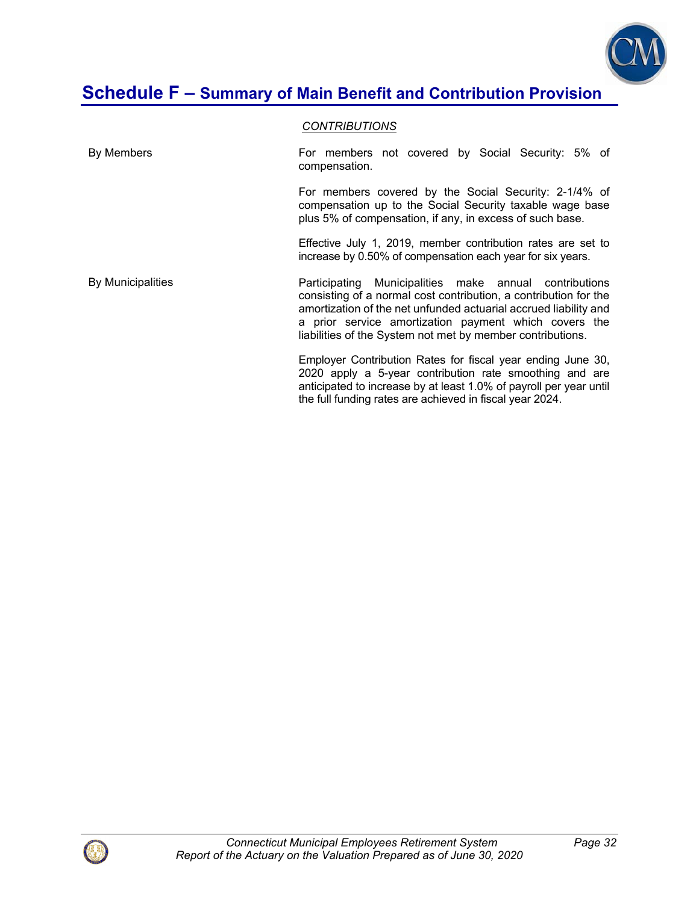

#### *CONTRIBUTIONS*

By Members **For members not covered by Social Security: 5% of** Social Security: 5% of compensation. For members covered by the Social Security: 2-1/4% of compensation up to the Social Security taxable wage base plus 5% of compensation, if any, in excess of such base. Effective July 1, 2019, member contribution rates are set to increase by 0.50% of compensation each year for six years. By Municipalities **Participating Municipalities make annual contributions** consisting of a normal cost contribution, a contribution for the amortization of the net unfunded actuarial accrued liability and a prior service amortization payment which covers the liabilities of the System not met by member contributions. Employer Contribution Rates for fiscal year ending June 30, 2020 apply a 5-year contribution rate smoothing and are anticipated to increase by at least 1.0% of payroll per year until the full funding rates are achieved in fiscal year 2024.

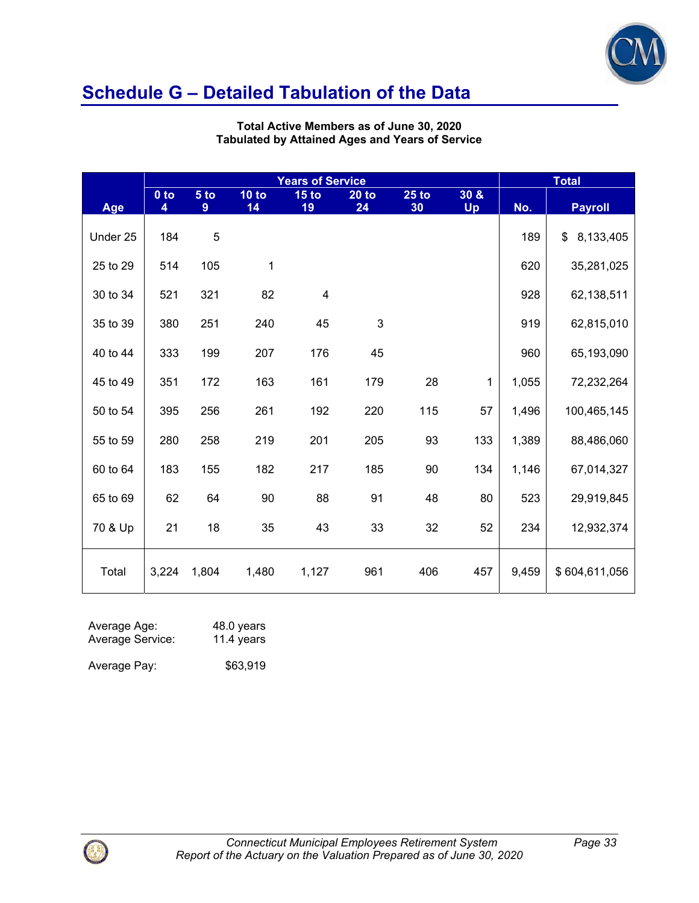

|          |             |                      |             | <b>Total</b>                                      |               |               |           |       |                |
|----------|-------------|----------------------|-------------|---------------------------------------------------|---------------|---------------|-----------|-------|----------------|
|          | $0$ to<br>4 | 5 <sub>to</sub><br>9 | 10 to<br>14 | <b>Years of Service</b><br>15 <sub>to</sub><br>19 | $20$ to<br>24 | $25$ to<br>30 | 30 &      | No.   |                |
| Age      |             |                      |             |                                                   |               |               | <b>Up</b> |       | <b>Payroll</b> |
| Under 25 | 184         | $\sqrt{5}$           |             |                                                   |               |               |           | 189   | \$8,133,405    |
| 25 to 29 | 514         | 105                  | 1           |                                                   |               |               |           | 620   | 35,281,025     |
| 30 to 34 | 521         | 321                  | 82          | $\overline{\mathbf{4}}$                           |               |               |           | 928   | 62,138,511     |
| 35 to 39 | 380         | 251                  | 240         | 45                                                | 3             |               |           | 919   | 62,815,010     |
| 40 to 44 | 333         | 199                  | 207         | 176                                               | 45            |               |           | 960   | 65,193,090     |
| 45 to 49 | 351         | 172                  | 163         | 161                                               | 179           | 28            | 1         | 1,055 | 72,232,264     |
| 50 to 54 | 395         | 256                  | 261         | 192                                               | 220           | 115           | 57        | 1,496 | 100,465,145    |
| 55 to 59 | 280         | 258                  | 219         | 201                                               | 205           | 93            | 133       | 1,389 | 88,486,060     |
| 60 to 64 | 183         | 155                  | 182         | 217                                               | 185           | 90            | 134       | 1,146 | 67,014,327     |
| 65 to 69 | 62          | 64                   | 90          | 88                                                | 91            | 48            | 80        | 523   | 29,919,845     |
| 70 & Up  | 21          | 18                   | 35          | 43                                                | 33            | 32            | 52        | 234   | 12,932,374     |
| Total    | 3,224       | 1,804                | 1,480       | 1,127                                             | 961           | 406           | 457       | 9,459 | \$604,611,056  |

**Total Active Members as of June 30, 2020 Tabulated by Attained Ages and Years of Service** 

| Average Age:     | 48.0 years |
|------------------|------------|
| Average Service: | 11.4 years |

Average Pay: \$63,919

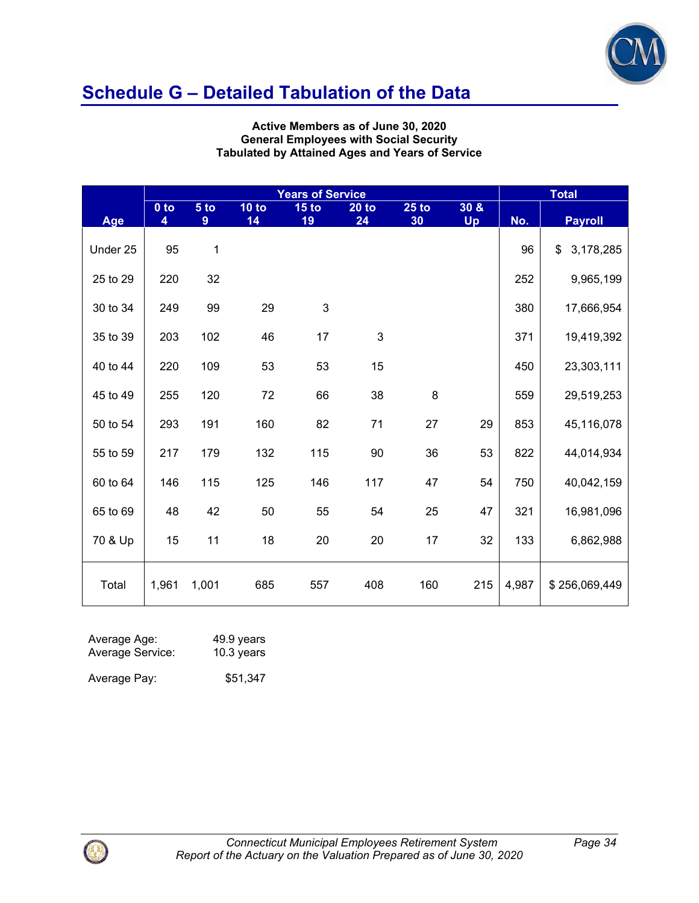

#### **Active Members as of June 30, 2020 General Employees with Social Security Tabulated by Attained Ages and Years of Service**

|          | <b>Years of Service</b> |           |             |                        |               |               |                     | <b>Total</b> |                 |  |
|----------|-------------------------|-----------|-------------|------------------------|---------------|---------------|---------------------|--------------|-----------------|--|
| Age      | $0$ to<br>4             | 5 to<br>9 | 10 to<br>14 | 15 <sub>to</sub><br>19 | $20$ to<br>24 | $25$ to<br>30 | 30 & 8<br><b>Up</b> | No.          | <b>Payroll</b>  |  |
| Under 25 | 95                      | 1         |             |                        |               |               |                     | 96           | \$<br>3,178,285 |  |
| 25 to 29 | 220                     | 32        |             |                        |               |               |                     | 252          | 9,965,199       |  |
| 30 to 34 | 249                     | 99        | 29          | $\mathfrak{S}$         |               |               |                     | 380          | 17,666,954      |  |
| 35 to 39 | 203                     | 102       | 46          | 17                     | 3             |               |                     | 371          | 19,419,392      |  |
| 40 to 44 | 220                     | 109       | 53          | 53                     | 15            |               |                     | 450          | 23,303,111      |  |
| 45 to 49 | 255                     | 120       | 72          | 66                     | 38            | $\bf 8$       |                     | 559          | 29,519,253      |  |
| 50 to 54 | 293                     | 191       | 160         | 82                     | 71            | 27            | 29                  | 853          | 45,116,078      |  |
| 55 to 59 | 217                     | 179       | 132         | 115                    | 90            | 36            | 53                  | 822          | 44,014,934      |  |
| 60 to 64 | 146                     | 115       | 125         | 146                    | 117           | 47            | 54                  | 750          | 40,042,159      |  |
| 65 to 69 | 48                      | 42        | 50          | 55                     | 54            | 25            | 47                  | 321          | 16,981,096      |  |
| 70 & Up  | 15                      | 11        | 18          | 20                     | 20            | 17            | 32                  | 133          | 6,862,988       |  |
| Total    | 1,961                   | 1,001     | 685         | 557                    | 408           | 160           | 215                 | 4,987        | \$256,069,449   |  |

| Average Age:     | 49.9 years |
|------------------|------------|
| Average Service: | 10.3 years |
| Average Pay:     | \$51,347   |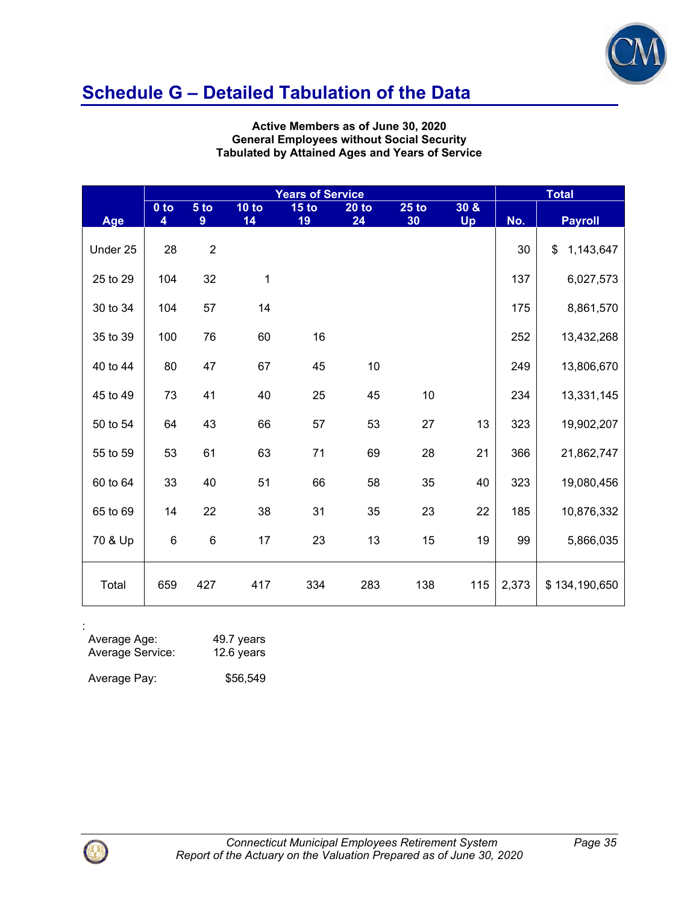

**Active Members as of June 30, 2020 General Employees without Social Security Tabulated by Attained Ages and Years of Service** 

|          | <b>Years of Service</b> |                |             |                        |                    |               |            | <b>Total</b> |                 |  |
|----------|-------------------------|----------------|-------------|------------------------|--------------------|---------------|------------|--------------|-----------------|--|
| Age      | $0$ to<br>4             | 5 to<br>9      | 10 to<br>14 | 15 <sub>to</sub><br>19 | <b>20 to</b><br>24 | $25$ to<br>30 | 30 &<br>Up | No.          | <b>Payroll</b>  |  |
|          |                         |                |             |                        |                    |               |            |              |                 |  |
| Under 25 | 28                      | $\overline{2}$ |             |                        |                    |               |            | 30           | \$<br>1,143,647 |  |
| 25 to 29 | 104                     | 32             | 1           |                        |                    |               |            | 137          | 6,027,573       |  |
| 30 to 34 | 104                     | 57             | 14          |                        |                    |               |            | 175          | 8,861,570       |  |
| 35 to 39 | 100                     | 76             | 60          | 16                     |                    |               |            | 252          | 13,432,268      |  |
| 40 to 44 | 80                      | 47             | 67          | 45                     | 10                 |               |            | 249          | 13,806,670      |  |
| 45 to 49 | 73                      | 41             | 40          | 25                     | 45                 | $10$          |            | 234          | 13,331,145      |  |
| 50 to 54 | 64                      | 43             | 66          | 57                     | 53                 | 27            | 13         | 323          | 19,902,207      |  |
| 55 to 59 | 53                      | 61             | 63          | 71                     | 69                 | 28            | 21         | 366          | 21,862,747      |  |
| 60 to 64 | 33                      | 40             | 51          | 66                     | 58                 | 35            | 40         | 323          | 19,080,456      |  |
| 65 to 69 | 14                      | 22             | 38          | 31                     | 35                 | 23            | 22         | 185          | 10,876,332      |  |
| 70 & Up  | $\,6$                   | $\,6$          | 17          | 23                     | 13                 | 15            | 19         | 99           | 5,866,035       |  |
| Total    | 659                     | 427            | 417         | 334                    | 283                | 138           | 115        | 2,373        | \$134,190,650   |  |

| Average Age:     | 49.7 years |
|------------------|------------|
| Average Service: | 12.6 years |
| Average Pay:     | \$56,549   |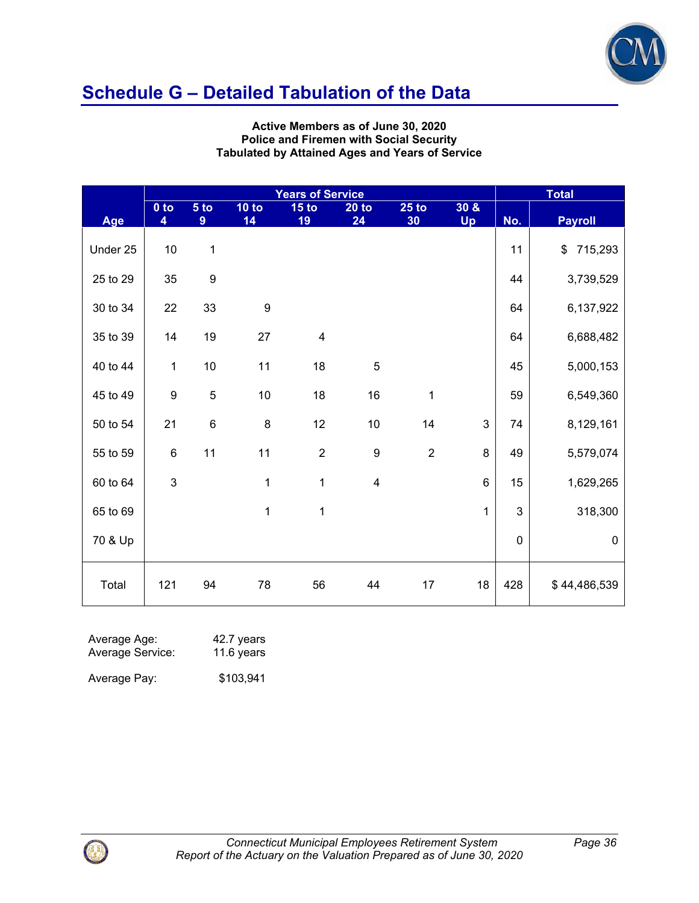

**Active Members as of June 30, 2020 Police and Firemen with Social Security Tabulated by Attained Ages and Years of Service** 

|          | <b>Years of Service</b> |                                   |                  |                         |                         |                        |                     |           | <b>Total</b>             |
|----------|-------------------------|-----------------------------------|------------------|-------------------------|-------------------------|------------------------|---------------------|-----------|--------------------------|
| Age      | $0$ to<br>4             | 5 <sub>to</sub><br>$9\phantom{.}$ | 10 to<br>14      | 15 <sub>to</sub><br>19  | $20$ to<br>24           | 25 <sub>to</sub><br>30 | 30 & 8<br><b>Up</b> | No.       | <b>Payroll</b>           |
| Under 25 | $10$                    | 1                                 |                  |                         |                         |                        |                     | 11        | $\frac{1}{2}$<br>715,293 |
| 25 to 29 | 35                      | $\boldsymbol{9}$                  |                  |                         |                         |                        |                     | 44        | 3,739,529                |
| 30 to 34 | 22                      | 33                                | $\boldsymbol{9}$ |                         |                         |                        |                     | 64        | 6,137,922                |
| 35 to 39 | 14                      | 19                                | 27               | $\overline{\mathbf{4}}$ |                         |                        |                     | 64        | 6,688,482                |
| 40 to 44 | $\mathbf{1}$            | $10$                              | 11               | 18                      | 5                       |                        |                     | 45        | 5,000,153                |
| 45 to 49 | $\boldsymbol{9}$        | 5                                 | $10$             | 18                      | 16                      | 1                      |                     | 59        | 6,549,360                |
| 50 to 54 | 21                      | 6                                 | $\bf 8$          | 12                      | $10$                    | 14                     | 3                   | 74        | 8,129,161                |
| 55 to 59 | $\,6$                   | 11                                | 11               | $\overline{2}$          | 9                       | $\overline{2}$         | 8                   | 49        | 5,579,074                |
| 60 to 64 | 3                       |                                   | 1                | 1                       | $\overline{\mathbf{4}}$ |                        | $6\phantom{1}$      | 15        | 1,629,265                |
| 65 to 69 |                         |                                   | $\mathbf{1}$     | 1                       |                         |                        | 1                   | 3         | 318,300                  |
| 70 & Up  |                         |                                   |                  |                         |                         |                        |                     | $\pmb{0}$ | $\boldsymbol{0}$         |
| Total    | 121                     | 94                                | 78               | 56                      | 44                      | 17                     | 18                  | 428       | \$44,486,539             |

| Average Age:     | 42.7 years |
|------------------|------------|
| Average Service: | 11.6 years |
| Average Pay:     | \$103,941  |

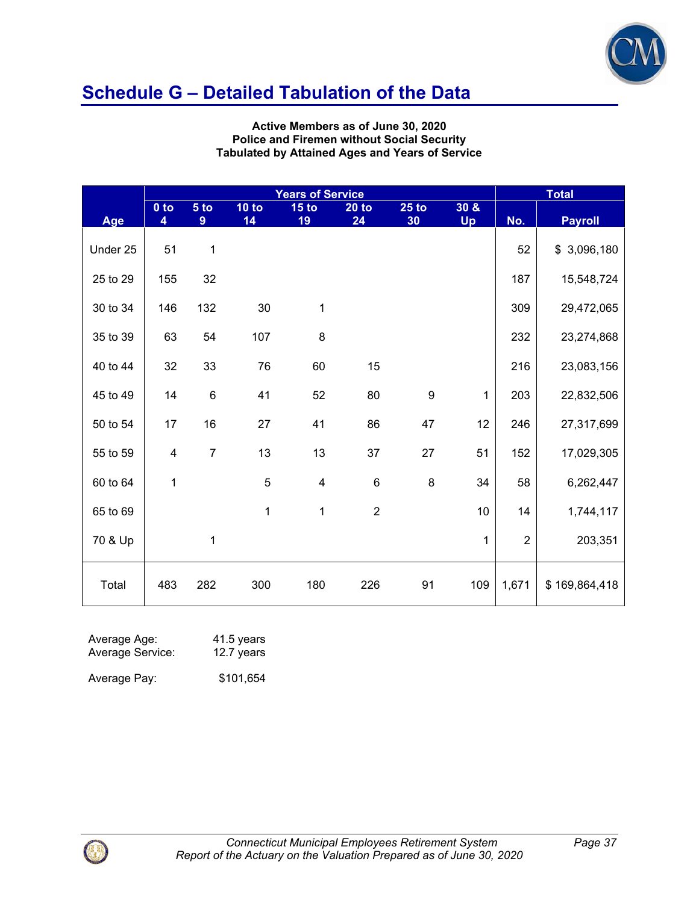

**Active Members as of June 30, 2020 Police and Firemen without Social Security Tabulated by Attained Ages and Years of Service** 

|          | <b>Years of Service</b> |                |               |                         |                |                  |            | <b>Total</b>   |                |  |
|----------|-------------------------|----------------|---------------|-------------------------|----------------|------------------|------------|----------------|----------------|--|
| Age      | $0$ to<br>4             | 5 to<br>9      | $10$ to<br>14 | 15 <sub>to</sub><br>19  | $20$ to<br>24  | $25$ to<br>30    | 30 &<br>Up | No.            | <b>Payroll</b> |  |
| Under 25 | 51                      | 1              |               |                         |                |                  |            | 52             | \$3,096,180    |  |
| 25 to 29 | 155                     | 32             |               |                         |                |                  |            | 187            | 15,548,724     |  |
| 30 to 34 | 146                     | 132            | 30            | 1                       |                |                  |            | 309            | 29,472,065     |  |
| 35 to 39 | 63                      | 54             | 107           | 8                       |                |                  |            | 232            | 23,274,868     |  |
| 40 to 44 | 32                      | 33             | 76            | 60                      | 15             |                  |            | 216            | 23,083,156     |  |
| 45 to 49 | 14                      | 6              | 41            | 52                      | 80             | $\boldsymbol{9}$ | 1          | 203            | 22,832,506     |  |
| 50 to 54 | 17                      | 16             | 27            | 41                      | 86             | 47               | 12         | 246            | 27,317,699     |  |
| 55 to 59 | 4                       | $\overline{7}$ | 13            | 13                      | 37             | 27               | 51         | 152            | 17,029,305     |  |
| 60 to 64 | $\mathbf 1$             |                | 5             | $\overline{\mathbf{4}}$ | $\,6$          | 8                | 34         | 58             | 6,262,447      |  |
| 65 to 69 |                         |                | $\mathbf{1}$  | 1                       | $\overline{2}$ |                  | 10         | 14             | 1,744,117      |  |
| 70 & Up  |                         | 1              |               |                         |                |                  | 1          | $\overline{2}$ | 203,351        |  |
| Total    | 483                     | 282            | 300           | 180                     | 226            | 91               | 109        | 1,671          | \$169,864,418  |  |

| Average Age:     | 41.5 years |
|------------------|------------|
| Average Service: | 12.7 years |
| Average Pay:     | \$101,654  |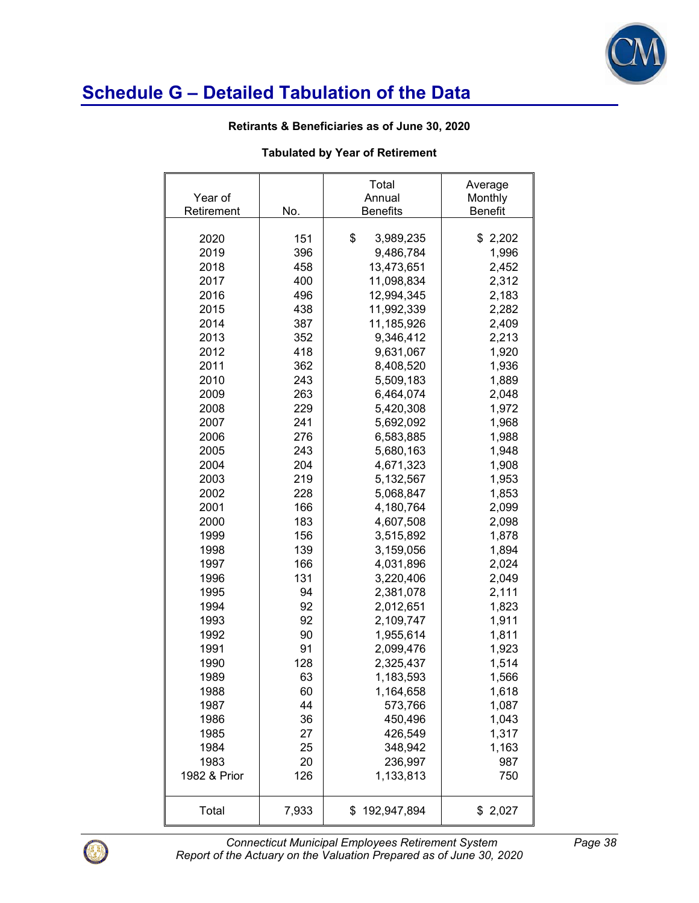

#### **Retirants & Beneficiaries as of June 30, 2020**

### **Tabulated by Year of Retirement**

| Year of      |       | Total<br>Annual   | Average<br>Monthly |
|--------------|-------|-------------------|--------------------|
| Retirement   | No.   | <b>Benefits</b>   | <b>Benefit</b>     |
|              |       |                   |                    |
| 2020         | 151   | \$<br>3,989,235   | \$2,202            |
| 2019         | 396   | 9,486,784         | 1,996              |
| 2018         | 458   | 13,473,651        | 2,452              |
| 2017         | 400   | 11,098,834        | 2,312              |
| 2016         | 496   | 12,994,345        | 2,183              |
| 2015         | 438   | 11,992,339        | 2,282              |
| 2014         | 387   | 11,185,926        | 2,409              |
| 2013         | 352   | 9,346,412         | 2,213              |
| 2012         | 418   | 9,631,067         | 1,920              |
| 2011         | 362   | 8,408,520         | 1,936              |
| 2010         | 243   | 5,509,183         | 1,889              |
| 2009         | 263   | 6,464,074         | 2,048              |
| 2008         | 229   | 5,420,308         | 1,972              |
| 2007         | 241   | 5,692,092         | 1,968              |
| 2006         | 276   | 6,583,885         | 1,988              |
| 2005         | 243   | 5,680,163         | 1,948              |
| 2004         | 204   | 4,671,323         | 1,908              |
| 2003         | 219   | 5,132,567         | 1,953              |
| 2002         | 228   | 5,068,847         | 1,853              |
| 2001         | 166   | 4,180,764         | 2,099              |
| 2000         | 183   | 4,607,508         | 2,098              |
| 1999         | 156   | 3,515,892         | 1,878              |
| 1998         | 139   | 3,159,056         | 1,894              |
| 1997         | 166   | 4,031,896         | 2,024              |
| 1996         | 131   | 3,220,406         | 2,049              |
| 1995         | 94    | 2,381,078         | 2,111              |
| 1994         | 92    | 2,012,651         | 1,823              |
| 1993         | 92    | 2,109,747         | 1,911              |
| 1992         | 90    | 1,955,614         | 1,811              |
| 1991         | 91    | 2,099,476         | 1,923              |
| 1990         | 128   | 2,325,437         | 1,514              |
| 1989         | 63    | 1,183,593         | 1,566              |
| 1988         | 60    | 1,164,658         | 1,618              |
| 1987         | 44    | 573,766           | 1,087              |
| 1986         | 36    | 450,496           | 1,043              |
| 1985         | 27    | 426,549           | 1,317              |
| 1984         | 25    | 348,942           | 1,163              |
| 1983         | 20    | 236,997           | 987                |
| 1982 & Prior | 126   | 1,133,813         | 750                |
|              |       |                   |                    |
| Total        | 7,933 | 192,947,894<br>\$ | \$2,027            |



*Connecticut Municipal Employees Retirement System Page 38 Report of the Actuary on the Valuation Prepared as of June 30, 2020*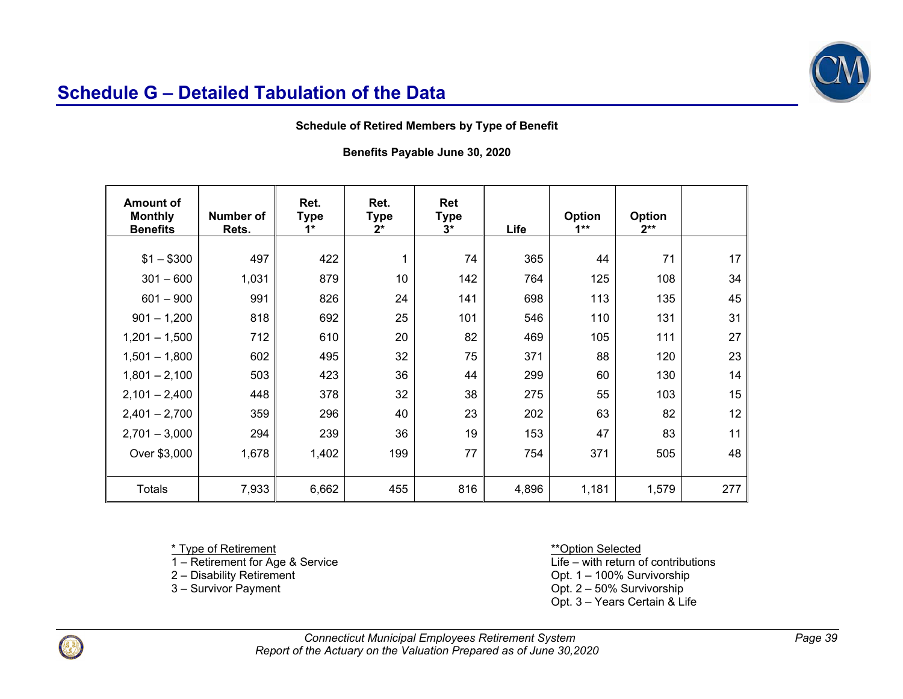

#### **Schedule of Retired Members by Type of Benefit**

**Benefits Payable June 30, 2020** 

| <b>Amount of</b><br><b>Monthly</b><br><b>Benefits</b> | <b>Number of</b><br>Rets. | Ret.<br><b>Type</b><br>$1*$ | Ret.<br>Type<br>$2^*$ | Ret<br>Type<br>$3*$ | Life  | Option<br>$1**$ | Option<br>$2**$ |     |
|-------------------------------------------------------|---------------------------|-----------------------------|-----------------------|---------------------|-------|-----------------|-----------------|-----|
|                                                       |                           |                             |                       |                     |       |                 |                 |     |
| $$1 - $300$                                           | 497                       | 422                         | 1                     | 74                  | 365   | 44              | 71              | 17  |
| $301 - 600$                                           | 1,031                     | 879                         | 10                    | 142                 | 764   | 125             | 108             | 34  |
| $601 - 900$                                           | 991                       | 826                         | 24                    | 141                 | 698   | 113             | 135             | 45  |
| $901 - 1,200$                                         | 818                       | 692                         | 25                    | 101                 | 546   | 110             | 131             | 31  |
| $1,201 - 1,500$                                       | 712                       | 610                         | 20                    | 82                  | 469   | 105             | 111             | 27  |
| $1,501 - 1,800$                                       | 602                       | 495                         | 32                    | 75                  | 371   | 88              | 120             | 23  |
| $1,801 - 2,100$                                       | 503                       | 423                         | 36                    | 44                  | 299   | 60              | 130             | 14  |
| $2,101 - 2,400$                                       | 448                       | 378                         | 32                    | 38                  | 275   | 55              | 103             | 15  |
| $2,401 - 2,700$                                       | 359                       | 296                         | 40                    | 23                  | 202   | 63              | 82              | 12  |
| $2,701 - 3,000$                                       | 294                       | 239                         | 36                    | 19                  | 153   | 47              | 83              | 11  |
| Over \$3,000                                          | 1,678                     | 1,402                       | 199                   | 77                  | 754   | 371             | 505             | 48  |
|                                                       |                           |                             |                       |                     |       |                 |                 |     |
| <b>Totals</b>                                         | 7,933                     | 6,662                       | 455                   | 816                 | 4,896 | 1,181           | 1,579           | 277 |

1 – Retirement for Age & Service<br>2 – Disability Retirement

\*Type of Retirement<br>
1 – Retirement for Age & Service<br>
1 – Retirement for Age & Service<br>  $\frac{1}{2}$  – Western Selected<br>
Life – with return of contributions

2 – Disability Retirement<br>
3 – Survivor Payment<br>
3 – Survivorship<br>
Opt. 2 – 50% Survivorship

Opt.  $2 - 50\%$  Survivorship

Opt. 3 – Years Certain & Life

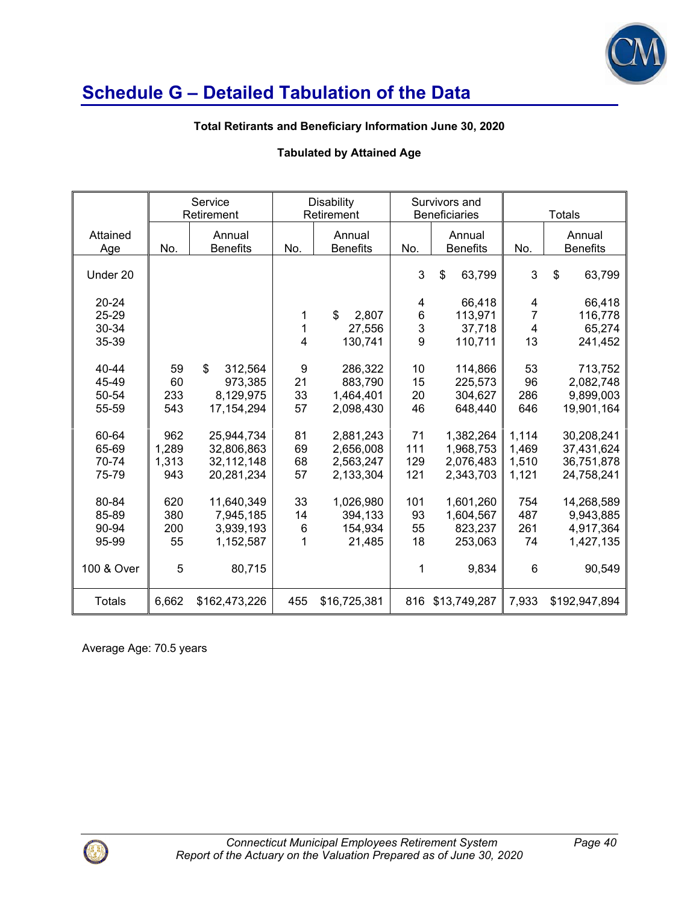

### **Total Retirants and Beneficiary Information June 30, 2020**

## **Tabulated by Attained Age**

|                 |       | Service<br>Retirement     |                | <b>Disability</b><br>Retirement |             | Survivors and<br><b>Beneficiaries</b> |                                  | <b>Totals</b>             |
|-----------------|-------|---------------------------|----------------|---------------------------------|-------------|---------------------------------------|----------------------------------|---------------------------|
| Attained<br>Age | No.   | Annual<br><b>Benefits</b> | No.            | Annual<br><b>Benefits</b>       | No.         | Annual<br><b>Benefits</b>             | No.                              | Annual<br><b>Benefits</b> |
| Under 20        |       |                           |                |                                 | 3           | \$<br>63,799                          | 3                                | \$<br>63,799              |
| $20 - 24$       |       |                           |                |                                 | 4           | 66,418                                | 4                                | 66,418                    |
| 25-29<br>30-34  |       |                           | 1<br>1         | $\mathbf S$<br>2,807            | $\, 6$<br>3 | 113,971                               | $\overline{7}$<br>$\overline{4}$ | 116,778                   |
| 35-39           |       |                           | $\overline{4}$ | 27,556<br>130,741               | 9           | 37,718<br>110,711                     | 13                               | 65,274<br>241,452         |
|                 |       |                           |                |                                 |             |                                       |                                  |                           |
| 40-44           | 59    | \$<br>312,564             | 9              | 286,322                         | 10          | 114,866                               | 53                               | 713,752                   |
| 45-49           | 60    | 973,385                   | 21             | 883,790                         | 15          | 225,573                               | 96                               | 2,082,748                 |
| 50-54           | 233   | 8,129,975                 | 33             | 1,464,401                       | 20          | 304,627                               | 286                              | 9,899,003                 |
| 55-59           | 543   | 17, 154, 294              | 57             | 2,098,430                       | 46          | 648,440                               | 646                              | 19,901,164                |
|                 |       |                           |                |                                 |             |                                       |                                  |                           |
| 60-64           | 962   | 25,944,734                | 81             | 2,881,243                       | 71          | 1,382,264                             | 1,114                            | 30,208,241                |
| 65-69           | 1,289 | 32,806,863                | 69             | 2,656,008                       | 111         | 1,968,753                             | 1,469                            | 37,431,624                |
| 70-74           | 1,313 | 32,112,148                | 68<br>57       | 2,563,247                       | 129         | 2,076,483                             | 1,510                            | 36,751,878                |
| 75-79           | 943   | 20,281,234                |                | 2,133,304                       | 121         | 2,343,703                             | 1,121                            | 24,758,241                |
| 80-84           | 620   | 11,640,349                | 33             | 1,026,980                       | 101         | 1,601,260                             | 754                              | 14,268,589                |
| 85-89           | 380   | 7,945,185                 | 14             | 394,133                         | 93          | 1,604,567                             | 487                              | 9,943,885                 |
| 90-94           | 200   | 3,939,193                 | 6              | 154,934                         | 55          | 823,237                               | 261                              | 4,917,364                 |
| 95-99           | 55    | 1,152,587                 | 1              | 21,485                          | 18          | 253,063                               | 74                               | 1,427,135                 |
|                 |       |                           |                |                                 |             |                                       |                                  |                           |
| 100 & Over      | 5     | 80,715                    |                |                                 | 1           | 9,834                                 | 6                                | 90,549                    |
| <b>Totals</b>   | 6,662 | \$162,473,226             | 455            | \$16,725,381                    | 816         | \$13,749,287                          | 7,933                            | \$192,947,894             |

Average Age: 70.5 years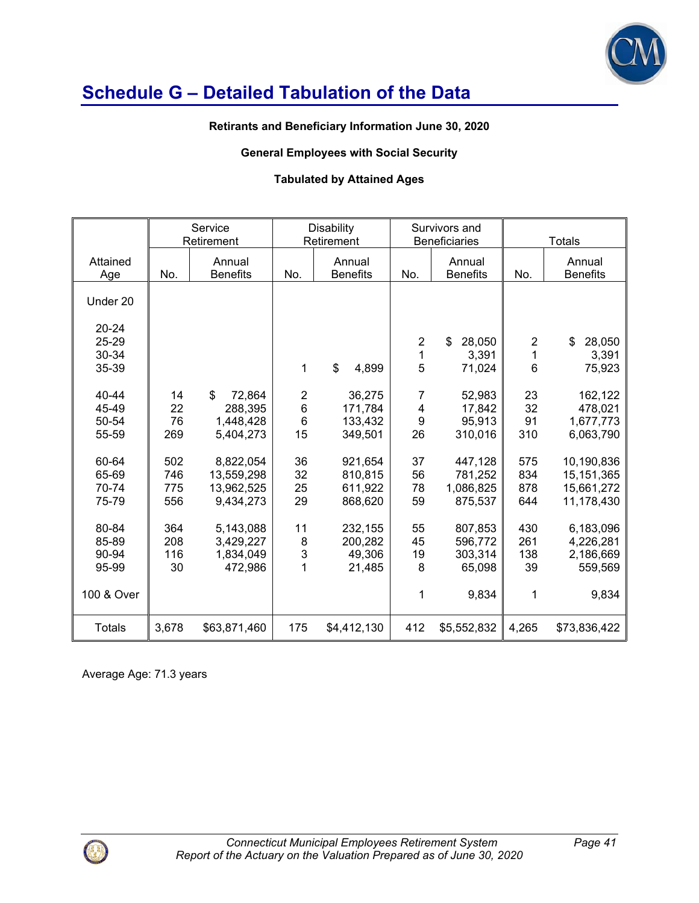

#### **Retirants and Beneficiary Information June 30, 2020**

## **General Employees with Social Security**

# **Tabulated by Attained Ages**

|                                                |                          | Service<br>Retirement                              |                                                      | <b>Disability</b><br>Retirement          | Survivors and<br><b>Beneficiaries</b>                |                                                  |                              | <b>Totals</b>                                           |  |
|------------------------------------------------|--------------------------|----------------------------------------------------|------------------------------------------------------|------------------------------------------|------------------------------------------------------|--------------------------------------------------|------------------------------|---------------------------------------------------------|--|
| Attained<br>Age                                | No.                      | Annual<br><b>Benefits</b>                          | No.                                                  | Annual<br><b>Benefits</b>                | No.                                                  | Annual<br><b>Benefits</b>                        | No.                          | Annual<br><b>Benefits</b>                               |  |
| Under 20                                       |                          |                                                    |                                                      |                                          |                                                      |                                                  |                              |                                                         |  |
| $20 - 24$<br>25-29<br>30-34                    |                          |                                                    |                                                      |                                          | $\overline{2}$<br>1                                  | \$<br>28,050<br>3,391                            | $\overline{2}$<br>1          | \$<br>28,050<br>3,391                                   |  |
| 35-39                                          |                          |                                                    | 1                                                    | \$<br>4,899                              | 5                                                    | 71,024                                           | $6\phantom{1}6$              | 75,923                                                  |  |
| 40-44<br>45-49<br>50-54<br>55-59               | 14<br>22<br>76<br>269    | \$<br>72,864<br>288,395<br>1,448,428<br>5,404,273  | $\overline{\mathbf{c}}$<br>6<br>$6\phantom{1}$<br>15 | 36,275<br>171,784<br>133,432<br>349,501  | $\overline{7}$<br>$\overline{\mathbf{4}}$<br>9<br>26 | 52,983<br>17,842<br>95,913<br>310,016            | 23<br>32<br>91<br>310        | 162,122<br>478,021<br>1,677,773<br>6,063,790            |  |
| 60-64<br>65-69<br>70-74<br>75-79               | 502<br>746<br>775<br>556 | 8,822,054<br>13,559,298<br>13,962,525<br>9,434,273 | 36<br>32<br>25<br>29                                 | 921,654<br>810,815<br>611,922<br>868,620 | 37<br>56<br>78<br>59                                 | 447,128<br>781,252<br>1,086,825<br>875,537       | 575<br>834<br>878<br>644     | 10,190,836<br>15, 151, 365<br>15,661,272<br>11,178,430  |  |
| 80-84<br>85-89<br>90-94<br>95-99<br>100 & Over | 364<br>208<br>116<br>30  | 5,143,088<br>3,429,227<br>1,834,049<br>472,986     | 11<br>8<br>3<br>1                                    | 232,155<br>200,282<br>49,306<br>21,485   | 55<br>45<br>19<br>8<br>1                             | 807,853<br>596,772<br>303,314<br>65,098<br>9,834 | 430<br>261<br>138<br>39<br>1 | 6,183,096<br>4,226,281<br>2,186,669<br>559,569<br>9,834 |  |
| <b>Totals</b>                                  | 3,678                    | \$63,871,460                                       | 175                                                  | \$4,412,130                              | 412                                                  | \$5,552,832                                      | 4,265                        | \$73,836,422                                            |  |

Average Age: 71.3 years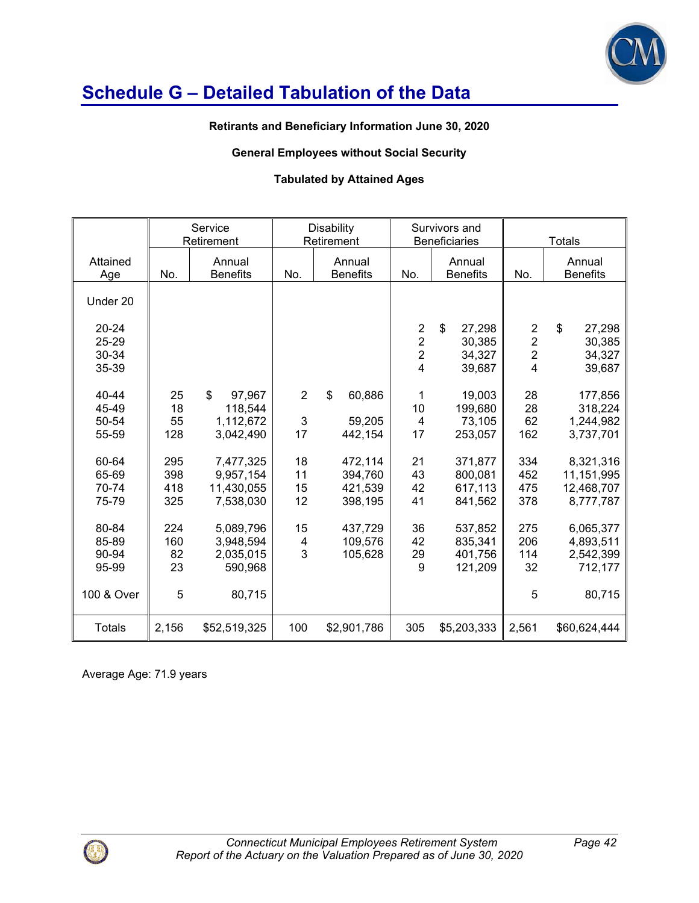

#### **Retirants and Beneficiary Information June 30, 2020**

## **General Employees without Social Security**

### **Tabulated by Attained Ages**

|                                      |                          | Service<br>Retirement                                       |                           | <b>Disability</b><br>Retirement          |                                                                        | Survivors and<br><b>Beneficiaries</b>               |                                                                               | <b>Totals</b>                                         |
|--------------------------------------|--------------------------|-------------------------------------------------------------|---------------------------|------------------------------------------|------------------------------------------------------------------------|-----------------------------------------------------|-------------------------------------------------------------------------------|-------------------------------------------------------|
| Attained<br>Age                      | No.                      | Annual<br><b>Benefits</b>                                   | No.                       | Annual<br><b>Benefits</b>                | No.                                                                    | Annual<br><b>Benefits</b>                           | No.                                                                           | Annual<br><b>Benefits</b>                             |
| Under 20                             |                          |                                                             |                           |                                          |                                                                        |                                                     |                                                                               |                                                       |
| $20 - 24$<br>25-29<br>30-34<br>35-39 |                          |                                                             |                           |                                          | $\boldsymbol{2}$<br>$\overline{2}$<br>$\overline{2}$<br>$\overline{4}$ | $\mathbb S$<br>27,298<br>30,385<br>34,327<br>39,687 | $\overline{\mathbf{c}}$<br>$\overline{2}$<br>$\overline{2}$<br>$\overline{4}$ | $\mathsf{\$}$<br>27,298<br>30,385<br>34,327<br>39,687 |
| 40-44<br>45-49<br>50-54<br>55-59     | 25<br>18<br>55<br>128    | $\mathbb{S}$<br>97,967<br>118,544<br>1,112,672<br>3,042,490 | $\overline{2}$<br>3<br>17 | \$<br>60,886<br>59,205<br>442,154        | 1<br>10<br>$\overline{4}$<br>17                                        | 19,003<br>199,680<br>73,105<br>253,057              | 28<br>28<br>62<br>162                                                         | 177,856<br>318,224<br>1,244,982<br>3,737,701          |
| 60-64<br>65-69<br>70-74<br>75-79     | 295<br>398<br>418<br>325 | 7,477,325<br>9,957,154<br>11,430,055<br>7,538,030           | 18<br>11<br>15<br>12      | 472,114<br>394,760<br>421,539<br>398,195 | 21<br>43<br>42<br>41                                                   | 371,877<br>800,081<br>617,113<br>841,562            | 334<br>452<br>475<br>378                                                      | 8,321,316<br>11,151,995<br>12,468,707<br>8,777,787    |
| 80-84<br>85-89<br>90-94<br>95-99     | 224<br>160<br>82<br>23   | 5,089,796<br>3,948,594<br>2,035,015<br>590,968              | 15<br>4<br>3              | 437,729<br>109,576<br>105,628            | 36<br>42<br>29<br>9                                                    | 537,852<br>835,341<br>401,756<br>121,209            | 275<br>206<br>114<br>32                                                       | 6,065,377<br>4,893,511<br>2,542,399<br>712,177        |
| 100 & Over                           | 5                        | 80,715                                                      |                           |                                          |                                                                        |                                                     | 5                                                                             | 80,715                                                |
| <b>Totals</b>                        | 2,156                    | \$52,519,325                                                | 100                       | \$2,901,786                              | 305                                                                    | \$5,203,333                                         | 2,561                                                                         | \$60,624,444                                          |

Average Age: 71.9 years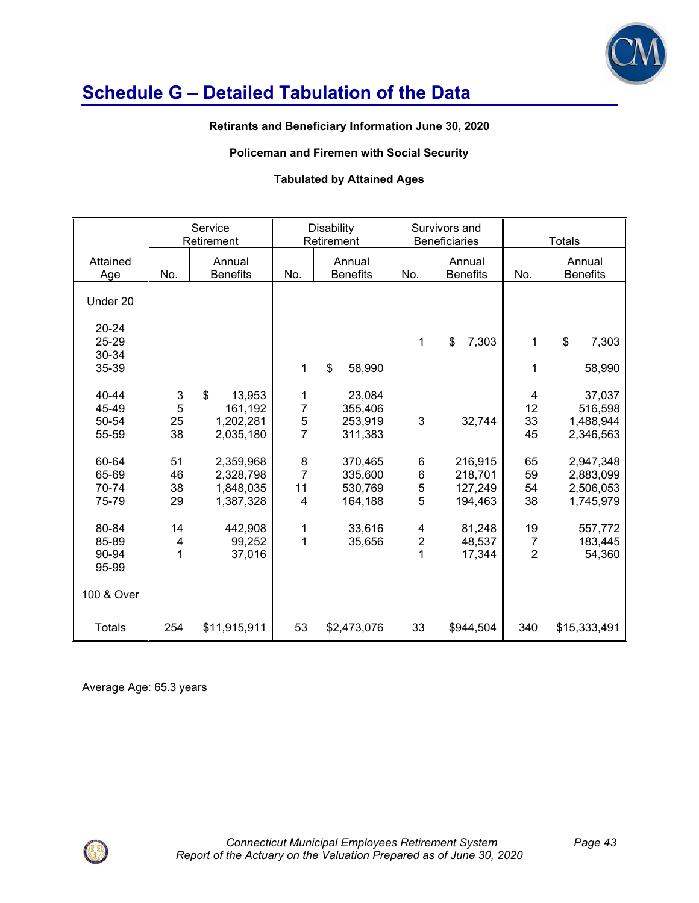

### **Retirants and Beneficiary Information June 30, 2020**

### **Policeman and Firemen with Social Security**

### **Tabulated by Attained Ages**

|                                                |                                    | Service<br>Retirement                                       |                                            | <b>Disability</b><br>Retirement          | Survivors and<br><b>Beneficiaries</b> |                                          |                                        | <b>Totals</b>                                    |
|------------------------------------------------|------------------------------------|-------------------------------------------------------------|--------------------------------------------|------------------------------------------|---------------------------------------|------------------------------------------|----------------------------------------|--------------------------------------------------|
| Attained<br>Age                                | No.                                | Annual<br><b>Benefits</b>                                   | No.                                        | Annual<br><b>Benefits</b>                | Annual<br>No.<br><b>Benefits</b>      |                                          | No.                                    | Annual<br><b>Benefits</b>                        |
| Under 20                                       |                                    |                                                             |                                            |                                          |                                       |                                          |                                        |                                                  |
| $20 - 24$<br>25-29<br>30-34<br>35-39           |                                    |                                                             | 1                                          | \$<br>58,990                             | 1                                     | \$<br>7,303                              | 1<br>1                                 | \$<br>7,303<br>58,990                            |
| 40-44<br>45-49<br>50-54<br>55-59               | 3<br>5<br>25<br>38                 | $\mathbb{S}$<br>13,953<br>161,192<br>1,202,281<br>2,035,180 | 1<br>$\overline{7}$<br>5<br>$\overline{7}$ | 23,084<br>355,406<br>253,919<br>311,383  | 3                                     | 32,744                                   | 4<br>12<br>33<br>45                    | 37,037<br>516,598<br>1,488,944<br>2,346,563      |
| 60-64<br>65-69<br>70-74<br>75-79               | 51<br>46<br>38<br>29               | 2,359,968<br>2,328,798<br>1,848,035<br>1,387,328            | 8<br>$\overline{7}$<br>11<br>4             | 370,465<br>335,600<br>530,769<br>164,188 | 6<br>6<br>5<br>5                      | 216,915<br>218,701<br>127,249<br>194,463 | 65<br>59<br>54<br>38                   | 2,947,348<br>2,883,099<br>2,506,053<br>1,745,979 |
| 80-84<br>85-89<br>90-94<br>95-99<br>100 & Over | 14<br>$\overline{\mathbf{4}}$<br>1 | 442,908<br>99,252<br>37,016                                 | 1<br>1                                     | 33,616<br>35,656                         | 4<br>$\mathbf 2$<br>1                 | 81,248<br>48,537<br>17,344               | 19<br>$\overline{7}$<br>$\overline{2}$ | 557,772<br>183,445<br>54,360                     |
| <b>Totals</b>                                  | 254                                | \$11,915,911                                                | 53                                         | \$2,473,076                              | 33                                    | \$944,504                                | 340                                    | \$15,333,491                                     |

Average Age: 65.3 years

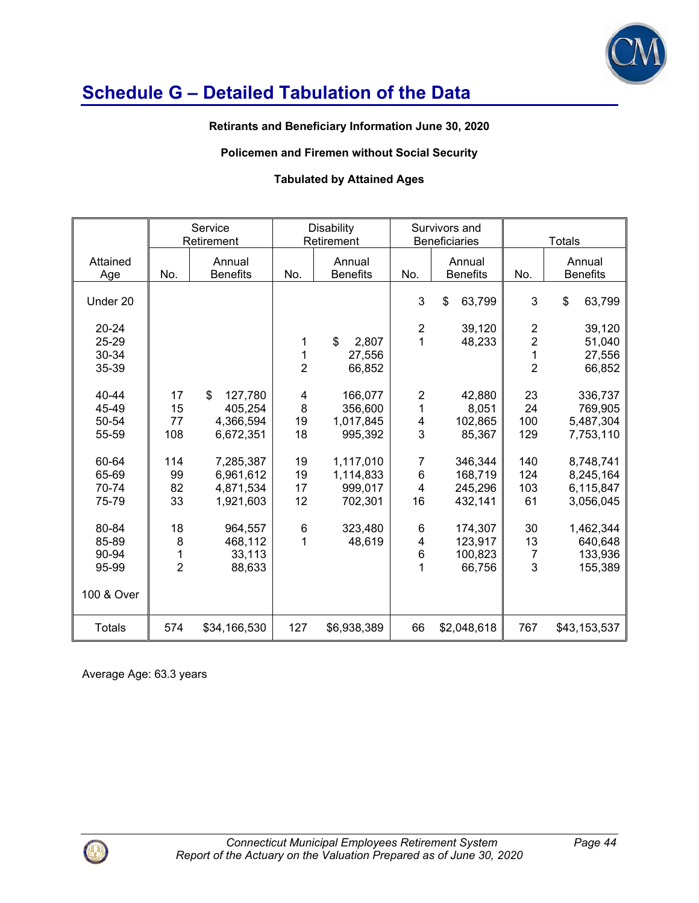

## **Retirants and Beneficiary Information June 30, 2020**

### **Policemen and Firemen without Social Security**

### **Tabulated by Attained Ages**

|                                      |                                           | Service<br>Retirement                              | <b>Disability</b><br>Retirement |                                              |                                                              | Survivors and<br><b>Beneficiaries</b>    |                                                           | <b>Totals</b>                                    |
|--------------------------------------|-------------------------------------------|----------------------------------------------------|---------------------------------|----------------------------------------------|--------------------------------------------------------------|------------------------------------------|-----------------------------------------------------------|--------------------------------------------------|
| Attained<br>Age                      | No.                                       | Annual<br><b>Benefits</b>                          | No.                             | Annual<br><b>Benefits</b>                    | No.                                                          | Annual<br><b>Benefits</b>                | No.                                                       | Annual<br><b>Benefits</b>                        |
| Under 20                             |                                           |                                                    |                                 |                                              | 3                                                            | $\mathbf{\$}$<br>63,799                  | 3                                                         | $\mathfrak{S}$<br>63,799                         |
| $20 - 24$<br>25-29<br>30-34<br>35-39 |                                           |                                                    | 1<br>1<br>$\overline{2}$        | \$<br>2,807<br>27,556<br>66,852              | $\overline{2}$<br>1                                          | 39,120<br>48,233                         | $\boldsymbol{2}$<br>$\overline{2}$<br>1<br>$\overline{2}$ | 39,120<br>51,040<br>27,556<br>66,852             |
| 40-44<br>45-49<br>50-54<br>55-59     | 17<br>15<br>77<br>108                     | \$<br>127,780<br>405,254<br>4,366,594<br>6,672,351 | 4<br>8<br>19<br>18              | 166,077<br>356,600<br>1,017,845<br>995,392   | $\overline{\mathbf{c}}$<br>1<br>$\overline{\mathbf{4}}$<br>3 | 42,880<br>8,051<br>102,865<br>85,367     | 23<br>24<br>100<br>129                                    | 336,737<br>769,905<br>5,487,304<br>7,753,110     |
| 60-64<br>65-69<br>70-74<br>75-79     | 114<br>99<br>82<br>33                     | 7,285,387<br>6,961,612<br>4,871,534<br>1,921,603   | 19<br>19<br>17<br>12            | 1,117,010<br>1,114,833<br>999,017<br>702,301 | 7<br>$\,6$<br>$\overline{\mathbf{4}}$<br>16                  | 346,344<br>168,719<br>245,296<br>432,141 | 140<br>124<br>103<br>61                                   | 8,748,741<br>8,245,164<br>6,115,847<br>3,056,045 |
| 80-84<br>85-89<br>90-94<br>95-99     | 18<br>8<br>$\mathbf{1}$<br>$\overline{2}$ | 964,557<br>468,112<br>33,113<br>88,633             | $\,6$<br>1                      | 323,480<br>48,619                            | 6<br>$\overline{\mathbf{4}}$<br>$6\phantom{1}6$<br>1         | 174,307<br>123,917<br>100,823<br>66,756  | 30<br>13<br>7<br>3                                        | 1,462,344<br>640,648<br>133,936<br>155,389       |
| 100 & Over                           |                                           |                                                    |                                 |                                              |                                                              |                                          |                                                           |                                                  |
| <b>Totals</b>                        | 574                                       | \$34,166,530                                       | 127                             | \$6,938,389                                  | 66                                                           | \$2,048,618                              | 767                                                       | \$43,153,537                                     |

Average Age: 63.3 years

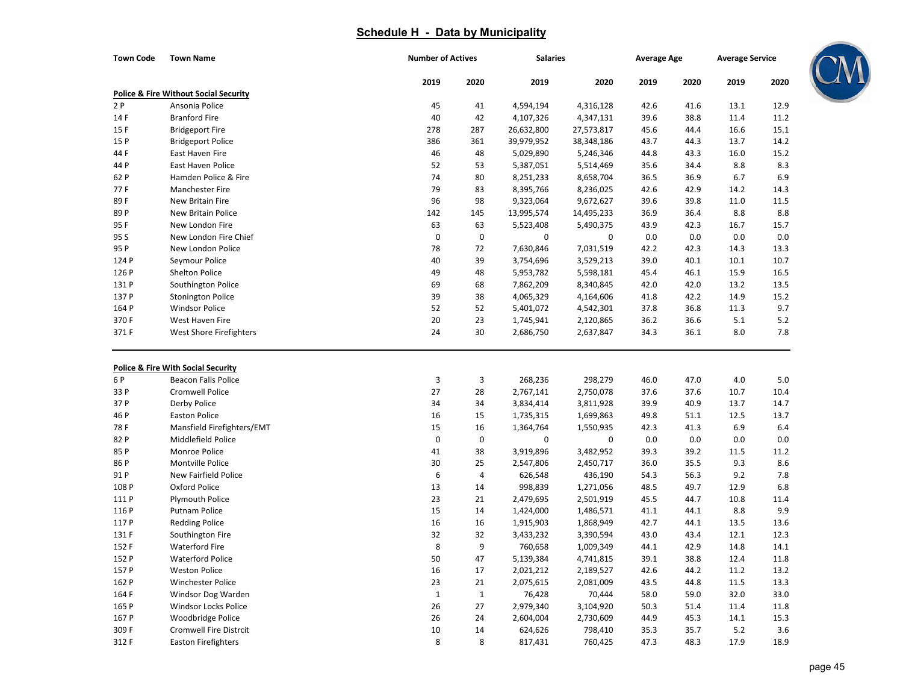| <b>Town Code</b> | <b>Town Name</b>                                 | <b>Number of Actives</b> |              | <b>Salaries</b> |            | <b>Average Age</b> |      | <b>Average Service</b> |      |
|------------------|--------------------------------------------------|--------------------------|--------------|-----------------|------------|--------------------|------|------------------------|------|
|                  |                                                  | 2019                     | 2020         | 2019            | 2020       | 2019               | 2020 | 2019                   | 2020 |
|                  | <b>Police &amp; Fire Without Social Security</b> |                          |              |                 |            |                    |      |                        |      |
| 2 P              | Ansonia Police                                   | 45                       | 41           | 4,594,194       | 4,316,128  | 42.6               | 41.6 | 13.1                   | 12.9 |
| 14 F             | <b>Branford Fire</b>                             | 40                       | 42           | 4,107,326       | 4,347,131  | 39.6               | 38.8 | 11.4                   | 11.2 |
| 15F              | <b>Bridgeport Fire</b>                           | 278                      | 287          | 26,632,800      | 27,573,817 | 45.6               | 44.4 | 16.6                   | 15.1 |
| 15 P             | <b>Bridgeport Police</b>                         | 386                      | 361          | 39,979,952      | 38,348,186 | 43.7               | 44.3 | 13.7                   | 14.2 |
| 44 F             | East Haven Fire                                  | 46                       | 48           | 5,029,890       | 5,246,346  | 44.8               | 43.3 | 16.0                   | 15.2 |
| 44 P             | East Haven Police                                | 52                       | 53           | 5,387,051       | 5,514,469  | 35.6               | 34.4 | 8.8                    | 8.3  |
| 62 P             | Hamden Police & Fire                             | 74                       | 80           | 8,251,233       | 8,658,704  | 36.5               | 36.9 | 6.7                    | 6.9  |
| 77F              | <b>Manchester Fire</b>                           | 79                       | 83           | 8,395,766       | 8,236,025  | 42.6               | 42.9 | 14.2                   | 14.3 |
| 89F              | New Britain Fire                                 | 96                       | 98           | 9,323,064       | 9,672,627  | 39.6               | 39.8 | 11.0                   | 11.5 |
| 89 P             | New Britain Police                               | 142                      | 145          | 13,995,574      | 14,495,233 | 36.9               | 36.4 | 8.8                    | 8.8  |
| 95F              | New London Fire                                  | 63                       | 63           | 5,523,408       | 5,490,375  | 43.9               | 42.3 | 16.7                   | 15.7 |
| 95 S             | New London Fire Chief                            | $\mathbf 0$              | 0            | 0               | 0          | 0.0                | 0.0  | 0.0                    | 0.0  |
| 95 P             | New London Police                                | 78                       | 72           | 7,630,846       | 7,031,519  | 42.2               | 42.3 | 14.3                   | 13.3 |
| 124 P            | Seymour Police                                   | 40                       | 39           | 3,754,696       | 3,529,213  | 39.0               | 40.1 | 10.1                   | 10.7 |
| 126 P            | Shelton Police                                   | 49                       | 48           | 5,953,782       | 5,598,181  | 45.4               | 46.1 | 15.9                   | 16.5 |
| 131 P            | Southington Police                               | 69                       | 68           | 7,862,209       | 8,340,845  | 42.0               | 42.0 | 13.2                   | 13.5 |
| 137 P            | <b>Stonington Police</b>                         | 39                       | 38           | 4,065,329       | 4,164,606  | 41.8               | 42.2 | 14.9                   | 15.2 |
| 164 P            | <b>Windsor Police</b>                            | 52                       | 52           | 5,401,072       | 4,542,301  | 37.8               | 36.8 | 11.3                   | 9.7  |
| 370 F            | West Haven Fire                                  | 20                       | 23           | 1,745,941       | 2,120,865  | 36.2               | 36.6 | 5.1                    | 5.2  |
| 371 F            | West Shore Firefighters                          | 24                       | 30           | 2,686,750       | 2,637,847  | 34.3               | 36.1 | 8.0                    | 7.8  |
|                  |                                                  |                          |              |                 |            |                    |      |                        |      |
|                  | <b>Police &amp; Fire With Social Security</b>    |                          |              |                 |            |                    |      |                        |      |
| 6 P              | <b>Beacon Falls Police</b>                       | 3                        | 3            | 268,236         | 298,279    | 46.0               | 47.0 | 4.0                    | 5.0  |
| 33 P             | <b>Cromwell Police</b>                           | 27                       | 28           | 2,767,141       | 2,750,078  | 37.6               | 37.6 | 10.7                   | 10.4 |
| 37 P             | Derby Police                                     | 34                       | 34           | 3,834,414       | 3,811,928  | 39.9               | 40.9 | 13.7                   | 14.7 |
| 46 P             | <b>Easton Police</b>                             | 16                       | 15           | 1,735,315       | 1,699,863  | 49.8               | 51.1 | 12.5                   | 13.7 |
| 78F              | Mansfield Firefighters/EMT                       | 15                       | 16           | 1,364,764       | 1,550,935  | 42.3               | 41.3 | 6.9                    | 6.4  |
| 82 P             | Middlefield Police                               | $\mathbf 0$              | 0            | 0               | 0          | 0.0                | 0.0  | 0.0                    | 0.0  |
| 85 P             | Monroe Police                                    | 41                       | 38           | 3,919,896       | 3,482,952  | 39.3               | 39.2 | 11.5                   | 11.2 |
| 86 P             | Montville Police                                 | 30                       | 25           | 2,547,806       | 2,450,717  | 36.0               | 35.5 | 9.3                    | 8.6  |
| 91 P             | New Fairfield Police                             | 6                        | 4            | 626,548         | 436,190    | 54.3               | 56.3 | 9.2                    | 7.8  |
| 108 P            | Oxford Police                                    | 13                       | 14           | 998,839         | 1,271,056  | 48.5               | 49.7 | 12.9                   | 6.8  |
| 111 P            | <b>Plymouth Police</b>                           | 23                       | 21           | 2,479,695       | 2,501,919  | 45.5               | 44.7 | 10.8                   | 11.4 |
| 116 P            | Putnam Police                                    | 15                       | 14           | 1,424,000       | 1,486,571  | 41.1               | 44.1 | 8.8                    | 9.9  |
| 117 P            | <b>Redding Police</b>                            | 16                       | 16           | 1,915,903       | 1,868,949  | 42.7               | 44.1 | 13.5                   | 13.6 |
| 131 F            | Southington Fire                                 | 32                       | 32           | 3,433,232       | 3,390,594  | 43.0               | 43.4 | 12.1                   | 12.3 |
| 152 F            | <b>Waterford Fire</b>                            | 8                        | 9            | 760,658         | 1,009,349  | 44.1               | 42.9 | 14.8                   | 14.1 |
| 152 P            | <b>Waterford Police</b>                          | $50\,$                   | 47           | 5,139,384       | 4,741,815  | 39.1               | 38.8 | 12.4                   | 11.8 |
| 157 P            | <b>Weston Police</b>                             | 16                       | 17           | 2,021,212       | 2,189,527  | 42.6               | 44.2 | 11.2                   | 13.2 |
| 162 P            | Winchester Police                                | 23                       | 21           | 2,075,615       | 2,081,009  | 43.5               | 44.8 | 11.5                   | 13.3 |
| 164 F            | Windsor Dog Warden                               | $\mathbf{1}$             | $\mathbf{1}$ | 76,428          | 70,444     | 58.0               | 59.0 | 32.0                   | 33.0 |
| 165 P            | Windsor Locks Police                             | 26                       | 27           | 2,979,340       | 3,104,920  | 50.3               | 51.4 | 11.4                   | 11.8 |
| 167 P            | Woodbridge Police                                | 26                       | 24           | 2,604,004       | 2,730,609  | 44.9               | 45.3 | 14.1                   | 15.3 |
| 309 F            | <b>Cromwell Fire Distrcit</b>                    | 10                       | 14           | 624,626         | 798,410    | 35.3               | 35.7 | 5.2                    | 3.6  |
| 312 F            | Easton Firefighters                              | 8                        | 8            | 817,431         | 760,425    | 47.3               | 48.3 | 17.9                   | 18.9 |

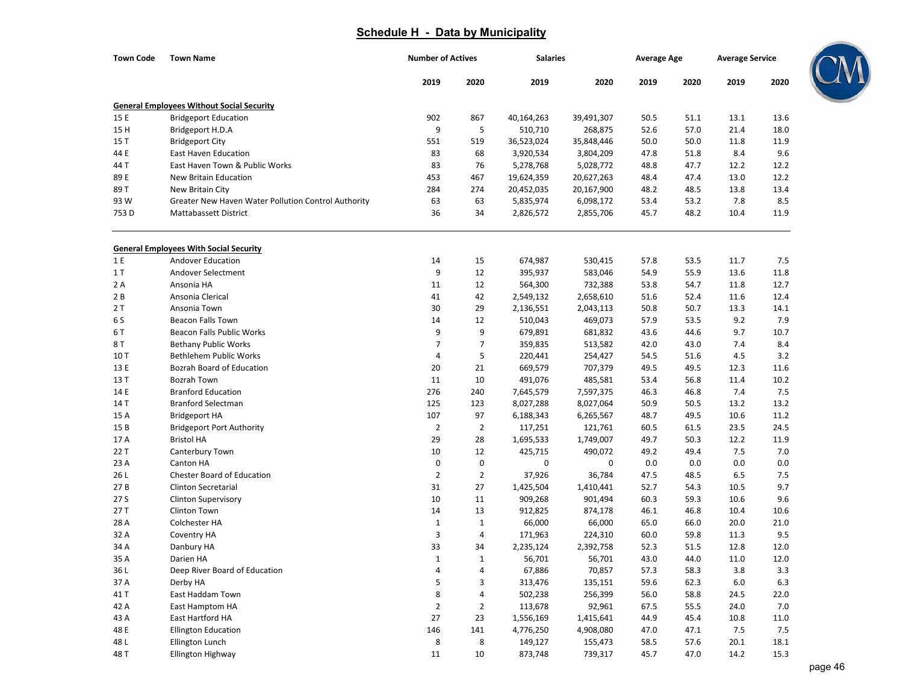| <b>Town Code</b> | <b>Town Name</b>                                    | <b>Number of Actives</b> |                | <b>Salaries</b> |            | <b>Average Age</b> |      | <b>Average Service</b> |      |
|------------------|-----------------------------------------------------|--------------------------|----------------|-----------------|------------|--------------------|------|------------------------|------|
|                  |                                                     | 2019                     | 2020           | 2019            | 2020       | 2019               | 2020 | 2019                   | 2020 |
|                  | <b>General Employees Without Social Security</b>    |                          |                |                 |            |                    |      |                        |      |
| 15 E             | <b>Bridgeport Education</b>                         | 902                      | 867            | 40,164,263      | 39,491,307 | 50.5               | 51.1 | 13.1                   | 13.6 |
| 15H              | Bridgeport H.D.A                                    | 9                        | 5              | 510,710         | 268,875    | 52.6               | 57.0 | 21.4                   | 18.0 |
| 15 T             | <b>Bridgeport City</b>                              | 551                      | 519            | 36,523,024      | 35,848,446 | 50.0               | 50.0 | 11.8                   | 11.9 |
| 44 E             | <b>East Haven Education</b>                         | 83                       | 68             | 3,920,534       | 3,804,209  | 47.8               | 51.8 | 8.4                    | 9.6  |
| 44 T             | East Haven Town & Public Works                      | 83                       | 76             | 5,278,768       | 5,028,772  | 48.8               | 47.7 | 12.2                   | 12.2 |
| 89 E             | New Britain Education                               | 453                      | 467            | 19,624,359      | 20,627,263 | 48.4               | 47.4 | 13.0                   | 12.2 |
| 89 T             | New Britain City                                    | 284                      | 274            | 20,452,035      | 20,167,900 | 48.2               | 48.5 | 13.8                   | 13.4 |
| 93 W             | Greater New Haven Water Pollution Control Authority | 63                       | 63             | 5,835,974       | 6,098,172  | 53.4               | 53.2 | 7.8                    | 8.5  |
| 753D             | <b>Mattabassett District</b>                        | 36                       | 34             | 2,826,572       | 2,855,706  | 45.7               | 48.2 | 10.4                   | 11.9 |
|                  | <b>General Employees With Social Security</b>       |                          |                |                 |            |                    |      |                        |      |
| 1 E              | Andover Education                                   | 14                       | 15             | 674,987         | 530,415    | 57.8               | 53.5 | 11.7                   | 7.5  |
| 1T               | Andover Selectment                                  | 9                        | 12             | 395,937         | 583,046    | 54.9               | 55.9 | 13.6                   | 11.8 |
| 2 A              | Ansonia HA                                          | 11                       | 12             | 564,300         | 732,388    | 53.8               | 54.7 | 11.8                   | 12.7 |
| 2 B              | Ansonia Clerical                                    | 41                       | 42             | 2,549,132       | 2,658,610  | 51.6               | 52.4 | 11.6                   | 12.4 |
| 2T               | Ansonia Town                                        | 30                       | 29             | 2,136,551       | 2,043,113  | 50.8               | 50.7 | 13.3                   | 14.1 |
| 6 S              | <b>Beacon Falls Town</b>                            | 14                       | 12             | 510,043         | 469,073    | 57.9               | 53.5 | 9.2                    | 7.9  |
| 6 T              | Beacon Falls Public Works                           | 9                        | 9              | 679,891         | 681,832    | 43.6               | 44.6 | 9.7                    | 10.7 |
| 8 T              | <b>Bethany Public Works</b>                         | 7                        | $\overline{7}$ | 359,835         | 513,582    | 42.0               | 43.0 | 7.4                    | 8.4  |
| 10T              | Bethlehem Public Works                              | 4                        | 5              | 220,441         | 254,427    | 54.5               | 51.6 | 4.5                    | 3.2  |
| 13 E             | <b>Bozrah Board of Education</b>                    | 20                       | 21             | 669,579         | 707,379    | 49.5               | 49.5 | 12.3                   | 11.6 |
| 13 T             | <b>Bozrah Town</b>                                  | 11                       | 10             | 491,076         | 485,581    | 53.4               | 56.8 | 11.4                   | 10.2 |
| 14 E             | <b>Branford Education</b>                           | 276                      | 240            | 7,645,579       | 7,597,375  | 46.3               | 46.8 | 7.4                    | 7.5  |
| 14 T             | <b>Branford Selectman</b>                           | 125                      | 123            | 8,027,288       | 8,027,064  | 50.9               | 50.5 | 13.2                   | 13.2 |
| 15 A             | <b>Bridgeport HA</b>                                | 107                      | 97             | 6,188,343       | 6,265,567  | 48.7               | 49.5 | 10.6                   | 11.2 |
| 15 B             | <b>Bridgeport Port Authority</b>                    | $\overline{2}$           | $\overline{2}$ | 117,251         | 121,761    | 60.5               | 61.5 | 23.5                   | 24.5 |
| 17 A             | <b>Bristol HA</b>                                   | 29                       | 28             | 1,695,533       | 1,749,007  | 49.7               | 50.3 | 12.2                   | 11.9 |
| 22 T             | Canterbury Town                                     | 10                       | 12             | 425,715         | 490,072    | 49.2               | 49.4 | 7.5                    | 7.0  |
| 23 A             | Canton HA                                           | $\pmb{0}$                | $\pmb{0}$      | $\pmb{0}$       | 0          | 0.0                | 0.0  | 0.0                    | 0.0  |
| 26 L             | <b>Chester Board of Education</b>                   | $\overline{2}$           | $\overline{2}$ | 37,926          | 36,784     | 47.5               | 48.5 | 6.5                    | 7.5  |
| 27B              | <b>Clinton Secretarial</b>                          | 31                       | 27             | 1,425,504       | 1,410,441  | 52.7               | 54.3 | 10.5                   | 9.7  |
| 27 S             | Clinton Supervisory                                 | 10                       | 11             | 909,268         | 901,494    | 60.3               | 59.3 | 10.6                   | 9.6  |
| 27T              | Clinton Town                                        | 14                       | 13             | 912,825         | 874,178    | 46.1               | 46.8 | 10.4                   | 10.6 |
| 28 A             | Colchester HA                                       | $\mathbf{1}$             | $\mathbf{1}$   | 66,000          | 66,000     | 65.0               | 66.0 | 20.0                   | 21.0 |
| 32 A             | Coventry HA                                         | 3                        | 4              | 171,963         | 224,310    | 60.0               | 59.8 | 11.3                   | 9.5  |
| 34 A             | Danbury HA                                          | 33                       | 34             | 2,235,124       | 2,392,758  | 52.3               | 51.5 | 12.8                   | 12.0 |
| 35 A             | Darien HA                                           | $\mathbf 1$              | 1              | 56,701          | 56,701     | 43.0               | 44.0 | 11.0                   | 12.0 |
| 36 L             | Deep River Board of Education                       | 4                        | 4              | 67,886          | 70,857     | 57.3               | 58.3 | 3.8                    | 3.3  |
| 37 A             | Derby HA                                            | 5                        | 3              | 313,476         | 135,151    | 59.6               | 62.3 | 6.0                    | 6.3  |
| 41 T             | East Haddam Town                                    | 8                        | 4              | 502,238         | 256,399    | 56.0               | 58.8 | 24.5                   | 22.0 |
| 42 A             | East Hamptom HA                                     | $\overline{2}$           | $\overline{2}$ | 113,678         | 92,961     | 67.5               | 55.5 | 24.0                   | 7.0  |
| 43 A             | East Hartford HA                                    | 27                       | 23             | 1,556,169       | 1,415,641  | 44.9               | 45.4 | 10.8                   | 11.0 |
| 48 E             | <b>Ellington Education</b>                          | 146                      | 141            | 4,776,250       | 4,908,080  | 47.0               | 47.1 | 7.5                    | 7.5  |
| 48 L             | Ellington Lunch                                     | 8                        | 8              | 149,127         | 155,473    | 58.5               | 57.6 | 20.1                   | 18.1 |
| 48 T             | Ellington Highway                                   | 11                       | 10             | 873,748         | 739,317    | 45.7               | 47.0 | 14.2                   | 15.3 |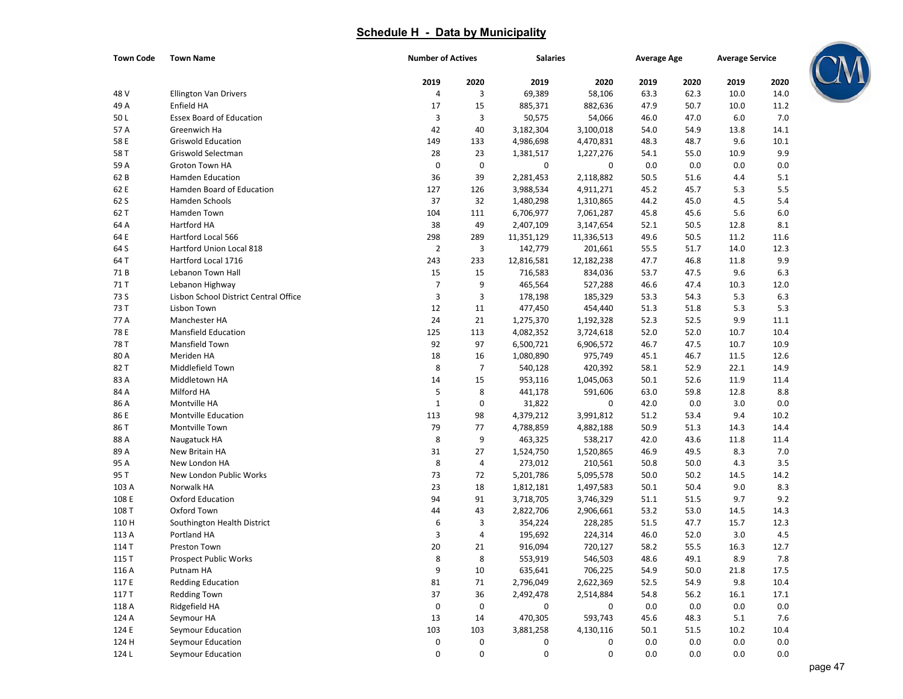| <b>Town Code</b> | <b>Town Name</b>                      | <b>Number of Actives</b> |                | <b>Salaries</b>  |            | <b>Average Age</b> |      | <b>Average Service</b> |         |
|------------------|---------------------------------------|--------------------------|----------------|------------------|------------|--------------------|------|------------------------|---------|
|                  |                                       | 2019                     | 2020           | 2019             | 2020       | 2019               | 2020 | 2019                   | 2020    |
| 48 V             | <b>Ellington Van Drivers</b>          | 4                        | 3              | 69,389           | 58,106     | 63.3               | 62.3 | 10.0                   | 14.0    |
| 49 A             | Enfield HA                            | 17                       | 15             | 885,371          | 882,636    | 47.9               | 50.7 | 10.0                   | 11.2    |
| 50L              | <b>Essex Board of Education</b>       | 3                        | 3              | 50,575           | 54,066     | 46.0               | 47.0 | 6.0                    | 7.0     |
| 57 A             | Greenwich Ha                          | 42                       | 40             | 3,182,304        | 3,100,018  | 54.0               | 54.9 | 13.8                   | 14.1    |
| 58 E             | <b>Griswold Education</b>             | 149                      | 133            | 4,986,698        | 4,470,831  | 48.3               | 48.7 | 9.6                    | 10.1    |
| 58 T             | Griswold Selectman                    | 28                       | 23             | 1,381,517        | 1,227,276  | 54.1               | 55.0 | 10.9                   | 9.9     |
| 59 A             | Groton Town HA                        | 0                        | $\pmb{0}$      | 0                | 0          | 0.0                | 0.0  | 0.0                    | 0.0     |
| 62 B             | <b>Hamden Education</b>               | 36                       | 39             | 2,281,453        | 2,118,882  | 50.5               | 51.6 | 4.4                    | 5.1     |
| 62 E             | Hamden Board of Education             | 127                      | 126            | 3,988,534        | 4,911,271  | 45.2               | 45.7 | 5.3                    | 5.5     |
| 62 S             | Hamden Schools                        | 37                       | 32             | 1,480,298        | 1,310,865  | 44.2               | 45.0 | 4.5                    | 5.4     |
| 62 T             | Hamden Town                           | 104                      | 111            | 6,706,977        | 7,061,287  | 45.8               | 45.6 | 5.6                    | 6.0     |
| 64 A             | Hartford HA                           | 38                       | 49             | 2,407,109        | 3,147,654  | 52.1               | 50.5 | 12.8                   | 8.1     |
| 64 E             | Hartford Local 566                    | 298                      | 289            | 11,351,129       | 11,336,513 | 49.6               | 50.5 | 11.2                   | 11.6    |
| 64 S             | Hartford Union Local 818              | $\overline{2}$           | 3              | 142,779          | 201,661    | 55.5               | 51.7 | 14.0                   | 12.3    |
| 64 T             | Hartford Local 1716                   | 243                      | 233            | 12,816,581       | 12,182,238 | 47.7               | 46.8 | 11.8                   | 9.9     |
| 71 B             | Lebanon Town Hall                     | 15                       | 15             | 716,583          | 834,036    | 53.7               | 47.5 | 9.6                    | 6.3     |
| 71 T             | Lebanon Highway                       | $\overline{7}$           | 9              | 465,564          | 527,288    | 46.6               | 47.4 | 10.3                   | 12.0    |
| 73 S             | Lisbon School District Central Office | 3                        | 3              | 178,198          | 185,329    | 53.3               | 54.3 | 5.3                    | 6.3     |
| 73 T             | Lisbon Town                           | 12                       | 11             | 477,450          | 454,440    | 51.3               | 51.8 | 5.3                    | 5.3     |
| 77 A             | Manchester HA                         | 24                       | 21             | 1,275,370        | 1,192,328  | 52.3               | 52.5 | 9.9                    | 11.1    |
| 78 E             | <b>Mansfield Education</b>            | 125                      | 113            | 4,082,352        | 3,724,618  | 52.0               | 52.0 | 10.7                   | 10.4    |
| 78 T             | Mansfield Town                        | 92                       | 97             | 6,500,721        | 6,906,572  | 46.7               | 47.5 | 10.7                   | 10.9    |
| 80 A             | Meriden HA                            | 18                       | 16             | 1,080,890        | 975,749    | 45.1               | 46.7 | 11.5                   | 12.6    |
| 82 T             | Middlefield Town                      | 8                        | $\overline{7}$ | 540,128          | 420,392    | 58.1               | 52.9 | 22.1                   | 14.9    |
| 83 A             | Middletown HA                         | 14                       | 15             | 953,116          | 1,045,063  | 50.1               | 52.6 | 11.9                   | 11.4    |
| 84 A             | Milford HA                            | 5                        | 8              | 441,178          | 591,606    | 63.0               | 59.8 | 12.8                   | 8.8     |
| 86 A             | Montville HA                          | $\mathbf 1$              | $\pmb{0}$      | 31,822           | 0          | 42.0               | 0.0  | 3.0                    | 0.0     |
| 86 E             | <b>Montville Education</b>            | 113                      | 98             | 4,379,212        | 3,991,812  | 51.2               | 53.4 | 9.4                    | 10.2    |
| 86 T             | Montville Town                        | 79                       | 77             | 4,788,859        | 4,882,188  | 50.9               | 51.3 | 14.3                   | 14.4    |
| 88 A             | Naugatuck HA                          | 8                        | 9              | 463,325          | 538,217    | 42.0               | 43.6 | 11.8                   | 11.4    |
| 89 A             | New Britain HA                        | 31                       | 27             | 1,524,750        | 1,520,865  | 46.9               | 49.5 | 8.3                    | 7.0     |
| 95 A             | New London HA                         | 8                        | 4              | 273,012          | 210,561    | 50.8               | 50.0 | 4.3                    | 3.5     |
| 95 T             | New London Public Works               | 73                       | 72             | 5,201,786        | 5,095,578  | 50.0               | 50.2 | 14.5                   | 14.2    |
| 103 A            | Norwalk HA                            | 23                       | 18             | 1,812,181        | 1,497,583  | 50.1               | 50.4 | 9.0                    | 8.3     |
| 108 E            | <b>Oxford Education</b>               | 94                       | 91             | 3,718,705        | 3,746,329  | 51.1               | 51.5 | 9.7                    | 9.2     |
| 108 T            | Oxford Town                           | 44                       | 43             | 2,822,706        | 2,906,661  | 53.2               | 53.0 | 14.5                   | 14.3    |
| 110 H            | Southington Health District           | 6                        | 3              | 354,224          | 228,285    | 51.5               | 47.7 | 15.7                   | 12.3    |
| 113 A            | Portland HA                           | 3                        | 4              | 195,692          | 224,314    | 46.0               | 52.0 | 3.0                    | 4.5     |
| 114 T            | Preston Town                          | 20                       | 21             | 916,094          | 720,127    | 58.2               | 55.5 | 16.3                   | 12.7    |
| 115 T            | Prospect Public Works                 | 8                        | 8              | 553,919          | 546,503    | 48.6               | 49.1 | 8.9                    | $7.8\,$ |
| 116 A            | Putnam HA                             | 9                        | 10             | 635,641          | 706,225    | 54.9               | 50.0 | 21.8                   | 17.5    |
| 117 E            | <b>Redding Education</b>              | 81                       | 71             | 2,796,049        | 2,622,369  | 52.5               | 54.9 | 9.8                    | 10.4    |
| 117 T            | <b>Redding Town</b>                   | 37                       | 36             | 2,492,478        | 2,514,884  | 54.8               | 56.2 | 16.1                   | 17.1    |
| 118 A            | Ridgefield HA                         | 0                        | 0              | 0                | 0          | 0.0                | 0.0  | 0.0                    | 0.0     |
| 124 A            | Seymour HA                            | 13                       | 14             | 470,305          | 593,743    | 45.6               | 48.3 | 5.1                    | 7.6     |
| 124 E            | Seymour Education                     | 103                      | 103            | 3,881,258        | 4,130,116  | 50.1               | 51.5 | 10.2                   | 10.4    |
| 124 H            | Seymour Education                     | 0                        | 0              | 0                | 0          | 0.0                | 0.0  | $0.0\,$                | 0.0     |
| 124 L            | Seymour Education                     | 0                        | $\pmb{0}$      | $\boldsymbol{0}$ | 0          | 0.0                | 0.0  | 0.0                    | 0.0     |

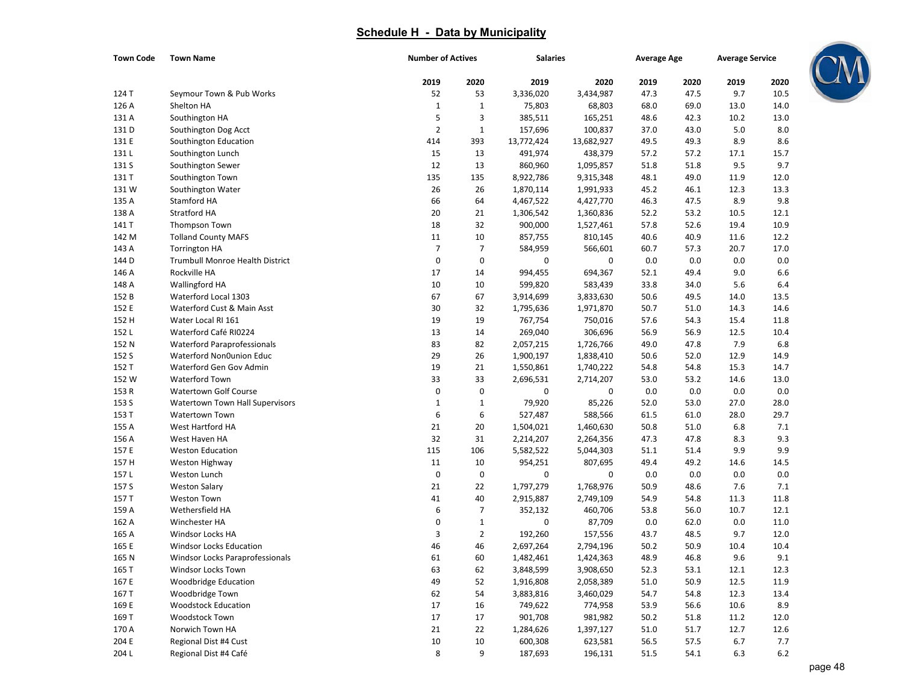| <b>Town Code</b> | <b>Town Name</b>                   | <b>Number of Actives</b> |                | <b>Salaries</b> |            | <b>Average Age</b> |      | <b>Average Service</b> |      |
|------------------|------------------------------------|--------------------------|----------------|-----------------|------------|--------------------|------|------------------------|------|
|                  |                                    | 2019                     | 2020           | 2019            | 2020       | 2019               | 2020 | 2019                   | 2020 |
| 124 T            | Seymour Town & Pub Works           | 52                       | 53             | 3,336,020       | 3,434,987  | 47.3               | 47.5 | 9.7                    | 10.5 |
| 126 A            | Shelton HA                         | $\mathbf{1}$             | $\mathbf 1$    | 75,803          | 68,803     | 68.0               | 69.0 | 13.0                   | 14.0 |
| 131 A            | Southington HA                     | 5                        | 3              | 385,511         | 165,251    | 48.6               | 42.3 | 10.2                   | 13.0 |
| 131 D            | Southington Dog Acct               | $\overline{2}$           | $\mathbf 1$    | 157,696         | 100,837    | 37.0               | 43.0 | 5.0                    | 8.0  |
| 131 E            | Southington Education              | 414                      | 393            | 13,772,424      | 13,682,927 | 49.5               | 49.3 | 8.9                    | 8.6  |
| 131L             | Southington Lunch                  | 15                       | 13             | 491,974         | 438,379    | 57.2               | 57.2 | 17.1                   | 15.7 |
| 131 S            | Southington Sewer                  | 12                       | 13             | 860,960         | 1,095,857  | 51.8               | 51.8 | 9.5                    | 9.7  |
| 131 T            | Southington Town                   | 135                      | 135            | 8,922,786       | 9,315,348  | 48.1               | 49.0 | 11.9                   | 12.0 |
| 131W             | Southington Water                  | 26                       | 26             | 1,870,114       | 1,991,933  | 45.2               | 46.1 | 12.3                   | 13.3 |
| 135 A            | Stamford HA                        | 66                       | 64             | 4,467,522       | 4,427,770  | 46.3               | 47.5 | 8.9                    | 9.8  |
| 138 A            | Stratford HA                       | 20                       | 21             | 1,306,542       | 1,360,836  | 52.2               | 53.2 | 10.5                   | 12.1 |
| 141 T            | Thompson Town                      | 18                       | 32             | 900,000         | 1,527,461  | 57.8               | 52.6 | 19.4                   | 10.9 |
| 142 M            | <b>Tolland County MAFS</b>         | 11                       | 10             | 857,755         | 810,145    | 40.6               | 40.9 | 11.6                   | 12.2 |
| 143 A            | <b>Torrington HA</b>               | $\overline{7}$           | 7              | 584,959         | 566,601    | 60.7               | 57.3 | 20.7                   | 17.0 |
| 144 D            | Trumbull Monroe Health District    | $\boldsymbol{0}$         | $\bf 0$        | $\mathbf 0$     | 0          | 0.0                | 0.0  | 0.0                    | 0.0  |
| 146 A            | Rockville HA                       | 17                       | 14             | 994,455         | 694,367    | 52.1               | 49.4 | 9.0                    | 6.6  |
| 148 A            | Wallingford HA                     | 10                       | 10             | 599,820         | 583,439    | 33.8               | 34.0 | 5.6                    | 6.4  |
| 152 B            | Waterford Local 1303               | 67                       | 67             | 3,914,699       | 3,833,630  | 50.6               | 49.5 | 14.0                   | 13.5 |
| 152 E            | Waterford Cust & Main Asst         | 30                       | 32             | 1,795,636       | 1,971,870  | 50.7               | 51.0 | 14.3                   | 14.6 |
| 152 H            | Water Local RI 161                 | 19                       | 19             | 767,754         | 750,016    | 57.6               | 54.3 | 15.4                   | 11.8 |
| 152L             | Waterford Café RI0224              | 13                       | 14             | 269,040         | 306,696    | 56.9               | 56.9 | 12.5                   | 10.4 |
| 152 N            | <b>Waterford Paraprofessionals</b> | 83                       | 82             | 2,057,215       | 1,726,766  | 49.0               | 47.8 | 7.9                    | 6.8  |
| 152 S            | Waterford Non0union Educ           | 29                       | 26             | 1,900,197       | 1,838,410  | 50.6               | 52.0 | 12.9                   | 14.9 |
| 152 T            | Waterford Gen Gov Admin            | 19                       | 21             | 1,550,861       | 1,740,222  | 54.8               | 54.8 | 15.3                   | 14.7 |
| 152 W            | Waterford Town                     | 33                       | 33             | 2,696,531       | 2,714,207  | 53.0               | 53.2 | 14.6                   | 13.0 |
| 153 R            | <b>Watertown Golf Course</b>       | 0                        | $\mathbf 0$    | 0               | 0          | 0.0                | 0.0  | 0.0                    | 0.0  |
| 153 S            | Watertown Town Hall Supervisors    | $\mathbf{1}$             | $1\,$          | 79,920          | 85,226     | 52.0               | 53.0 | 27.0                   | 28.0 |
| 153 T            | <b>Watertown Town</b>              | 6                        | 6              | 527,487         | 588,566    | 61.5               | 61.0 | 28.0                   | 29.7 |
| 155 A            | West Hartford HA                   | 21                       | 20             | 1,504,021       | 1,460,630  | 50.8               | 51.0 | 6.8                    | 7.1  |
| 156 A            | West Haven HA                      | 32                       | 31             | 2,214,207       | 2,264,356  | 47.3               | 47.8 | 8.3                    | 9.3  |
| 157 E            | <b>Weston Education</b>            | 115                      | 106            | 5,582,522       | 5,044,303  | 51.1               | 51.4 | 9.9                    | 9.9  |
| 157 H            | Weston Highway                     | 11                       | 10             | 954,251         | 807,695    | 49.4               | 49.2 | 14.6                   | 14.5 |
| 157L             | Weston Lunch                       | 0                        | $\bf 0$        | 0               | 0          | 0.0                | 0.0  | 0.0                    | 0.0  |
| 157 S            | <b>Weston Salary</b>               | 21                       | 22             | 1,797,279       | 1,768,976  | 50.9               | 48.6 | 7.6                    | 7.1  |
| 157 T            | <b>Weston Town</b>                 | 41                       | 40             | 2,915,887       | 2,749,109  | 54.9               | 54.8 | 11.3                   | 11.8 |
| 159 A            | Wethersfield HA                    | 6                        | 7              | 352,132         | 460,706    | 53.8               | 56.0 | 10.7                   | 12.1 |
| 162 A            | Winchester HA                      | $\boldsymbol{0}$         | $1\,$          | 0               | 87,709     | 0.0                | 62.0 | 0.0                    | 11.0 |
| 165 A            | Windsor Locks HA                   | 3                        | $\overline{2}$ | 192,260         | 157,556    | 43.7               | 48.5 | 9.7                    | 12.0 |
| 165 E            | <b>Windsor Locks Education</b>     | 46                       | 46             | 2,697,264       | 2,794,196  | 50.2               | 50.9 | 10.4                   | 10.4 |
| 165 N            | Windsor Locks Paraprofessionals    | 61                       | 60             | 1,482,461       | 1,424,363  | 48.9               | 46.8 | 9.6                    | 9.1  |
| 165 T            | Windsor Locks Town                 | 63                       | 62             | 3,848,599       | 3,908,650  | 52.3               | 53.1 | 12.1                   | 12.3 |
| 167 E            | <b>Woodbridge Education</b>        | 49                       | 52             | 1,916,808       | 2,058,389  | 51.0               | 50.9 | 12.5                   | 11.9 |
| 167 T            | Woodbridge Town                    | 62                       | 54             | 3,883,816       | 3,460,029  | 54.7               | 54.8 | 12.3                   | 13.4 |
| 169 E            | <b>Woodstock Education</b>         | 17                       | 16             | 749,622         | 774,958    | 53.9               | 56.6 | 10.6                   | 8.9  |
| 169 T            | Woodstock Town                     | 17                       | 17             | 901,708         | 981,982    | 50.2               | 51.8 | 11.2                   | 12.0 |
| 170 A            | Norwich Town HA                    | 21                       | 22             | 1,284,626       | 1,397,127  | 51.0               | 51.7 | 12.7                   | 12.6 |
| 204 E            | Regional Dist #4 Cust              | 10                       | 10             | 600,308         | 623,581    | 56.5               | 57.5 | 6.7                    | 7.7  |
| 204L             | Regional Dist #4 Café              | 8                        | 9              | 187,693         | 196,131    | 51.5               | 54.1 | 6.3                    | 6.2  |

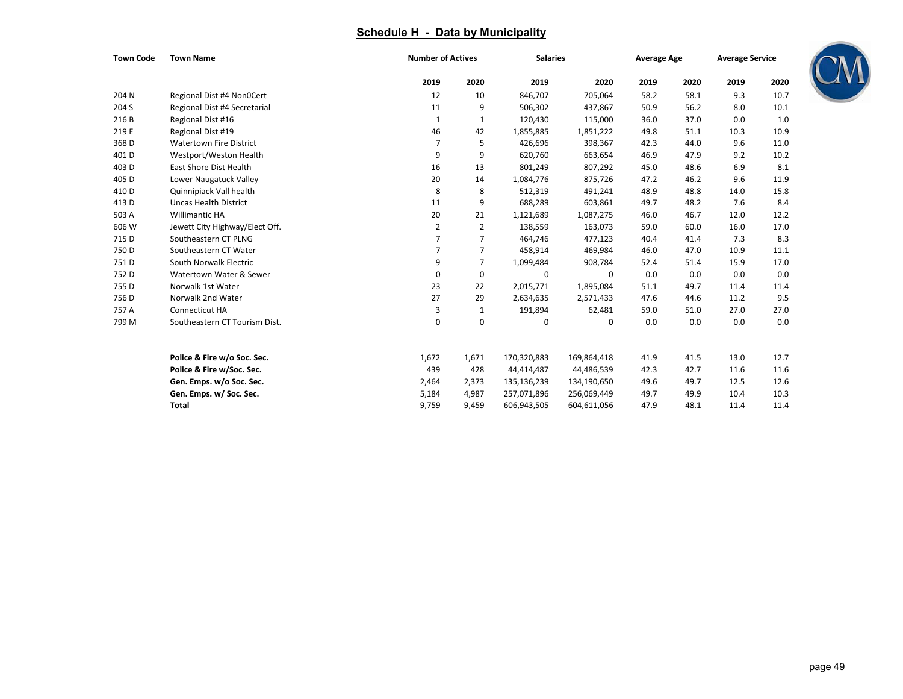| <b>Town Code</b> | <b>Town Name</b>               | <b>Number of Actives</b> |                | <b>Salaries</b> |             | <b>Average Age</b> |      | <b>Average Service</b> |      |
|------------------|--------------------------------|--------------------------|----------------|-----------------|-------------|--------------------|------|------------------------|------|
|                  |                                | 2019                     | 2020           | 2019            | 2020        | 2019               | 2020 | 2019                   | 2020 |
| 204 N            | Regional Dist #4 Non0Cert      | 12                       | 10             | 846,707         | 705,064     | 58.2               | 58.1 | 9.3                    | 10.7 |
| 204 S            | Regional Dist #4 Secretarial   | 11                       | 9              | 506,302         | 437,867     | 50.9               | 56.2 | 8.0                    | 10.1 |
| 216B             | Regional Dist #16              | 1                        | 1              | 120,430         | 115,000     | 36.0               | 37.0 | 0.0                    | 1.0  |
| 219 E            | Regional Dist #19              | 46                       | 42             | 1,855,885       | 1,851,222   | 49.8               | 51.1 | 10.3                   | 10.9 |
| 368 D            | <b>Watertown Fire District</b> | 7                        | 5              | 426,696         | 398,367     | 42.3               | 44.0 | 9.6                    | 11.0 |
| 401 <sub>D</sub> | Westport/Weston Health         | 9                        | 9              | 620,760         | 663,654     | 46.9               | 47.9 | 9.2                    | 10.2 |
| 403D             | <b>East Shore Dist Health</b>  | 16                       | 13             | 801,249         | 807,292     | 45.0               | 48.6 | 6.9                    | 8.1  |
| 405 D            | Lower Naugatuck Valley         | 20                       | 14             | 1,084,776       | 875,726     | 47.2               | 46.2 | 9.6                    | 11.9 |
| 410 D            | Quinnipiack Vall health        | 8                        | 8              | 512,319         | 491,241     | 48.9               | 48.8 | 14.0                   | 15.8 |
| 413 D            | <b>Uncas Health District</b>   | 11                       | 9              | 688,289         | 603,861     | 49.7               | 48.2 | 7.6                    | 8.4  |
| 503 A            | <b>Willimantic HA</b>          | 20                       | 21             | 1,121,689       | 1,087,275   | 46.0               | 46.7 | 12.0                   | 12.2 |
| 606 W            | Jewett City Highway/Elect Off. | $\overline{2}$           | $\overline{2}$ | 138,559         | 163,073     | 59.0               | 60.0 | 16.0                   | 17.0 |
| 715 D            | Southeastern CT PLNG           | $\overline{7}$           | 7              | 464,746         | 477,123     | 40.4               | 41.4 | 7.3                    | 8.3  |
| 750 D            | Southeastern CT Water          | $\overline{7}$           | $\overline{7}$ | 458,914         | 469,984     | 46.0               | 47.0 | 10.9                   | 11.1 |
| 751D             | South Norwalk Electric         | 9                        | 7              | 1,099,484       | 908,784     | 52.4               | 51.4 | 15.9                   | 17.0 |
| 752D             | Watertown Water & Sewer        | $\mathbf 0$              | 0              | 0               | 0           | 0.0                | 0.0  | 0.0                    | 0.0  |
| 755 D            | Norwalk 1st Water              | 23                       | 22             | 2,015,771       | 1,895,084   | 51.1               | 49.7 | 11.4                   | 11.4 |
| 756 D            | Norwalk 2nd Water              | 27                       | 29             | 2,634,635       | 2,571,433   | 47.6               | 44.6 | 11.2                   | 9.5  |
| 757 A            | Connecticut HA                 | 3                        | 1              | 191,894         | 62,481      | 59.0               | 51.0 | 27.0                   | 27.0 |
| 799 M            | Southeastern CT Tourism Dist.  | $\Omega$                 | 0              | $\Omega$        | $\Omega$    | 0.0                | 0.0  | 0.0                    | 0.0  |
|                  | Police & Fire w/o Soc. Sec.    | 1,672                    | 1,671          | 170,320,883     | 169,864,418 | 41.9               | 41.5 | 13.0                   | 12.7 |
|                  | Police & Fire w/Soc. Sec.      | 439                      | 428            | 44,414,487      | 44,486,539  | 42.3               | 42.7 | 11.6                   | 11.6 |
|                  | Gen. Emps. w/o Soc. Sec.       | 2,464                    | 2,373          | 135,136,239     | 134,190,650 | 49.6               | 49.7 | 12.5                   | 12.6 |
|                  | Gen. Emps. w/ Soc. Sec.        | 5,184                    | 4,987          | 257,071,896     | 256,069,449 | 49.7               | 49.9 | 10.4                   | 10.3 |
|                  | <b>Total</b>                   | 9,759                    | 9,459          | 606,943,505     | 604,611,056 | 47.9               | 48.1 | 11.4                   | 11.4 |

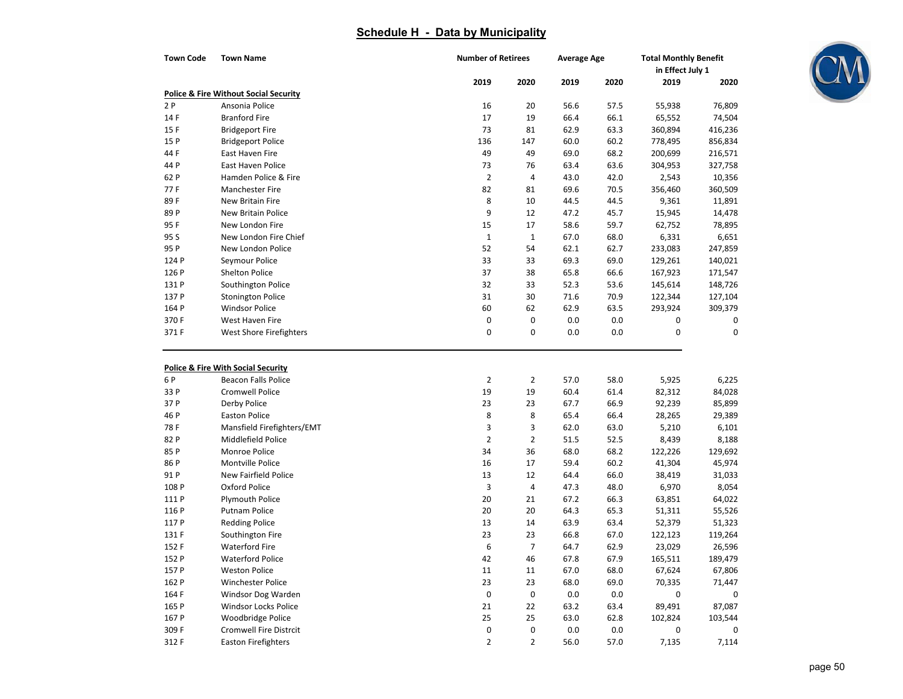| <b>Town Code</b> | <b>Town Name</b>                                                            | <b>Number of Retirees</b> |                | <b>Average Age</b> |      | <b>Total Monthly Benefit</b><br>in Effect July 1 |             |
|------------------|-----------------------------------------------------------------------------|---------------------------|----------------|--------------------|------|--------------------------------------------------|-------------|
|                  |                                                                             | 2019                      | 2020           | 2019               | 2020 | 2019                                             | 2020        |
|                  | <b>Police &amp; Fire Without Social Security</b>                            |                           |                |                    |      |                                                  |             |
| 2P               | Ansonia Police                                                              | 16                        | 20             | 56.6               | 57.5 | 55,938                                           | 76,809      |
| 14 F             | <b>Branford Fire</b>                                                        | 17                        | 19             | 66.4               | 66.1 | 65,552                                           | 74,504      |
| 15F              | <b>Bridgeport Fire</b>                                                      | 73                        | 81             | 62.9               | 63.3 | 360,894                                          | 416,236     |
| 15 P             | <b>Bridgeport Police</b>                                                    | 136                       | 147            | 60.0               | 60.2 | 778,495                                          | 856,834     |
| 44 F             | East Haven Fire                                                             | 49                        | 49             | 69.0               | 68.2 | 200,699                                          | 216,571     |
| 44 P             | East Haven Police                                                           | 73                        | 76             | 63.4               | 63.6 | 304,953                                          | 327,758     |
| 62 P             | Hamden Police & Fire                                                        | $\overline{2}$            | 4              | 43.0               | 42.0 | 2,543                                            | 10,356      |
| 77F              | Manchester Fire                                                             | 82                        | 81             | 69.6               | 70.5 | 356,460                                          | 360,509     |
| 89F              | New Britain Fire                                                            | 8                         | 10             | 44.5               | 44.5 | 9,361                                            | 11,891      |
| 89 P             | New Britain Police                                                          | 9                         | 12             | 47.2               | 45.7 | 15,945                                           | 14,478      |
| 95F              | New London Fire                                                             | 15                        | 17             | 58.6               | 59.7 | 62,752                                           | 78,895      |
| 95 S             | New London Fire Chief                                                       | $\mathbf 1$               | $1\,$          | 67.0               | 68.0 | 6,331                                            | 6,651       |
| 95 P             | New London Police                                                           | 52                        | 54             | 62.1               | 62.7 | 233,083                                          | 247,859     |
| 124 P            | Seymour Police                                                              | 33                        | 33             | 69.3               | 69.0 | 129,261                                          | 140,021     |
| 126 P            | <b>Shelton Police</b>                                                       | 37                        | 38             | 65.8               | 66.6 | 167,923                                          | 171,547     |
| 131 P            | Southington Police                                                          | 32                        | 33             | 52.3               | 53.6 | 145,614                                          | 148,726     |
| 137 P            | <b>Stonington Police</b>                                                    | 31                        | 30             | 71.6               | 70.9 | 122,344                                          | 127,104     |
| 164 P            | <b>Windsor Police</b>                                                       | 60                        | 62             | 62.9               | 63.5 | 293,924                                          | 309,379     |
| 370F             | West Haven Fire                                                             | $\pmb{0}$                 | 0              | 0.0                | 0.0  | 0                                                | 0           |
| 371 F            | West Shore Firefighters                                                     | 0                         | 0              | 0.0                | 0.0  | 0                                                | $\mathbf 0$ |
| 6 P              | <b>Police &amp; Fire With Social Security</b><br><b>Beacon Falls Police</b> | $\overline{2}$            | $\overline{2}$ | 57.0               | 58.0 | 5,925                                            | 6,225       |
| 33 P             | <b>Cromwell Police</b>                                                      | 19                        | 19             | 60.4               | 61.4 | 82,312                                           | 84,028      |
| 37 P             | Derby Police                                                                | 23                        | 23             | 67.7               | 66.9 | 92,239                                           | 85,899      |
| 46 P             | <b>Easton Police</b>                                                        | 8                         | 8              | 65.4               | 66.4 | 28,265                                           | 29,389      |
| 78 F             | Mansfield Firefighters/EMT                                                  | 3                         | 3              | 62.0               | 63.0 | 5,210                                            | 6,101       |
| 82 P             | Middlefield Police                                                          | $\overline{2}$            | $\overline{2}$ | 51.5               | 52.5 | 8,439                                            | 8,188       |
| 85 P             | Monroe Police                                                               | 34                        | 36             | 68.0               | 68.2 | 122,226                                          | 129,692     |
| 86 P             | Montville Police                                                            | 16                        | 17             | 59.4               | 60.2 | 41,304                                           | 45,974      |
| 91 P             | New Fairfield Police                                                        | 13                        | 12             | 64.4               | 66.0 | 38,419                                           | 31,033      |
| 108 P            | Oxford Police                                                               | 3                         | 4              | 47.3               | 48.0 | 6,970                                            | 8,054       |
| 111 P            | Plymouth Police                                                             | 20                        | 21             | 67.2               | 66.3 | 63,851                                           | 64,022      |
| 116 P            | <b>Putnam Police</b>                                                        | 20                        | 20             | 64.3               | 65.3 | 51,311                                           | 55,526      |
| 117 P            | <b>Redding Police</b>                                                       | 13                        | 14             | 63.9               | 63.4 | 52,379                                           | 51,323      |
| 131 F            | Southington Fire                                                            | 23                        | 23             | 66.8               | 67.0 | 122,123                                          | 119,264     |
| 152 F            | <b>Waterford Fire</b>                                                       | 6                         | 7              | 64.7               | 62.9 | 23,029                                           | 26,596      |
| 152 P            | <b>Waterford Police</b>                                                     | 42                        | 46             | 67.8               | 67.9 | 165,511                                          | 189,479     |
| 157 P            | <b>Weston Police</b>                                                        | 11                        | 11             | 67.0               | 68.0 | 67,624                                           | 67,806      |
| 162 P            | Winchester Police                                                           | 23                        | 23             | 68.0               | 69.0 | 70,335                                           | 71,447      |
| 164 F            | Windsor Dog Warden                                                          | $\pmb{0}$                 | 0              | 0.0                | 0.0  | 0                                                | 0           |
| 165 P            | Windsor Locks Police                                                        | 21                        | 22             | 63.2               | 63.4 | 89,491                                           | 87,087      |
| 167 P            | Woodbridge Police                                                           | 25                        | 25             | 63.0               | 62.8 | 102,824                                          | 103,544     |
| 309 F            | <b>Cromwell Fire Distrcit</b>                                               | 0                         | 0              | 0.0                | 0.0  | 0                                                | 0           |
| 312 F            | <b>Easton Firefighters</b>                                                  | $\overline{2}$            | 2              | 56.0               | 57.0 | 7,135                                            | 7,114       |

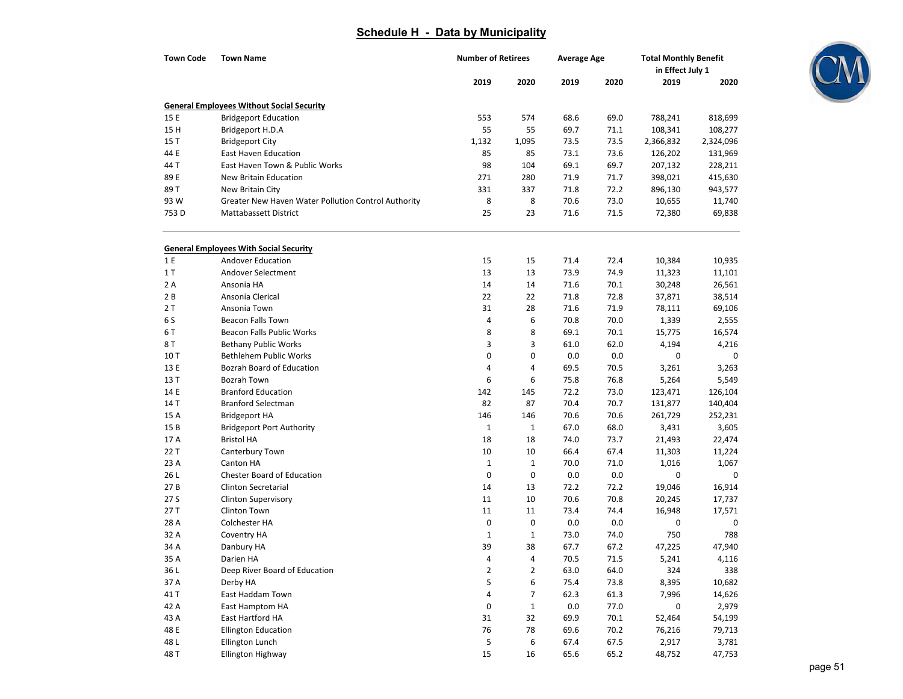| <b>Town Code</b> | <b>Town Name</b>                                    | <b>Number of Retirees</b> |                | <b>Average Age</b> |      | <b>Total Monthly Benefit</b><br>in Effect July 1 |           |  |
|------------------|-----------------------------------------------------|---------------------------|----------------|--------------------|------|--------------------------------------------------|-----------|--|
|                  |                                                     | 2019                      | 2020           | 2019               | 2020 | 2019                                             | 2020      |  |
|                  | <b>General Employees Without Social Security</b>    |                           |                |                    |      |                                                  |           |  |
| 15 E             | <b>Bridgeport Education</b>                         | 553                       | 574            | 68.6               | 69.0 | 788,241                                          | 818,699   |  |
| 15 H             | Bridgeport H.D.A                                    | 55                        | 55             | 69.7               | 71.1 | 108,341                                          | 108,277   |  |
| 15T              | <b>Bridgeport City</b>                              | 1,132                     | 1,095          | 73.5               | 73.5 | 2,366,832                                        | 2,324,096 |  |
| 44 E             | <b>East Haven Education</b>                         | 85                        | 85             | 73.1               | 73.6 | 126,202                                          | 131,969   |  |
| 44 T             | East Haven Town & Public Works                      | 98                        | 104            | 69.1               | 69.7 | 207,132                                          | 228,211   |  |
| 89 E             | <b>New Britain Education</b>                        | 271                       | 280            | 71.9               | 71.7 | 398,021                                          | 415,630   |  |
| 89 T             | New Britain City                                    | 331                       | 337            | 71.8               | 72.2 | 896,130                                          | 943,577   |  |
| 93 W             | Greater New Haven Water Pollution Control Authority | 8                         | 8              | 70.6               | 73.0 | 10,655                                           | 11,740    |  |
| 753 D            | Mattabassett District                               | 25                        | 23             | 71.6               | 71.5 | 72,380                                           | 69,838    |  |
|                  | <b>General Employees With Social Security</b>       |                           |                |                    |      |                                                  |           |  |
| 1 E              | <b>Andover Education</b>                            | 15                        | 15             | 71.4               | 72.4 | 10,384                                           | 10,935    |  |
| 1T               | Andover Selectment                                  | 13                        | 13             | 73.9               | 74.9 | 11,323                                           | 11,101    |  |
| 2A               | Ansonia HA                                          | 14                        | 14             | 71.6               | 70.1 | 30,248                                           | 26,561    |  |
| 2B               | Ansonia Clerical                                    | 22                        | 22             | 71.8               | 72.8 | 37,871                                           | 38,514    |  |
| 2T               | Ansonia Town                                        | 31                        | 28             | 71.6               | 71.9 | 78,111                                           | 69,106    |  |
| 6 S              | <b>Beacon Falls Town</b>                            | 4                         | 6              | 70.8               | 70.0 | 1,339                                            | 2,555     |  |
| 6T               | Beacon Falls Public Works                           | 8                         | 8              | 69.1               | 70.1 | 15,775                                           | 16,574    |  |
| 8 T              | <b>Bethany Public Works</b>                         | 3                         | 3              | 61.0               | 62.0 | 4,194                                            | 4,216     |  |
| 10T              | <b>Bethlehem Public Works</b>                       | 0                         | $\pmb{0}$      | 0.0                | 0.0  | 0                                                | 0         |  |
| 13 E             | Bozrah Board of Education                           | 4                         | $\overline{4}$ | 69.5               | 70.5 | 3,261                                            | 3,263     |  |
| 13 T             | Bozrah Town                                         | 6                         | 6              | 75.8               | 76.8 | 5,264                                            | 5,549     |  |
| 14 E             | <b>Branford Education</b>                           | 142                       | 145            | 72.2               | 73.0 | 123,471                                          | 126,104   |  |
| 14 T             | <b>Branford Selectman</b>                           | 82                        | 87             | 70.4               | 70.7 | 131,877                                          | 140,404   |  |
| 15 A             | <b>Bridgeport HA</b>                                | 146                       | 146            | 70.6               | 70.6 | 261,729                                          | 252,231   |  |
| 15B              | <b>Bridgeport Port Authority</b>                    | $\mathbf{1}$              | $\mathbf{1}$   | 67.0               | 68.0 | 3,431                                            | 3,605     |  |
| 17 A             | <b>Bristol HA</b>                                   | 18                        | 18             | 74.0               | 73.7 | 21,493                                           | 22,474    |  |
| 22 T             | Canterbury Town                                     | 10                        | 10             | 66.4               | 67.4 | 11,303                                           | 11,224    |  |
| 23 A             | Canton HA                                           | $\mathbf 1$               | $\mathbf{1}$   | 70.0               | 71.0 | 1,016                                            | 1,067     |  |
| 26 L             | <b>Chester Board of Education</b>                   | 0                         | 0              | 0.0                | 0.0  | 0                                                | 0         |  |
| 27B              | <b>Clinton Secretarial</b>                          | 14                        | 13             | 72.2               | 72.2 | 19,046                                           | 16,914    |  |
| 27 S             | <b>Clinton Supervisory</b>                          | 11                        | 10             | 70.6               | 70.8 | 20,245                                           | 17,737    |  |
| 27 T             | Clinton Town                                        | 11                        | 11             | 73.4               | 74.4 | 16,948                                           | 17,571    |  |
| 28 A             | Colchester HA                                       | $\pmb{0}$                 | $\pmb{0}$      | 0.0                | 0.0  | 0                                                | 0         |  |
| 32 A             | Coventry HA                                         | $\mathbf 1$               | $\mathbf{1}$   | 73.0               | 74.0 | 750                                              | 788       |  |
| 34 A             | Danbury HA                                          | 39                        | 38             | 67.7               | 67.2 | 47,225                                           | 47,940    |  |
| 35 A             | Darien HA                                           | 4                         | 4              | 70.5               | 71.5 | 5,241                                            | 4,116     |  |
| 36 L             | Deep River Board of Education                       | $\overline{\mathbf{c}}$   | $\overline{2}$ | 63.0               | 64.0 | 324                                              | 338       |  |
| 37 A             | Derby HA                                            | 5                         | 6              | 75.4               | 73.8 | 8,395                                            | 10,682    |  |
| 41 T             | East Haddam Town                                    | 4                         | 7              | 62.3               | 61.3 | 7,996                                            | 14,626    |  |
| 42 A             | East Hamptom HA                                     | $\pmb{0}$                 | $\mathbf{1}$   | 0.0                | 77.0 | 0                                                | 2,979     |  |
| 43 A             | East Hartford HA                                    | 31                        | 32             | 69.9               | 70.1 | 52,464                                           | 54,199    |  |
| 48 E             | <b>Ellington Education</b>                          | 76                        | 78             | 69.6               | 70.2 | 76,216                                           | 79,713    |  |
| 48 L             | Ellington Lunch                                     | 5                         | 6              | 67.4               | 67.5 | 2,917                                            | 3,781     |  |
| 48 T             | Ellington Highway                                   | 15                        | 16             | 65.6               | 65.2 | 48,752                                           | 47,753    |  |

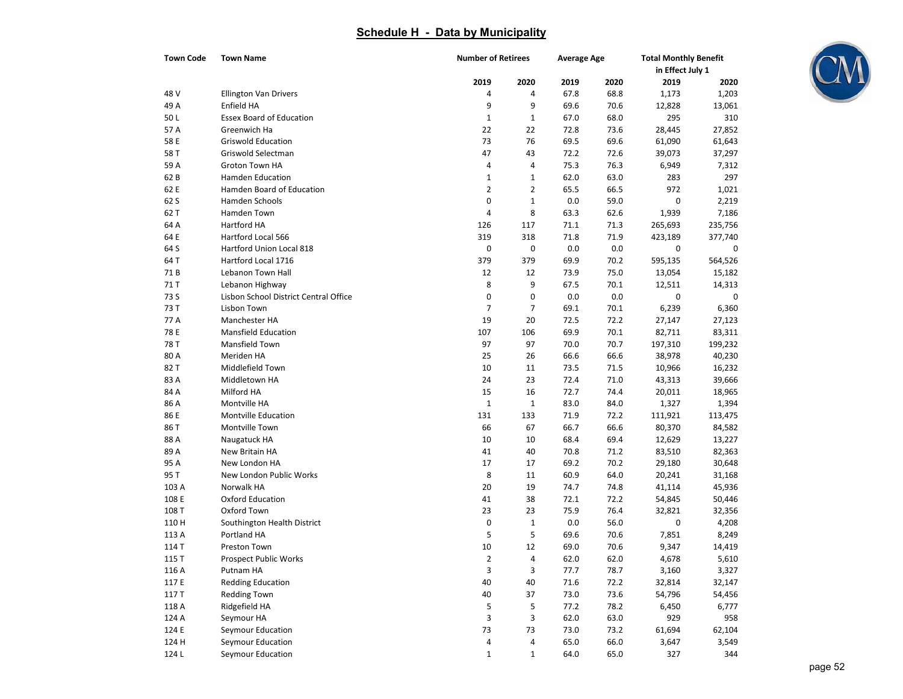| <b>Town Code</b> | <b>Town Name</b>                      |                | <b>Number of Retirees</b> |      | <b>Average Age</b> | <b>Total Monthly Benefit</b><br>in Effect July 1 |         |
|------------------|---------------------------------------|----------------|---------------------------|------|--------------------|--------------------------------------------------|---------|
|                  |                                       | 2019           | 2020                      | 2019 | 2020               | 2019                                             | 2020    |
| 48 V             | Ellington Van Drivers                 | 4              | 4                         | 67.8 | 68.8               | 1,173                                            | 1,203   |
| 49 A             | Enfield HA                            | 9              | 9                         | 69.6 | 70.6               | 12,828                                           | 13,061  |
| 50L              | <b>Essex Board of Education</b>       | $\mathbf 1$    | $\mathbf 1$               | 67.0 | 68.0               | 295                                              | 310     |
| 57 A             | Greenwich Ha                          | 22             | 22                        | 72.8 | 73.6               | 28,445                                           | 27,852  |
| 58 E             | <b>Griswold Education</b>             | 73             | 76                        | 69.5 | 69.6               | 61,090                                           | 61,643  |
| 58 T             | Griswold Selectman                    | 47             | 43                        | 72.2 | 72.6               | 39,073                                           | 37,297  |
| 59 A             | Groton Town HA                        | 4              | 4                         | 75.3 | 76.3               | 6,949                                            | 7,312   |
| 62 B             | Hamden Education                      | $\mathbf{1}$   | $\mathbf{1}$              | 62.0 | 63.0               | 283                                              | 297     |
| 62 E             | Hamden Board of Education             | $\overline{2}$ | $\overline{2}$            | 65.5 | 66.5               | 972                                              | 1,021   |
| 62 S             | Hamden Schools                        | 0              | $\mathbf 1$               | 0.0  | 59.0               | $\mathbf 0$                                      | 2,219   |
| 62 T             | Hamden Town                           | 4              | 8                         | 63.3 | 62.6               | 1,939                                            | 7,186   |
| 64 A             | Hartford HA                           | 126            | 117                       | 71.1 | 71.3               | 265,693                                          | 235,756 |
| 64 E             | Hartford Local 566                    | 319            | 318                       | 71.8 | 71.9               | 423,189                                          | 377,740 |
| 64 S             | Hartford Union Local 818              | 0              | $\pmb{0}$                 | 0.0  | 0.0                | 0                                                | 0       |
| 64 T             | Hartford Local 1716                   | 379            | 379                       | 69.9 | 70.2               | 595,135                                          | 564,526 |
| 71B              | Lebanon Town Hall                     | 12             | 12                        | 73.9 | 75.0               | 13,054                                           | 15,182  |
| 71 T             | Lebanon Highway                       | 8              | 9                         | 67.5 | 70.1               | 12,511                                           | 14,313  |
| 73 S             | Lisbon School District Central Office | 0              | 0                         | 0.0  | 0.0                | 0                                                | 0       |
| 73 T             | Lisbon Town                           | $\overline{7}$ | $\overline{7}$            | 69.1 | 70.1               | 6,239                                            | 6,360   |
| 77 A             | Manchester HA                         | 19             | 20                        | 72.5 | 72.2               | 27,147                                           | 27,123  |
| 78 E             | <b>Mansfield Education</b>            | 107            | 106                       | 69.9 | 70.1               | 82,711                                           | 83,311  |
| 78 T             | Mansfield Town                        | 97             | 97                        | 70.0 | 70.7               | 197,310                                          | 199,232 |
| 80 A             | Meriden HA                            | 25             | 26                        | 66.6 | 66.6               | 38,978                                           | 40,230  |
| 82T              | Middlefield Town                      | 10             | 11                        | 73.5 | 71.5               | 10,966                                           | 16,232  |
| 83 A             | Middletown HA                         | 24             | 23                        | 72.4 | 71.0               | 43,313                                           | 39,666  |
| 84 A             | Milford HA                            | 15             | 16                        | 72.7 | 74.4               | 20,011                                           | 18,965  |
| 86 A             | Montville HA                          | $\mathbf 1$    | $\mathbf 1$               | 83.0 | 84.0               | 1,327                                            | 1,394   |
| 86 E             | <b>Montville Education</b>            | 131            | 133                       | 71.9 | 72.2               | 111,921                                          | 113,475 |
| 86 T             | Montville Town                        | 66             | 67                        | 66.7 | 66.6               | 80,370                                           | 84,582  |
| 88 A             | Naugatuck HA                          | 10             | 10                        | 68.4 | 69.4               | 12,629                                           | 13,227  |
| 89 A             | New Britain HA                        | 41             | 40                        | 70.8 | 71.2               | 83,510                                           | 82,363  |
| 95 A             | New London HA                         | 17             | 17                        | 69.2 | 70.2               | 29,180                                           | 30,648  |
| 95 T             | New London Public Works               | 8              | 11                        | 60.9 | 64.0               | 20,241                                           | 31,168  |
| 103 A            | Norwalk HA                            | 20             | 19                        | 74.7 | 74.8               | 41,114                                           | 45,936  |
| 108 E            | <b>Oxford Education</b>               | 41             | 38                        | 72.1 | 72.2               | 54,845                                           | 50,446  |
| 108 T            | Oxford Town                           | 23             | 23                        | 75.9 | 76.4               | 32,821                                           | 32,356  |
| 110H             | Southington Health District           | 0              | $\mathbf 1$               | 0.0  | 56.0               | 0                                                | 4,208   |
| 113 A            | Portland HA                           | 5              | 5                         | 69.6 | 70.6               | 7,851                                            | 8,249   |
| 114 T            | Preston Town                          | 10             | 12                        | 69.0 | 70.6               | 9,347                                            | 14,419  |
| 115 T            | Prospect Public Works                 | $\overline{2}$ | 4                         | 62.0 | 62.0               | 4,678                                            | 5,610   |
| 116 A            | Putnam HA                             | 3              | 3                         | 77.7 | 78.7               | 3,160                                            | 3,327   |
| 117 E            | <b>Redding Education</b>              | 40             | 40                        | 71.6 | 72.2               | 32,814                                           | 32,147  |
| 117 T            | <b>Redding Town</b>                   | 40             | 37                        | 73.0 | 73.6               | 54,796                                           | 54,456  |
| 118 A            | Ridgefield HA                         | 5              | 5                         | 77.2 | 78.2               | 6,450                                            | 6,777   |
| 124 A            | Seymour HA                            | 3              | 3                         | 62.0 | 63.0               | 929                                              | 958     |
| 124 E            | Seymour Education                     | 73             | 73                        | 73.0 | 73.2               | 61,694                                           | 62,104  |
| 124 H            | Seymour Education                     | 4              | 4                         | 65.0 | 66.0               | 3,647                                            | 3,549   |
| 124L             | Seymour Education                     | $1\,$          | $\mathbf{1}$              | 64.0 | 65.0               | 327                                              | 344     |

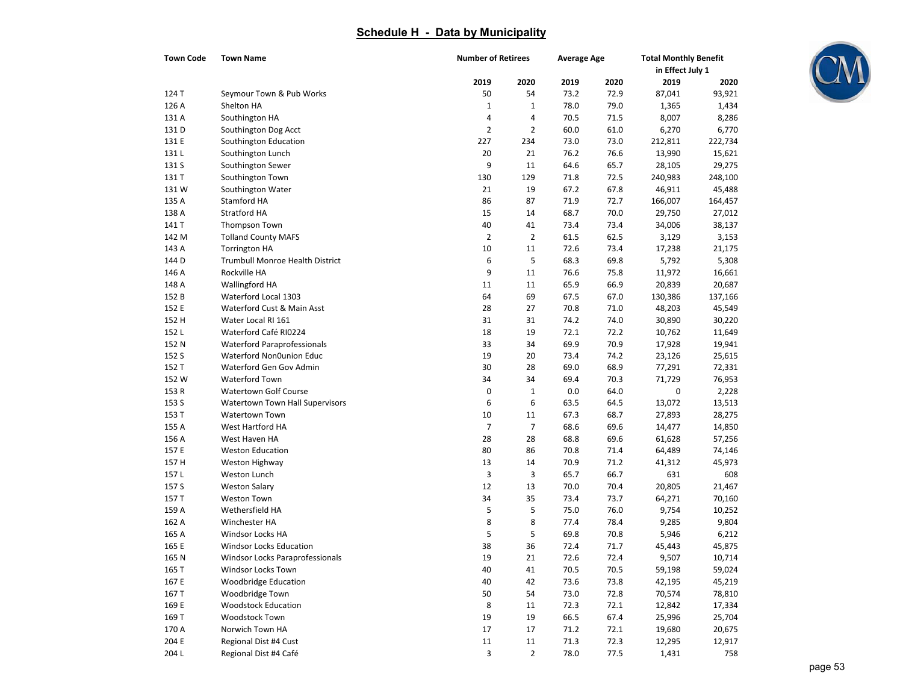| <b>Town Code</b> | <b>Town Name</b>                       |                | <b>Number of Retirees</b> |      | <b>Average Age</b> | <b>Total Monthly Benefit</b><br>in Effect July 1 |         |
|------------------|----------------------------------------|----------------|---------------------------|------|--------------------|--------------------------------------------------|---------|
|                  |                                        | 2019           | 2020                      | 2019 | 2020               | 2019                                             | 2020    |
| 124 T            | Seymour Town & Pub Works               | 50             | 54                        | 73.2 | 72.9               | 87,041                                           | 93,921  |
| 126 A            | Shelton HA                             | $\mathbf 1$    | 1                         | 78.0 | 79.0               | 1,365                                            | 1,434   |
| 131 A            | Southington HA                         | 4              | 4                         | 70.5 | 71.5               | 8,007                                            | 8,286   |
| 131 D            | Southington Dog Acct                   | $\overline{2}$ | $\overline{2}$            | 60.0 | 61.0               | 6,270                                            | 6,770   |
| 131 E            | Southington Education                  | 227            | 234                       | 73.0 | 73.0               | 212,811                                          | 222,734 |
| 131L             | Southington Lunch                      | 20             | 21                        | 76.2 | 76.6               | 13,990                                           | 15,621  |
| 131 S            | Southington Sewer                      | 9              | 11                        | 64.6 | 65.7               | 28,105                                           | 29,275  |
| 131 T            | Southington Town                       | 130            | 129                       | 71.8 | 72.5               | 240,983                                          | 248,100 |
| 131W             | Southington Water                      | 21             | 19                        | 67.2 | 67.8               | 46,911                                           | 45,488  |
| 135 A            | Stamford HA                            | 86             | 87                        | 71.9 | 72.7               | 166,007                                          | 164,457 |
| 138 A            | Stratford HA                           | 15             | 14                        | 68.7 | 70.0               | 29,750                                           | 27,012  |
| 141 T            | Thompson Town                          | 40             | 41                        | 73.4 | 73.4               | 34,006                                           | 38,137  |
| 142 M            | <b>Tolland County MAFS</b>             | $\overline{2}$ | $\overline{2}$            | 61.5 | 62.5               | 3,129                                            | 3,153   |
| 143 A            | <b>Torrington HA</b>                   | 10             | 11                        | 72.6 | 73.4               | 17,238                                           | 21,175  |
| 144 D            | Trumbull Monroe Health District        | 6              | 5                         | 68.3 | 69.8               | 5,792                                            | 5,308   |
| 146 A            | Rockville HA                           | 9              | 11                        | 76.6 | 75.8               | 11,972                                           | 16,661  |
| 148 A            | Wallingford HA                         | 11             | 11                        | 65.9 | 66.9               | 20,839                                           | 20,687  |
| 152 B            | Waterford Local 1303                   | 64             | 69                        | 67.5 | 67.0               | 130,386                                          | 137,166 |
| 152 E            | Waterford Cust & Main Asst             | 28             | 27                        | 70.8 | 71.0               | 48,203                                           | 45,549  |
| 152 H            | Water Local RI 161                     | 31             | 31                        | 74.2 | 74.0               | 30,890                                           | 30,220  |
| 152L             | Waterford Café RI0224                  | 18             | 19                        | 72.1 | 72.2               | 10,762                                           | 11,649  |
| 152 N            | <b>Waterford Paraprofessionals</b>     | 33             | 34                        | 69.9 | 70.9               | 17,928                                           | 19,941  |
| 152 S            | Waterford Non0union Educ               | 19             | 20                        | 73.4 | 74.2               | 23,126                                           | 25,615  |
| 152 T            | Waterford Gen Gov Admin                | 30             | 28                        | 69.0 | 68.9               | 77,291                                           | 72,331  |
| 152 W            | Waterford Town                         | 34             | 34                        | 69.4 | 70.3               | 71,729                                           | 76,953  |
| 153 R            | <b>Watertown Golf Course</b>           | 0              | $\mathbf 1$               | 0.0  | 64.0               | 0                                                | 2,228   |
| 153 S            | Watertown Town Hall Supervisors        | 6              | 6                         | 63.5 | 64.5               | 13,072                                           | 13,513  |
| 153 T            | Watertown Town                         | 10             | 11                        | 67.3 | 68.7               | 27,893                                           | 28,275  |
| 155 A            | West Hartford HA                       | 7              | $\overline{7}$            | 68.6 | 69.6               | 14,477                                           | 14,850  |
| 156 A            | West Haven HA                          | 28             | 28                        | 68.8 | 69.6               | 61,628                                           | 57,256  |
| 157 E            | <b>Weston Education</b>                | 80             | 86                        | 70.8 | 71.4               | 64,489                                           | 74,146  |
| 157 H            | Weston Highway                         | 13             | 14                        | 70.9 | 71.2               | 41,312                                           | 45,973  |
| 157L             | Weston Lunch                           | 3              | 3                         | 65.7 | 66.7               | 631                                              | 608     |
| 157 S            | <b>Weston Salary</b>                   | 12             | 13                        | 70.0 | 70.4               | 20,805                                           | 21,467  |
| 157 T            | <b>Weston Town</b>                     | 34             | 35                        | 73.4 | 73.7               | 64,271                                           | 70,160  |
| 159 A            | Wethersfield HA                        | 5              | 5                         | 75.0 | 76.0               | 9,754                                            | 10,252  |
| 162 A            | Winchester HA                          | 8              | 8                         | 77.4 | 78.4               | 9,285                                            | 9,804   |
| 165 A            | <b>Windsor Locks HA</b>                | 5              | 5                         | 69.8 | 70.8               | 5,946                                            | 6,212   |
| 165 E            | Windsor Locks Education                | 38             | 36                        | 72.4 | 71.7               | 45,443                                           | 45,875  |
| 165 N            | <b>Windsor Locks Paraprofessionals</b> | 19             | 21                        | 72.6 | 72.4               | 9,507                                            | 10,714  |
| 165 T            | Windsor Locks Town                     | 40             | 41                        | 70.5 | 70.5               | 59,198                                           | 59,024  |
| 167 E            | <b>Woodbridge Education</b>            | 40             | 42                        | 73.6 | 73.8               | 42,195                                           | 45,219  |
| 167 T            | Woodbridge Town                        | 50             | 54                        | 73.0 | 72.8               | 70,574                                           | 78,810  |
| 169 E            | <b>Woodstock Education</b>             | 8              | 11                        | 72.3 | 72.1               | 12,842                                           | 17,334  |
| 169 T            | Woodstock Town                         | 19             | 19                        | 66.5 | 67.4               | 25,996                                           | 25,704  |
| 170 A            | Norwich Town HA                        | 17             | 17                        | 71.2 | 72.1               | 19,680                                           | 20,675  |
| 204 E            | Regional Dist #4 Cust                  | $11\,$         | 11                        | 71.3 | 72.3               | 12,295                                           | 12,917  |
| 204 L            | Regional Dist #4 Café                  | 3              | $\overline{2}$            | 78.0 | 77.5               | 1,431                                            | 758     |

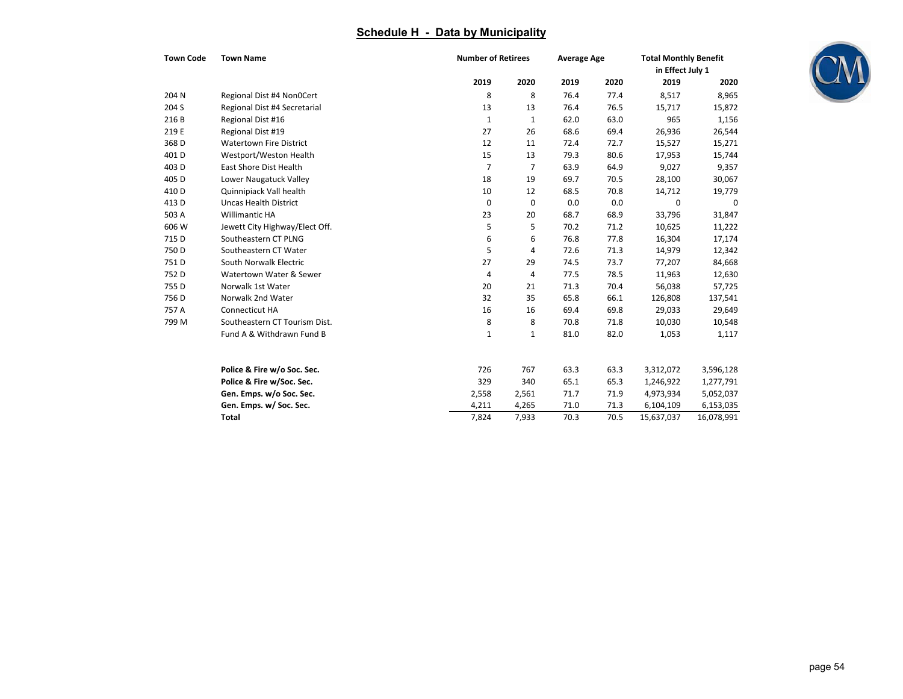| <b>Town Code</b> | <b>Town Name</b>               |             | <b>Number of Retirees</b> |      | <b>Average Age</b> |            | <b>Total Monthly Benefit</b><br>in Effect July 1 |  |
|------------------|--------------------------------|-------------|---------------------------|------|--------------------|------------|--------------------------------------------------|--|
|                  |                                | 2019        | 2020                      | 2019 | 2020               | 2019       | 2020                                             |  |
| 204 N            | Regional Dist #4 Non0Cert      | 8           | 8                         | 76.4 | 77.4               | 8,517      | 8,965                                            |  |
| 204 S            | Regional Dist #4 Secretarial   | 13          | 13                        | 76.4 | 76.5               | 15,717     | 15,872                                           |  |
| 216B             | Regional Dist #16              | 1           | 1                         | 62.0 | 63.0               | 965        | 1,156                                            |  |
| 219 E            | Regional Dist #19              | 27          | 26                        | 68.6 | 69.4               | 26,936     | 26,544                                           |  |
| 368 <sub>D</sub> | <b>Watertown Fire District</b> | 12          | 11                        | 72.4 | 72.7               | 15,527     | 15,271                                           |  |
| 401 D            | Westport/Weston Health         | 15          | 13                        | 79.3 | 80.6               | 17,953     | 15,744                                           |  |
| 403 D            | East Shore Dist Health         | 7           | 7                         | 63.9 | 64.9               | 9,027      | 9,357                                            |  |
| 405 D            | Lower Naugatuck Valley         | 18          | 19                        | 69.7 | 70.5               | 28,100     | 30,067                                           |  |
| 410 D            | Quinnipiack Vall health        | 10          | 12                        | 68.5 | 70.8               | 14,712     | 19,779                                           |  |
| 413 D            | <b>Uncas Health District</b>   | $\mathbf 0$ | 0                         | 0.0  | 0.0                | 0          | 0                                                |  |
| 503 A            | <b>Willimantic HA</b>          | 23          | 20                        | 68.7 | 68.9               | 33,796     | 31,847                                           |  |
| 606 W            | Jewett City Highway/Elect Off. | 5           | 5                         | 70.2 | 71.2               | 10,625     | 11,222                                           |  |
| 715 D            | Southeastern CT PLNG           | 6           | 6                         | 76.8 | 77.8               | 16,304     | 17,174                                           |  |
| 750 D            | Southeastern CT Water          | 5           | 4                         | 72.6 | 71.3               | 14,979     | 12,342                                           |  |
| 751D             | South Norwalk Electric         | 27          | 29                        | 74.5 | 73.7               | 77,207     | 84,668                                           |  |
| 752 D            | Watertown Water & Sewer        | 4           | 4                         | 77.5 | 78.5               | 11,963     | 12,630                                           |  |
| 755 D            | Norwalk 1st Water              | 20          | 21                        | 71.3 | 70.4               | 56,038     | 57,725                                           |  |
| 756 D            | Norwalk 2nd Water              | 32          | 35                        | 65.8 | 66.1               | 126,808    | 137,541                                          |  |
| 757 A            | Connecticut HA                 | 16          | 16                        | 69.4 | 69.8               | 29,033     | 29,649                                           |  |
| 799 M            | Southeastern CT Tourism Dist.  | 8           | 8                         | 70.8 | 71.8               | 10,030     | 10,548                                           |  |
|                  | Fund A & Withdrawn Fund B      | 1           | 1                         | 81.0 | 82.0               | 1,053      | 1,117                                            |  |
|                  | Police & Fire w/o Soc. Sec.    | 726         | 767                       | 63.3 | 63.3               | 3,312,072  | 3,596,128                                        |  |
|                  | Police & Fire w/Soc. Sec.      | 329         | 340                       | 65.1 | 65.3               | 1,246,922  | 1,277,791                                        |  |
|                  | Gen. Emps. w/o Soc. Sec.       | 2,558       | 2,561                     | 71.7 | 71.9               | 4,973,934  | 5,052,037                                        |  |
|                  | Gen. Emps. w/ Soc. Sec.        | 4,211       | 4,265                     | 71.0 | 71.3               | 6,104,109  | 6,153,035                                        |  |
|                  | <b>Total</b>                   | 7,824       | 7,933                     | 70.3 | 70.5               | 15,637,037 | 16,078,991                                       |  |

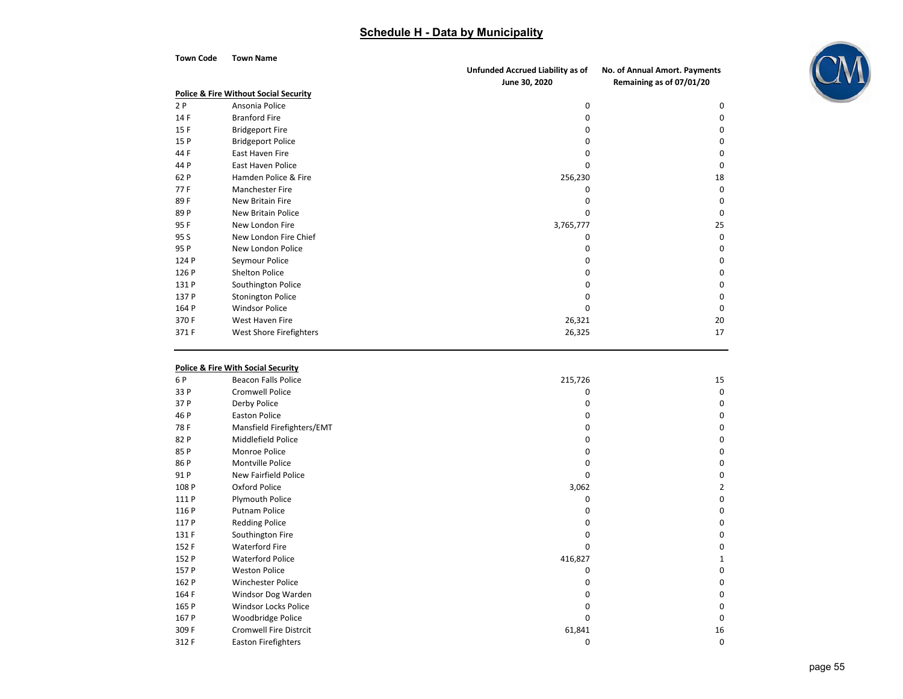| Town Code | Town Name                                        |                                  |                               |
|-----------|--------------------------------------------------|----------------------------------|-------------------------------|
|           |                                                  | Unfunded Accrued Liability as of | No. of Annual Amort. Payments |
|           |                                                  | June 30, 2020                    | Remaining as of 07/01/20      |
|           | <b>Police &amp; Fire Without Social Security</b> |                                  |                               |
| 2P        | Ansonia Police                                   | 0                                | 0                             |
| 14F       | <b>Branford Fire</b>                             | <sup>0</sup>                     | 0                             |
| 15F       | <b>Bridgeport Fire</b>                           | O                                | 0                             |
| 15 P      | <b>Bridgeport Police</b>                         | o                                | 0                             |
| 44 F      | East Haven Fire                                  | o                                | 0                             |
| 44 P      | <b>East Haven Police</b>                         | ŋ                                | $\Omega$                      |
| 62 P      | Hamden Police & Fire                             | 256,230                          | 18                            |
| 77F       | <b>Manchester Fire</b>                           | O                                | $\Omega$                      |
| 89F       | <b>New Britain Fire</b>                          |                                  | 0                             |
| 89 P      | New Britain Police                               | O                                | $\Omega$                      |
| 95F       | New London Fire                                  | 3,765,777                        | 25                            |
| 95 S      | New London Fire Chief                            | o                                | 0                             |
| 95 P      | New London Police                                | o                                | 0                             |
| 124 P     | Seymour Police                                   | o                                | 0                             |
| 126 P     | <b>Shelton Police</b>                            | 0                                | $\Omega$                      |
| 131 P     | Southington Police                               |                                  | 0                             |
| 137 P     | <b>Stonington Police</b>                         | n                                | 0                             |
| 164 P     | <b>Windsor Police</b>                            | O                                | $\Omega$                      |
| 370 F     | West Haven Fire                                  | 26,321                           | 20                            |
| 371 F     | West Shore Firefighters                          | 26,325                           | 17                            |

#### **Police & Fire With Social Security**

| 6 P   | <b>Beacon Falls Police</b>    | 215,726 | 15           |
|-------|-------------------------------|---------|--------------|
| 33 P  | Cromwell Police               |         | $\Omega$     |
| 37 P  | Derby Police                  |         | 0            |
| 46 P  | <b>Easton Police</b>          |         | 0            |
| 78F   | Mansfield Firefighters/EMT    |         | 0            |
| 82 P  | Middlefield Police            |         | 0            |
| 85 P  | Monroe Police                 |         | 0            |
| 86 P  | Montville Police              |         | 0            |
| 91 P  | New Fairfield Police          |         | 0            |
| 108 P | Oxford Police                 | 3,062   | 2            |
| 111 P | Plymouth Police               |         | 0            |
| 116 P | <b>Putnam Police</b>          |         | 0            |
| 117 P | <b>Redding Police</b>         |         | 0            |
| 131 F | Southington Fire              |         | 0            |
| 152 F | <b>Waterford Fire</b>         | n       | 0            |
| 152 P | <b>Waterford Police</b>       | 416,827 |              |
| 157 P | <b>Weston Police</b>          |         | 0            |
| 162 P | Winchester Police             |         | 0            |
| 164 F | Windsor Dog Warden            |         | 0            |
| 165 P | <b>Windsor Locks Police</b>   |         | 0            |
| 167 P | Woodbridge Police             |         | <sup>0</sup> |
| 309 F | <b>Cromwell Fire Distrcit</b> | 61,841  | 16           |
| 312 F | Easton Firefighters           | 0       | 0            |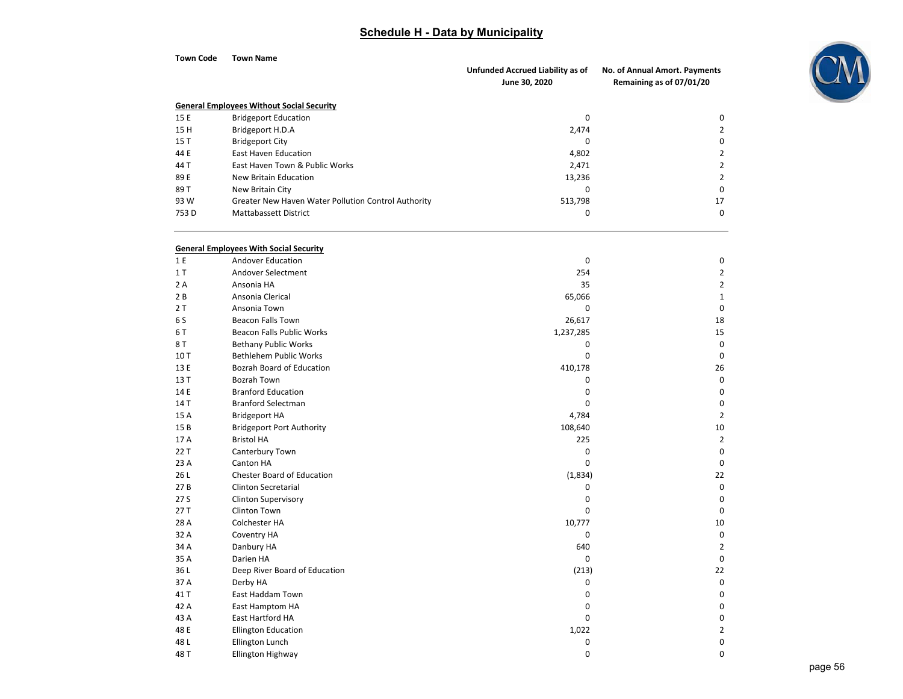| <b>Town Code</b> | <b>Town Name</b>                                    |                                                   |                                                           |
|------------------|-----------------------------------------------------|---------------------------------------------------|-----------------------------------------------------------|
|                  |                                                     | Unfunded Accrued Liability as of<br>June 30, 2020 | No. of Annual Amort. Payments<br>Remaining as of 07/01/20 |
|                  | <b>General Employees Without Social Security</b>    |                                                   |                                                           |
| 15 E             | <b>Bridgeport Education</b>                         | 0                                                 | 0                                                         |
| 15H              | Bridgeport H.D.A                                    | 2,474                                             | $\overline{2}$                                            |
| 15T              | <b>Bridgeport City</b>                              | $\mathbf 0$                                       | 0                                                         |
| 44 E             | <b>East Haven Education</b>                         | 4,802                                             | $\overline{2}$                                            |
| 44 T             | East Haven Town & Public Works                      | 2,471                                             | $\overline{2}$                                            |
| 89 E             | New Britain Education                               | 13,236                                            | $\overline{2}$                                            |
| 89 T             | New Britain City                                    | 0                                                 | 0                                                         |
| 93 W             | Greater New Haven Water Pollution Control Authority | 513,798                                           | 17                                                        |
| 753 D            | <b>Mattabassett District</b>                        | 0                                                 | $\mathbf 0$                                               |
|                  | <b>General Employees With Social Security</b>       |                                                   |                                                           |
| 1 E              | Andover Education                                   | 0                                                 | 0                                                         |
| 1T               | Andover Selectment                                  | 254                                               | $\overline{2}$                                            |
| 2 A              | Ansonia HA                                          | 35                                                | $\overline{2}$                                            |
| 2B               | Ansonia Clerical                                    | 65,066                                            | $\mathbf{1}$                                              |
| 2T               | Ansonia Town                                        | $\mathbf 0$                                       | $\mathbf 0$                                               |
| 6 S              | <b>Beacon Falls Town</b>                            | 26,617                                            | 18                                                        |
| 6 T              | <b>Beacon Falls Public Works</b>                    | 1,237,285                                         | 15                                                        |
| 8 T              | <b>Bethany Public Works</b>                         | 0                                                 | $\mathbf 0$                                               |
| 10T              | <b>Bethlehem Public Works</b>                       | $\mathbf 0$                                       | $\mathbf 0$                                               |
| 13 E             | Bozrah Board of Education                           | 410,178                                           | 26                                                        |
| 13 T             | Bozrah Town                                         | 0                                                 | $\mathbf 0$                                               |
| 14 E             | <b>Branford Education</b>                           | $\mathbf 0$                                       | $\mathbf 0$                                               |
| 14 T             | <b>Branford Selectman</b>                           | $\mathbf 0$                                       | 0                                                         |
| 15 A             | <b>Bridgeport HA</b>                                | 4,784                                             | $\overline{2}$                                            |
| 15B              | <b>Bridgeport Port Authority</b>                    | 108,640                                           | 10                                                        |
| 17 A             | <b>Bristol HA</b>                                   | 225                                               | $\overline{2}$                                            |
| 22 T             | Canterbury Town                                     | 0                                                 | 0                                                         |
| 23 A             | Canton HA                                           | $\mathbf 0$                                       | $\mathbf 0$                                               |
| 26 L             | <b>Chester Board of Education</b>                   | (1,834)                                           | 22                                                        |
| 27B              | Clinton Secretarial                                 | 0                                                 | 0                                                         |
| 27 S             | <b>Clinton Supervisory</b>                          | 0                                                 | 0                                                         |
| 27T              | Clinton Town                                        | $\mathbf 0$                                       | 0                                                         |
| 28 A             | Colchester HA                                       | 10,777                                            | 10                                                        |
| 32 A             | Coventry HA                                         | 0                                                 | 0                                                         |
| 34 A             | Danbury HA                                          | 640                                               | $\overline{2}$                                            |
| 35 A             | Darien HA                                           | 0                                                 | 0                                                         |
| 36L              | Deep River Board of Education                       | (213)                                             | 22                                                        |
| 37 A             | Derby HA                                            | 0                                                 | $\pmb{0}$                                                 |
| 41 T             | East Haddam Town                                    | $\pmb{0}$                                         | $\pmb{0}$                                                 |
| 42 A             | East Hamptom HA                                     | $\pmb{0}$                                         | $\pmb{0}$                                                 |
| 43 A             | East Hartford HA                                    | $\mathbf 0$                                       | $\pmb{0}$                                                 |
| 48 E             | <b>Ellington Education</b>                          | 1,022                                             | $\overline{2}$                                            |
| 48 L             | Ellington Lunch                                     | 0                                                 | 0                                                         |
| 48 T             | Ellington Highway                                   | $\pmb{0}$                                         | $\mathsf 0$                                               |
|                  |                                                     |                                                   |                                                           |

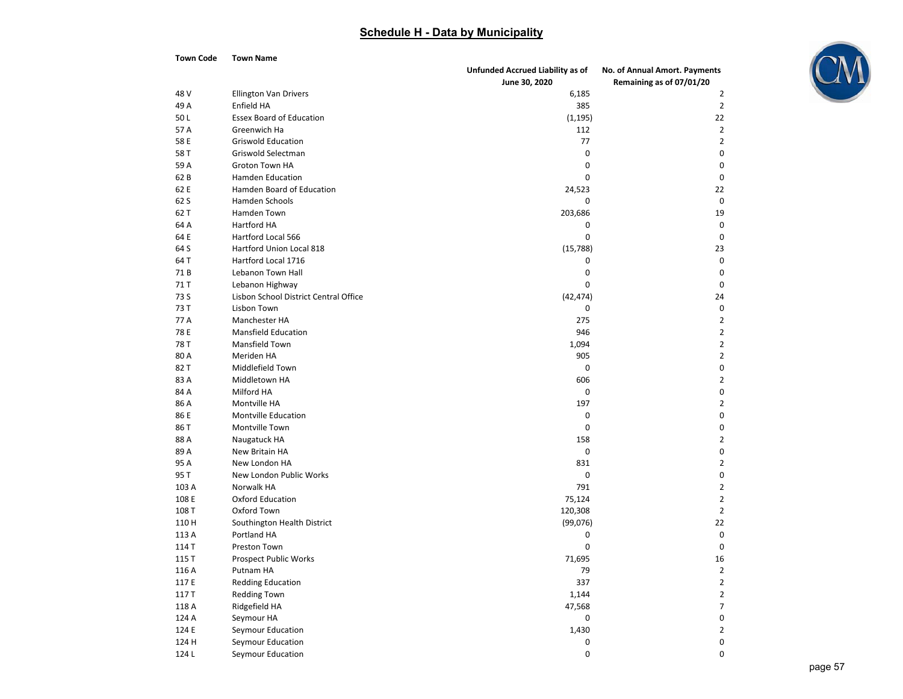

| <b>Town Code</b> | Town Name                             |                                  |                                  |
|------------------|---------------------------------------|----------------------------------|----------------------------------|
|                  |                                       | Unfunded Accrued Liability as of | No. of Annual Amort. Payments    |
|                  |                                       | June 30, 2020                    | Remaining as of 07/01/20         |
| 48 V             | <b>Ellington Van Drivers</b>          | 6,185                            | $\overline{2}$                   |
| 49 A             | Enfield HA                            | 385                              | $\overline{2}$                   |
| 50L              | <b>Essex Board of Education</b>       | (1, 195)                         | 22                               |
| 57 A             | Greenwich Ha                          | 112                              | $\overline{2}$                   |
| 58 E             | <b>Griswold Education</b>             | 77                               | $\overline{2}$                   |
| 58 T             | Griswold Selectman                    | 0                                | 0                                |
| 59 A             | Groton Town HA                        | 0                                | 0                                |
| 62B              | <b>Hamden Education</b>               | 0                                | 0                                |
| 62 E             | Hamden Board of Education             | 24,523                           | 22                               |
| 62 S             | Hamden Schools                        | 0                                | 0                                |
| 62 T             | Hamden Town                           | 203,686                          | 19                               |
| 64 A             | Hartford HA                           | 0                                | 0                                |
| 64 E             | Hartford Local 566                    | 0                                | 0                                |
| 64 S             | Hartford Union Local 818              | (15,788)                         | 23                               |
| 64 T             | Hartford Local 1716                   | 0                                | 0                                |
| 71B              | Lebanon Town Hall                     | 0                                | 0                                |
| 71 T             | Lebanon Highway                       | 0                                | 0                                |
| 73 S             | Lisbon School District Central Office | (42, 474)                        | 24                               |
| 73 T             | Lisbon Town                           | 0                                | 0                                |
| 77 A             | Manchester HA                         | 275                              | $\overline{2}$                   |
| 78 E             | <b>Mansfield Education</b>            | 946                              | $\overline{2}$                   |
| 78 T             | Mansfield Town                        | 1,094                            | $\overline{2}$                   |
| 80 A             | Meriden HA                            | 905                              | $\overline{2}$                   |
| 82 T             | Middlefield Town                      | 0                                | 0                                |
| 83 A             | Middletown HA                         | 606                              | $\overline{2}$                   |
| 84 A             | Milford HA                            | 0                                | 0                                |
| 86 A             | Montville HA                          | 197                              | $\overline{2}$                   |
| 86 E             | <b>Montville Education</b>            | 0                                | 0                                |
| 86 T             | Montville Town                        | 0                                | 0                                |
| 88 A             | Naugatuck HA                          | 158                              | $\overline{2}$                   |
| 89 A             | New Britain HA                        | 0                                | 0                                |
| 95 A             | New London HA                         | 831                              | $\overline{2}$                   |
| 95 T             | New London Public Works               | 0                                | 0                                |
| 103 A            | Norwalk HA                            | 791                              | $\overline{2}$                   |
| 108 E            | Oxford Education                      | 75,124                           | $\overline{2}$                   |
| 108 T            | Oxford Town                           | 120,308                          | $\overline{2}$                   |
| 110 H            | Southington Health District           | (99,076)                         | 22                               |
| 113 A            | Portland HA                           | 0                                | 0                                |
| 114 T            | Preston Town                          | 0                                | 0                                |
| 115 T            | <b>Prospect Public Works</b>          | 71,695                           | 16                               |
|                  |                                       |                                  |                                  |
| 116 A<br>117 E   | Putnam HA<br><b>Redding Education</b> | 79<br>337                        | $\overline{2}$<br>$\overline{2}$ |
|                  | <b>Redding Town</b>                   |                                  | $\overline{2}$                   |
| 117 T            |                                       | 1,144                            |                                  |
| 118 A            | Ridgefield HA                         | 47,568                           | $\overline{7}$                   |
| 124 A            | Seymour HA                            | 0                                | $\mathbf 0$                      |
| 124 E            | Seymour Education                     | 1,430                            | $\overline{2}$                   |
| 124 H            | Seymour Education                     | 0                                | $\mathbf 0$                      |
| 124 L            | Seymour Education                     | 0                                | $\mathsf 0$                      |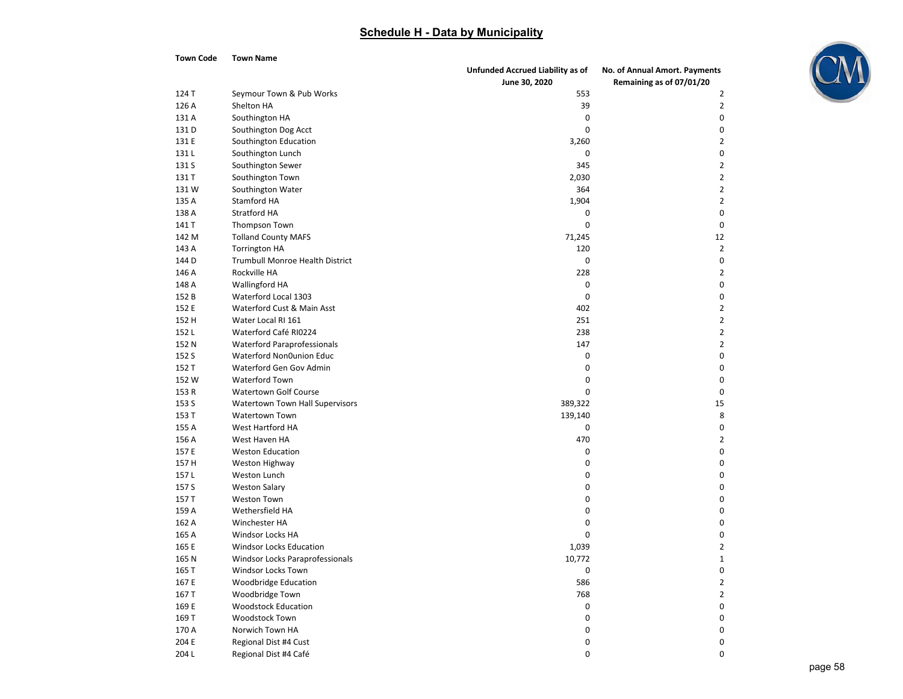

| <b>Town Code</b> | Town Name                                                |                                  |                               |
|------------------|----------------------------------------------------------|----------------------------------|-------------------------------|
|                  |                                                          | Unfunded Accrued Liability as of | No. of Annual Amort. Payments |
|                  |                                                          | June 30, 2020                    | Remaining as of 07/01/20      |
| 124 T            | Seymour Town & Pub Works                                 | 553                              | 2                             |
| 126 A            | Shelton HA                                               | 39                               | 2                             |
| 131 A            | Southington HA                                           | 0                                | 0                             |
| 131 D            | Southington Dog Acct                                     | $\mathbf 0$                      | 0                             |
| 131 E            | Southington Education                                    | 3,260                            | 2                             |
| 131 L            | Southington Lunch                                        | 0                                | 0                             |
| 131 S            | Southington Sewer                                        | 345                              | 2                             |
| 131 T            | Southington Town                                         | 2,030                            | $\overline{2}$                |
| 131 W            | Southington Water                                        | 364                              | $\overline{2}$                |
| 135 A            | Stamford HA                                              | 1,904                            | $\overline{2}$                |
| 138 A            | <b>Stratford HA</b>                                      | 0                                | 0                             |
| 141 T            | Thompson Town                                            | $\mathbf 0$                      | 0                             |
| 142 M            | <b>Tolland County MAFS</b>                               | 71,245                           | 12                            |
| 143 A            | <b>Torrington HA</b>                                     | 120                              | 2                             |
| 144 D            | Trumbull Monroe Health District                          | 0                                | 0                             |
| 146 A            | Rockville HA                                             | 228                              | 2                             |
| 148 A            | <b>Wallingford HA</b>                                    | 0                                | 0                             |
| 152 B            | Waterford Local 1303                                     | $\mathbf 0$                      | 0                             |
| 152 E            | Waterford Cust & Main Asst                               | 402                              | 2                             |
| 152 H            | Water Local RI 161                                       | 251                              | $\overline{2}$                |
| 152L             | Waterford Café RI0224                                    | 238                              | 2                             |
| 152 N            | <b>Waterford Paraprofessionals</b>                       | 147                              | $\overline{2}$                |
| 152 S            | Waterford Non0union Educ                                 | 0                                | 0                             |
| 152 T            | Waterford Gen Gov Admin                                  | 0                                | 0                             |
| 152 W            | Waterford Town                                           | 0                                | 0                             |
|                  |                                                          | $\mathbf 0$                      | 0                             |
| 153 R            | <b>Watertown Golf Course</b>                             |                                  | 15                            |
| 153 S            | Watertown Town Hall Supervisors<br><b>Watertown Town</b> | 389,322                          |                               |
| 153 T            |                                                          | 139,140                          | 8                             |
| 155 A            | West Hartford HA                                         | 0                                | 0                             |
| 156 A            | West Haven HA                                            | 470                              | 2                             |
| 157 E            | <b>Weston Education</b>                                  | 0                                | 0                             |
| 157 H            | Weston Highway                                           | 0                                | 0                             |
| 157 L            | Weston Lunch                                             | 0                                | 0                             |
| 157 S            | <b>Weston Salary</b>                                     | 0                                | 0                             |
| 157 T            | <b>Weston Town</b>                                       | 0                                | 0                             |
| 159 A            | Wethersfield HA                                          | 0                                | 0                             |
| 162 A            | Winchester HA                                            | 0                                | 0                             |
| 165 A            | Windsor Locks HA                                         | 0                                | 0                             |
| 165 E            | Windsor Locks Education                                  | 1,039                            | 2                             |
| 165 N            | Windsor Locks Paraprofessionals                          | 10,772                           | $\mathbf{1}$                  |
| 165 T            | Windsor Locks Town                                       | 0                                | 0                             |
| 167 E            | Woodbridge Education                                     | 586                              | 2                             |
| 167 T            | Woodbridge Town                                          | 768                              | 2                             |
| 169 E            | <b>Woodstock Education</b>                               | 0                                | 0                             |
| 169 T            | <b>Woodstock Town</b>                                    | 0                                | 0                             |
| 170 A            | Norwich Town HA                                          | 0                                | 0                             |
| 204 E            | Regional Dist #4 Cust                                    | 0                                | 0                             |
| 204L             | Regional Dist #4 Café                                    | 0                                | 0                             |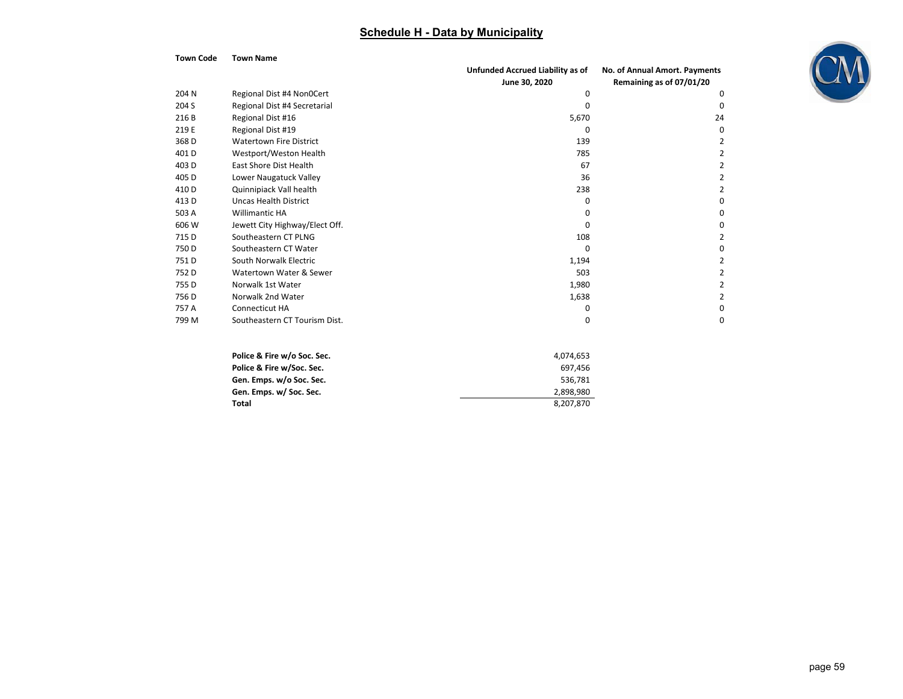| <b>Town Code</b> | <b>Town Name</b>               |                                  |                               |
|------------------|--------------------------------|----------------------------------|-------------------------------|
|                  |                                | Unfunded Accrued Liability as of | No. of Annual Amort. Payments |
|                  |                                | June 30, 2020                    | Remaining as of 07/01/20      |
| 204 N            | Regional Dist #4 Non0Cert      | 0                                | $\Omega$                      |
| 204 S            | Regional Dist #4 Secretarial   | $\Omega$                         | 0                             |
| 216 B            | Regional Dist #16              | 5,670                            | 24                            |
| 219 E            | Regional Dist #19              | $\Omega$                         | 0                             |
| 368 D            | <b>Watertown Fire District</b> | 139                              |                               |
| 401D             | Westport/Weston Health         | 785                              |                               |
| 403 D            | <b>East Shore Dist Health</b>  | 67                               |                               |
| 405 D            | Lower Naugatuck Valley         | 36                               |                               |
| 410 D            | Quinnipiack Vall health        | 238                              |                               |
| 413 D            | Uncas Health District          | <sup>0</sup>                     |                               |
| 503 A            | Willimantic HA                 | $\Omega$                         | 0                             |
| 606 W            | Jewett City Highway/Elect Off. | ŋ                                |                               |
| 715 D            | Southeastern CT PLNG           | 108                              |                               |
| 750 D            | Southeastern CT Water          | $\Omega$                         |                               |
| 751 D            | South Norwalk Electric         | 1,194                            |                               |
| 752 D            | Watertown Water & Sewer        | 503                              |                               |
| 755 D            | Norwalk 1st Water              | 1,980                            |                               |
| 756 D            | Norwalk 2nd Water              | 1,638                            |                               |
| 757 A            | Connecticut HA                 | $\Omega$                         |                               |
| 799 M            | Southeastern CT Tourism Dist.  | $\Omega$                         | 0                             |

| Police & Fire w/o Soc. Sec. | 4.074.653 |
|-----------------------------|-----------|
| Police & Fire w/Soc. Sec.   | 697.456   |
| Gen. Emps. w/o Soc. Sec.    | 536.781   |
| Gen. Emps. w/ Soc. Sec.     | 2.898.980 |
| Total                       | 8.207.870 |

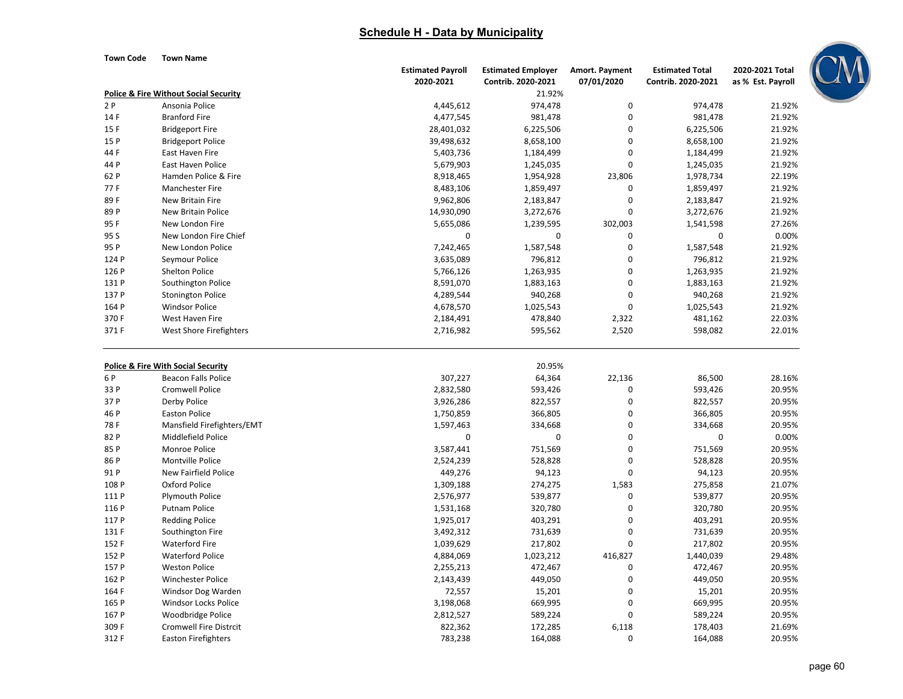**Town Code Town Name**

|       |                                                  | <b>Estimated Payroll</b> | <b>Estimated Employer</b> | Amort. Payment | <b>Estimated Total</b> | 2020-2021 Total   |
|-------|--------------------------------------------------|--------------------------|---------------------------|----------------|------------------------|-------------------|
|       |                                                  | 2020-2021                | Contrib. 2020-2021        | 07/01/2020     | Contrib. 2020-2021     | as % Est. Payroll |
|       | <b>Police &amp; Fire Without Social Security</b> |                          | 21.92%                    |                |                        |                   |
| 2P    | Ansonia Police                                   | 4,445,612                | 974,478                   | $\mathbf 0$    | 974,478                | 21.92%            |
| 14 F  | <b>Branford Fire</b>                             | 4,477,545                | 981,478                   | $\mathbf 0$    | 981,478                | 21.92%            |
| 15F   | <b>Bridgeport Fire</b>                           | 28,401,032               | 6,225,506                 | $\mathbf 0$    | 6,225,506              | 21.92%            |
| 15 P  | <b>Bridgeport Police</b>                         | 39,498,632               | 8,658,100                 | $\mathbf 0$    | 8,658,100              | 21.92%            |
| 44 F  | East Haven Fire                                  | 5,403,736                | 1,184,499                 | 0              | 1,184,499              | 21.92%            |
| 44 P  | East Haven Police                                | 5,679,903                | 1,245,035                 | $\mathbf 0$    | 1,245,035              | 21.92%            |
| 62 P  | Hamden Police & Fire                             | 8,918,465                | 1,954,928                 | 23,806         | 1,978,734              | 22.19%            |
| 77 F  | Manchester Fire                                  | 8,483,106                | 1,859,497                 | $\mathbf 0$    | 1,859,497              | 21.92%            |
| 89F   | <b>New Britain Fire</b>                          | 9,962,806                | 2,183,847                 | $\mathbf 0$    | 2,183,847              | 21.92%            |
| 89 P  | New Britain Police                               | 14,930,090               | 3,272,676                 | 0              | 3,272,676              | 21.92%            |
| 95F   | New London Fire                                  | 5,655,086                | 1,239,595                 | 302,003        | 1,541,598              | 27.26%            |
| 95 S  | New London Fire Chief                            | 0                        | 0                         | 0              | 0                      | 0.00%             |
| 95 P  | New London Police                                | 7,242,465                | 1,587,548                 | 0              | 1,587,548              | 21.92%            |
| 124 P | Seymour Police                                   | 3,635,089                | 796,812                   | 0              | 796,812                | 21.92%            |
| 126 P | <b>Shelton Police</b>                            | 5,766,126                | 1,263,935                 | 0              | 1,263,935              | 21.92%            |
| 131 P | Southington Police                               | 8,591,070                | 1,883,163                 | $\mathbf 0$    | 1,883,163              | 21.92%            |
| 137 P | <b>Stonington Police</b>                         | 4,289,544                | 940,268                   | $\mathbf 0$    | 940,268                | 21.92%            |
| 164 P | <b>Windsor Police</b>                            | 4,678,570                | 1,025,543                 | $\mathbf 0$    | 1,025,543              | 21.92%            |
| 370F  | West Haven Fire                                  | 2,184,491                | 478,840                   | 2,322          | 481,162                | 22.03%            |
| 371 F | <b>West Shore Firefighters</b>                   | 2,716,982                | 595,562                   | 2,520          | 598,082                | 22.01%            |
|       |                                                  |                          |                           |                |                        |                   |
|       | <b>Police &amp; Fire With Social Security</b>    |                          | 20.95%                    |                |                        |                   |
| 6 P   | <b>Beacon Falls Police</b>                       | 307,227                  | 64,364                    | 22,136         | 86,500                 | 28.16%            |
| 33 P  | <b>Cromwell Police</b>                           | 2,832,580                | 593,426                   | 0              | 593,426                | 20.95%            |
| 37 P  | Derby Police                                     | 3,926,286                | 822,557                   | 0              | 822,557                | 20.95%            |
| 46 P  | <b>Easton Police</b>                             | 1,750,859                | 366,805                   | 0              | 366,805                | 20.95%            |
| 78F   | Mansfield Firefighters/EMT                       | 1,597,463                | 334,668                   | $\mathbf 0$    | 334,668                | 20.95%            |
| 82 P  | Middlefield Police                               | $\mathbf 0$              | 0                         | $\mathbf 0$    | 0                      | 0.00%             |
| 85 P  | Monroe Police                                    | 3,587,441                | 751,569                   | $\mathbf 0$    | 751,569                | 20.95%            |
| 86 P  | Montville Police                                 | 2,524,239                | 528,828                   | $\mathbf 0$    | 528,828                | 20.95%            |
| 91 P  | New Fairfield Police                             | 449,276                  | 94,123                    | $\mathbf 0$    | 94,123                 | 20.95%            |
| 108 P | <b>Oxford Police</b>                             | 1,309,188                | 274,275                   | 1,583          | 275,858                | 21.07%            |
| 111 P | <b>Plymouth Police</b>                           | 2,576,977                | 539,877                   | $\mathbf 0$    | 539,877                | 20.95%            |
| 116 P | <b>Putnam Police</b>                             | 1,531,168                | 320,780                   | $\mathbf 0$    | 320,780                | 20.95%            |
| 117 P | <b>Redding Police</b>                            | 1,925,017                | 403,291                   | $\pmb{0}$      | 403,291                | 20.95%            |
| 131 F | Southington Fire                                 | 3,492,312                | 731,639                   | 0              | 731,639                | 20.95%            |
| 152 F | <b>Waterford Fire</b>                            | 1,039,629                | 217,802                   | 0              | 217,802                | 20.95%            |
| 152 P | <b>Waterford Police</b>                          | 4,884,069                | 1,023,212                 | 416,827        | 1,440,039              | 29.48%            |
| 157 P | <b>Weston Police</b>                             | 2,255,213                | 472,467                   | 0              | 472,467                | 20.95%            |
| 162 P | <b>Winchester Police</b>                         | 2,143,439                | 449,050                   | $\mathbf 0$    | 449,050                | 20.95%            |
| 164 F | Windsor Dog Warden                               | 72,557                   | 15,201                    | $\mathbf 0$    | 15,201                 | 20.95%            |
| 165 P | Windsor Locks Police                             | 3,198,068                | 669,995                   | 0              | 669,995                | 20.95%            |
| 167 P | Woodbridge Police                                | 2,812,527                | 589,224                   | $\Omega$       | 589,224                | 20.95%            |
| 309 F | <b>Cromwell Fire Distrcit</b>                    | 822,362                  | 172,285                   | 6,118          | 178,403                | 21.69%            |
| 312 F | <b>Easton Firefighters</b>                       | 783,238                  | 164,088                   | $\Omega$       | 164,088                | 20.95%            |

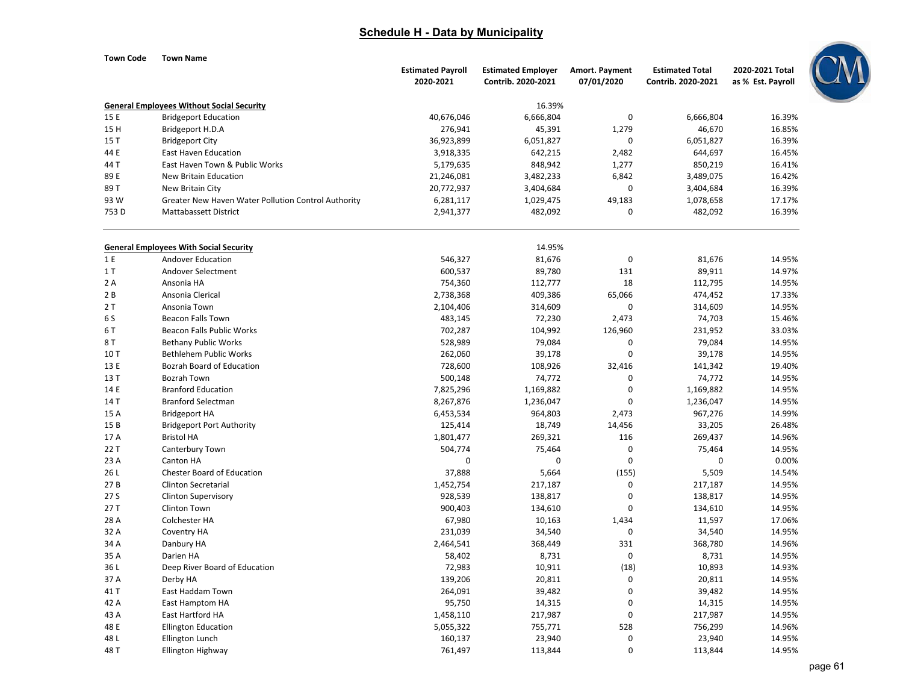| Town Code | <b>Town Name</b>                                    |                          |                           |                |                        |                   |
|-----------|-----------------------------------------------------|--------------------------|---------------------------|----------------|------------------------|-------------------|
|           |                                                     | <b>Estimated Payroll</b> | <b>Estimated Employer</b> | Amort. Payment | <b>Estimated Total</b> | 2020-2021 Total   |
|           |                                                     | 2020-2021                | Contrib. 2020-2021        | 07/01/2020     | Contrib. 2020-2021     | as % Est. Payroll |
|           | <b>General Employees Without Social Security</b>    |                          | 16.39%                    |                |                        |                   |
| 15 E      | <b>Bridgeport Education</b>                         | 40,676,046               | 6,666,804                 | $\mathbf 0$    | 6,666,804              | 16.39%            |
| 15 H      | Bridgeport H.D.A                                    | 276,941                  | 45,391                    | 1,279          | 46,670                 | 16.85%            |
| 15 T      | <b>Bridgeport City</b>                              | 36,923,899               | 6,051,827                 | 0              | 6,051,827              | 16.39%            |
| 44 E      | <b>East Haven Education</b>                         | 3,918,335                | 642,215                   | 2,482          | 644,697                | 16.45%            |
| 44 T      | East Haven Town & Public Works                      | 5,179,635                | 848,942                   | 1,277          | 850,219                | 16.41%            |
| 89 E      | New Britain Education                               | 21,246,081               | 3,482,233                 | 6,842          | 3,489,075              | 16.42%            |
| 89 T      | New Britain City                                    | 20,772,937               | 3,404,684                 | $\mathbf 0$    | 3,404,684              | 16.39%            |
| 93 W      | Greater New Haven Water Pollution Control Authority | 6,281,117                | 1,029,475                 | 49,183         | 1,078,658              | 17.17%            |
| 753D      | Mattabassett District                               | 2,941,377                | 482,092                   | $\mathbf 0$    | 482,092                | 16.39%            |
|           | <b>General Employees With Social Security</b>       |                          | 14.95%                    |                |                        |                   |
| 1 E       | Andover Education                                   | 546,327                  | 81,676                    | $\mathbf 0$    | 81,676                 | 14.95%            |
| 1T        | Andover Selectment                                  | 600,537                  | 89,780                    | 131            | 89,911                 | 14.97%            |
| 2 A       | Ansonia HA                                          | 754,360                  | 112,777                   | 18             | 112,795                | 14.95%            |
| 2B        | Ansonia Clerical                                    | 2,738,368                | 409,386                   | 65,066         | 474,452                | 17.33%            |
| 2 T       | Ansonia Town                                        | 2,104,406                | 314,609                   | $\pmb{0}$      | 314,609                | 14.95%            |
| 6 S       | <b>Beacon Falls Town</b>                            | 483,145                  | 72,230                    | 2,473          | 74,703                 | 15.46%            |
| 6 T       | Beacon Falls Public Works                           | 702,287                  | 104,992                   | 126,960        | 231,952                | 33.03%            |
| 8 T       | <b>Bethany Public Works</b>                         | 528,989                  | 79,084                    | $\mathbf 0$    | 79,084                 | 14.95%            |
| 10T       | <b>Bethlehem Public Works</b>                       | 262,060                  | 39,178                    | $\mathbf 0$    | 39,178                 | 14.95%            |
| 13 E      | Bozrah Board of Education                           | 728,600                  | 108,926                   | 32,416         | 141,342                | 19.40%            |
| 13 T      | <b>Bozrah Town</b>                                  | 500,148                  | 74,772                    | 0              | 74,772                 | 14.95%            |
| 14 E      | <b>Branford Education</b>                           | 7,825,296                | 1,169,882                 | $\mathbf 0$    | 1,169,882              | 14.95%            |
| 14 T      | <b>Branford Selectman</b>                           | 8,267,876                | 1,236,047                 | $\mathbf 0$    | 1,236,047              | 14.95%            |
| 15 A      | <b>Bridgeport HA</b>                                | 6,453,534                | 964,803                   | 2,473          | 967,276                | 14.99%            |
| 15B       | <b>Bridgeport Port Authority</b>                    | 125,414                  | 18,749                    | 14,456         | 33,205                 | 26.48%            |
| 17 A      | <b>Bristol HA</b>                                   | 1,801,477                | 269,321                   | 116            | 269,437                | 14.96%            |
| 22 T      | Canterbury Town                                     | 504,774                  | 75,464                    | $\mathbf 0$    | 75,464                 | 14.95%            |
| 23 A      | Canton HA                                           | $\mathbf 0$              | $\mathbf 0$               | $\mathbf 0$    | $\mathbf 0$            | 0.00%             |
| 26 L      | Chester Board of Education                          | 37,888                   | 5,664                     | (155)          | 5,509                  | 14.54%            |
| 27B       | <b>Clinton Secretarial</b>                          | 1,452,754                | 217,187                   | $\mathbf 0$    | 217,187                | 14.95%            |
| 27 S      | <b>Clinton Supervisory</b>                          | 928,539                  | 138,817                   | $\mathbf 0$    | 138,817                | 14.95%            |
| 27T       | <b>Clinton Town</b>                                 | 900,403                  | 134,610                   | $\mathbf 0$    | 134,610                | 14.95%            |
| 28 A      | Colchester HA                                       | 67,980                   | 10,163                    | 1,434          | 11,597                 | 17.06%            |
| 32 A      | Coventry HA                                         | 231,039                  | 34,540                    | $\mathbf 0$    | 34,540                 | 14.95%            |
| 34 A      | Danbury HA                                          | 2,464,541                | 368,449                   | 331            | 368,780                | 14.96%            |
| 35 A      | Darien HA                                           | 58,402                   | 8,731                     | $\mathbf 0$    | 8,731                  | 14.95%            |
| 36 L      | Deep River Board of Education                       | 72,983                   | 10,911                    | (18)           | 10,893                 | 14.93%            |
| 37 A      | Derby HA                                            | 139,206                  | 20,811                    | $\mathbf 0$    | 20,811                 | 14.95%            |
| 41 T      | East Haddam Town                                    | 264,091                  | 39,482                    | $\mathbf 0$    | 39,482                 | 14.95%            |
| 42 A      | East Hamptom HA                                     | 95,750                   | 14,315                    | $\Omega$       | 14,315                 | 14.95%            |

1,458,110 217,987 0 217,987 14.95%

Ellington Education 1992 14.96% 16.000 16.000 16.000 16.000 16.000 16.000 1755,771 528 756,299 14.96%

L Ellington Lunch 160,137 23,940 0 23,940 14.95%

T Ellington Highway 761,497 113,844 0 113,844 14.95%

43

48

48

48

A East Hartford HA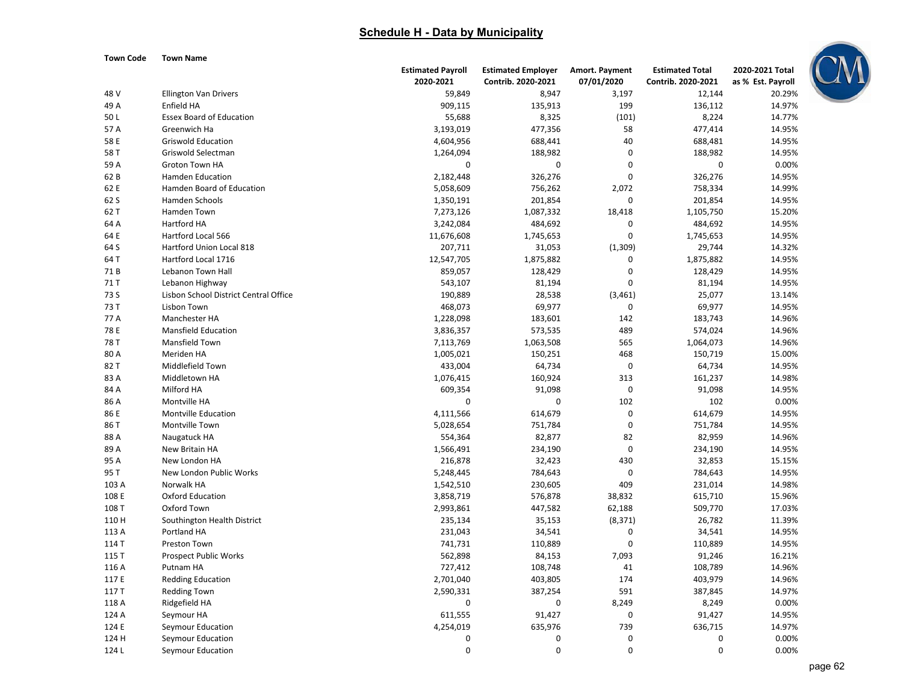

| Town Code |  | <b>Town Name</b> |
|-----------|--|------------------|
|           |  |                  |

|       |                                                          | <b>Estimated Payroll</b> | <b>Estimated Employer</b> | Amort. Payment | <b>Estimated Total</b> | 2020-2021 Total   |
|-------|----------------------------------------------------------|--------------------------|---------------------------|----------------|------------------------|-------------------|
|       |                                                          | 2020-2021                | Contrib. 2020-2021        | 07/01/2020     | Contrib. 2020-2021     | as % Est. Payroll |
| 48 V  | <b>Ellington Van Drivers</b>                             | 59,849                   | 8,947                     | 3,197          | 12,144                 | 20.29%            |
| 49 A  | Enfield HA                                               | 909,115                  | 135,913                   | 199            | 136,112                | 14.97%            |
| 50L   | <b>Essex Board of Education</b>                          | 55,688                   | 8,325                     | (101)          | 8,224                  | 14.77%            |
| 57 A  | Greenwich Ha                                             | 3,193,019                | 477,356                   | 58             | 477,414                | 14.95%            |
| 58 E  | <b>Griswold Education</b>                                | 4,604,956                | 688,441                   | 40             | 688,481                | 14.95%            |
| 58 T  | Griswold Selectman                                       | 1,264,094                | 188,982                   | $\overline{0}$ | 188,982                | 14.95%            |
| 59 A  | Groton Town HA                                           | 0                        | 0                         | $\mathbf 0$    | 0                      | 0.00%             |
| 62 B  | <b>Hamden Education</b>                                  | 2,182,448                | 326,276                   | $\Omega$       | 326,276                | 14.95%            |
| 62 E  | Hamden Board of Education                                | 5,058,609                | 756,262                   | 2,072          | 758,334                | 14.99%            |
| 62 S  | <b>Hamden Schools</b>                                    | 1,350,191                | 201,854                   | $\mathbf 0$    | 201,854                | 14.95%            |
| 62 T  | Hamden Town                                              | 7,273,126                | 1,087,332                 | 18,418         | 1,105,750              | 15.20%            |
| 64 A  | <b>Hartford HA</b>                                       | 3,242,084                | 484,692                   | $\mathbf 0$    | 484,692                | 14.95%            |
| 64 E  | Hartford Local 566                                       | 11,676,608               | 1,745,653                 | $\overline{0}$ | 1,745,653              | 14.95%            |
| 64 S  | Hartford Union Local 818                                 | 207,711                  | 31,053                    | (1,309)        | 29,744                 | 14.32%            |
| 64 T  | Hartford Local 1716                                      | 12,547,705               | 1,875,882                 | 0              | 1,875,882              | 14.95%            |
| 71B   | Lebanon Town Hall                                        | 859,057                  | 128,429                   | 0              | 128,429                | 14.95%            |
| 71 T  |                                                          | 543,107                  |                           | 0              |                        | 14.95%            |
| 73 S  | Lebanon Highway<br>Lisbon School District Central Office | 190,889                  | 81,194                    | (3,461)        | 81,194<br>25,077       | 13.14%            |
|       |                                                          |                          | 28,538                    |                |                        |                   |
| 73 T  | Lisbon Town                                              | 468,073                  | 69,977                    | $\mathbf 0$    | 69,977                 | 14.95%            |
| 77 A  | Manchester HA                                            | 1,228,098                | 183,601                   | 142            | 183,743                | 14.96%            |
| 78 E  | <b>Mansfield Education</b>                               | 3,836,357                | 573,535                   | 489            | 574,024                | 14.96%            |
| 78 T  | Mansfield Town                                           | 7,113,769                | 1,063,508                 | 565            | 1,064,073              | 14.96%            |
| 80 A  | Meriden HA                                               | 1,005,021                | 150,251                   | 468            | 150,719                | 15.00%            |
| 82 T  | Middlefield Town                                         | 433,004                  | 64,734                    | $\mathbf 0$    | 64,734                 | 14.95%            |
| 83 A  | Middletown HA                                            | 1,076,415                | 160,924                   | 313            | 161,237                | 14.98%            |
| 84 A  | Milford HA                                               | 609,354                  | 91,098                    | $\pmb{0}$      | 91,098                 | 14.95%            |
| 86 A  | Montville HA                                             | 0                        | 0                         | 102            | 102                    | 0.00%             |
| 86 E  | <b>Montville Education</b>                               | 4,111,566                | 614,679                   | $\mathbf 0$    | 614,679                | 14.95%            |
| 86 T  | Montville Town                                           | 5,028,654                | 751,784                   | $\mathbf 0$    | 751,784                | 14.95%            |
| 88 A  | Naugatuck HA                                             | 554,364                  | 82,877                    | 82             | 82,959                 | 14.96%            |
| 89 A  | New Britain HA                                           | 1,566,491                | 234,190                   | $\mathbf 0$    | 234,190                | 14.95%            |
| 95 A  | New London HA                                            | 216,878                  | 32,423                    | 430            | 32,853                 | 15.15%            |
| 95 T  | New London Public Works                                  | 5,248,445                | 784,643                   | $\mathbf 0$    | 784,643                | 14.95%            |
| 103 A | Norwalk HA                                               | 1,542,510                | 230,605                   | 409            | 231,014                | 14.98%            |
| 108 E | <b>Oxford Education</b>                                  | 3,858,719                | 576,878                   | 38,832         | 615,710                | 15.96%            |
| 108 T | Oxford Town                                              | 2,993,861                | 447,582                   | 62,188         | 509,770                | 17.03%            |
| 110 H | Southington Health District                              | 235,134                  | 35,153                    | (8, 371)       | 26,782                 | 11.39%            |
| 113 A | Portland HA                                              | 231,043                  | 34,541                    | $\mathbf 0$    | 34,541                 | 14.95%            |
| 114 T | Preston Town                                             | 741,731                  | 110,889                   | $\mathbf 0$    | 110,889                | 14.95%            |
| 115 T | <b>Prospect Public Works</b>                             | 562,898                  | 84,153                    | 7,093          | 91,246                 | 16.21%            |
| 116 A | Putnam HA                                                | 727,412                  | 108,748                   | 41             | 108,789                | 14.96%            |
| 117 E | <b>Redding Education</b>                                 | 2,701,040                | 403,805                   | 174            | 403,979                | 14.96%            |
| 117 T | <b>Redding Town</b>                                      | 2,590,331                | 387,254                   | 591            | 387,845                | 14.97%            |
| 118 A | Ridgefield HA                                            | $\mathbf 0$              | 0                         | 8,249          | 8,249                  | 0.00%             |
| 124 A | Seymour HA                                               | 611,555                  | 91,427                    | $\mathbf 0$    | 91,427                 | 14.95%            |
| 124 E | Seymour Education                                        | 4,254,019                | 635,976                   | 739            | 636,715                | 14.97%            |
| 124 H | Seymour Education                                        | $\mathbf 0$              | 0                         | 0              | $\mathbf 0$            | 0.00%             |
|       |                                                          | $\mathbf 0$              | $\Omega$                  | $\Omega$       | $\Omega$               |                   |
| 124L  | Seymour Education                                        |                          |                           |                |                        | 0.00%             |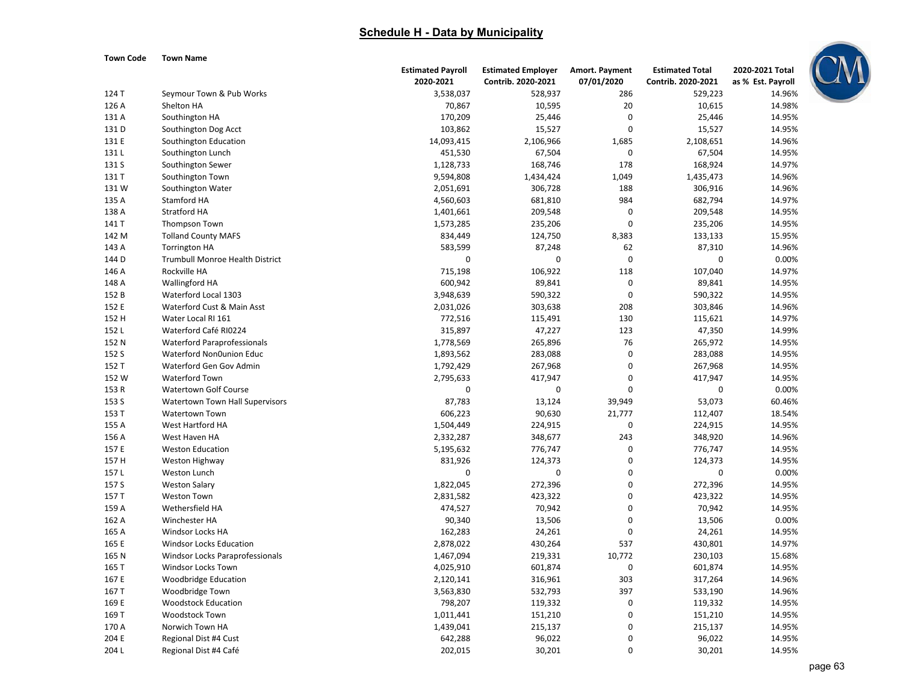#### **Town Code Town Name**



|               |                                        | <b>Estimated Payroll</b> | <b>Estimated Employer</b> | Amort. Payment | <b>Estimated Total</b> | 2020-2021 Total   |
|---------------|----------------------------------------|--------------------------|---------------------------|----------------|------------------------|-------------------|
|               |                                        | 2020-2021                | Contrib. 2020-2021        | 07/01/2020     | Contrib. 2020-2021     | as % Est. Payroll |
| 124 T         | Seymour Town & Pub Works               | 3,538,037                | 528,937                   | 286            | 529,223                | 14.96%            |
| 126 A         | Shelton HA                             | 70,867                   | 10,595                    | 20             | 10,615                 | 14.98%            |
| 131 A         | Southington HA                         | 170,209                  | 25,446                    | $\mathbf 0$    | 25,446                 | 14.95%            |
| 131 D         | Southington Dog Acct                   | 103,862                  | 15,527                    | $\mathbf 0$    | 15,527                 | 14.95%            |
| 131 E         | Southington Education                  | 14,093,415               | 2,106,966                 | 1,685          | 2,108,651              | 14.96%            |
| 131L          | Southington Lunch                      | 451,530                  | 67,504                    | $\mathbf 0$    | 67,504                 | 14.95%            |
| 131 S         | Southington Sewer                      | 1,128,733                | 168,746                   | 178            | 168,924                | 14.97%            |
| 131 T         | Southington Town                       | 9,594,808                | 1,434,424                 | 1,049          | 1,435,473              | 14.96%            |
| 131W          | Southington Water                      | 2,051,691                | 306,728                   | 188            | 306,916                | 14.96%            |
| 135 A         | Stamford HA                            | 4,560,603                | 681,810                   | 984            | 682,794                | 14.97%            |
| 138 A         | Stratford HA                           | 1,401,661                | 209,548                   | O              | 209,548                | 14.95%            |
| 141 T         | Thompson Town                          | 1,573,285                | 235,206                   | $\mathbf 0$    | 235,206                | 14.95%            |
| 142 M         | <b>Tolland County MAFS</b>             | 834,449                  | 124,750                   | 8,383          | 133,133                | 15.95%            |
| 143 A         | <b>Torrington HA</b>                   | 583,599                  | 87,248                    | 62             | 87,310                 | 14.96%            |
| 144 D         | <b>Trumbull Monroe Health District</b> | 0                        | $\mathbf 0$               | $\mathbf 0$    | $\mathbf 0$            | 0.00%             |
| 146 A         | Rockville HA                           | 715,198                  | 106,922                   | 118            | 107,040                | 14.97%            |
| 148 A         | Wallingford HA                         | 600,942                  | 89,841                    | $\mathbf 0$    | 89,841                 | 14.95%            |
| 152 B         | Waterford Local 1303                   | 3,948,639                | 590,322                   | $\mathbf 0$    | 590,322                | 14.95%            |
| 152 E         | Waterford Cust & Main Asst             | 2,031,026                | 303,638                   | 208            | 303,846                | 14.96%            |
| 152 H         | Water Local RI 161                     | 772,516                  | 115,491                   | 130            | 115,621                | 14.97%            |
| 152L          | Waterford Café RI0224                  | 315,897                  | 47,227                    | 123            | 47,350                 | 14.99%            |
| 152 N         | <b>Waterford Paraprofessionals</b>     | 1,778,569                | 265,896                   | 76             | 265,972                | 14.95%            |
| 152 S         | Waterford Non0union Educ               | 1,893,562                | 283,088                   | $\pmb{0}$      | 283,088                | 14.95%            |
| 152 T         | Waterford Gen Gov Admin                | 1,792,429                | 267,968                   | $\pmb{0}$      | 267,968                | 14.95%            |
| 152 W         | Waterford Town                         | 2,795,633                | 417,947                   | 0              | 417,947                | 14.95%            |
| 153 R         | <b>Watertown Golf Course</b>           | 0                        | $\mathbf 0$               | $\mathbf 0$    | $\boldsymbol{0}$       | 0.00%             |
| 153 S         | Watertown Town Hall Supervisors        | 87,783                   | 13,124                    | 39,949         | 53,073                 | 60.46%            |
| 153 T         | <b>Watertown Town</b>                  | 606,223                  | 90,630                    | 21,777         | 112,407                | 18.54%            |
| 155 A         | West Hartford HA                       | 1,504,449                | 224,915                   | 0              | 224,915                | 14.95%            |
| 156 A         | West Haven HA                          | 2,332,287                | 348,677                   | 243            | 348,920                | 14.96%            |
| 157 E         | <b>Weston Education</b>                | 5,195,632                | 776,747                   | 0              | 776,747                | 14.95%            |
| 157 H         |                                        | 831,926                  | 124,373                   | $\pmb{0}$      | 124,373                | 14.95%            |
|               | Weston Highway                         |                          | $\pmb{0}$                 | 0              |                        |                   |
| 157L<br>157 S | Weston Lunch                           | 0                        |                           | 0              | $\boldsymbol{0}$       | 0.00%<br>14.95%   |
|               | <b>Weston Salary</b>                   | 1,822,045                | 272,396                   |                | 272,396                |                   |
| 157 T         | <b>Weston Town</b>                     | 2,831,582                | 423,322                   | 0              | 423,322                | 14.95%            |
| 159 A         | Wethersfield HA                        | 474,527                  | 70,942                    | 0              | 70,942                 | 14.95%            |
| 162 A         | Winchester HA                          | 90,340                   | 13,506                    | 0              | 13,506                 | 0.00%             |
| 165 A         | Windsor Locks HA                       | 162,283                  | 24,261                    | $\mathbf 0$    | 24,261                 | 14.95%            |
| 165 E         | <b>Windsor Locks Education</b>         | 2,878,022                | 430,264                   | 537            | 430,801                | 14.97%            |
| 165 N         | Windsor Locks Paraprofessionals        | 1,467,094                | 219,331                   | 10,772         | 230,103                | 15.68%            |
| 165 T         | Windsor Locks Town                     | 4,025,910                | 601,874                   | $\mathbf 0$    | 601,874                | 14.95%            |
| 167 E         | <b>Woodbridge Education</b>            | 2,120,141                | 316,961                   | 303            | 317,264                | 14.96%            |
| 167 T         | Woodbridge Town                        | 3,563,830                | 532,793                   | 397            | 533,190                | 14.96%            |
| 169 E         | <b>Woodstock Education</b>             | 798,207                  | 119,332                   | $\mathbf 0$    | 119,332                | 14.95%            |
| 169 T         | Woodstock Town                         | 1,011,441                | 151,210                   | $\mathbf 0$    | 151,210                | 14.95%            |
| 170 A         | Norwich Town HA                        | 1,439,041                | 215,137                   | $\mathbf 0$    | 215,137                | 14.95%            |
| 204 E         | Regional Dist #4 Cust                  | 642,288                  | 96,022                    | $\mathbf 0$    | 96,022                 | 14.95%            |
| 204L          | Regional Dist #4 Café                  | 202,015                  | 30,201                    | $\mathbf 0$    | 30,201                 | 14.95%            |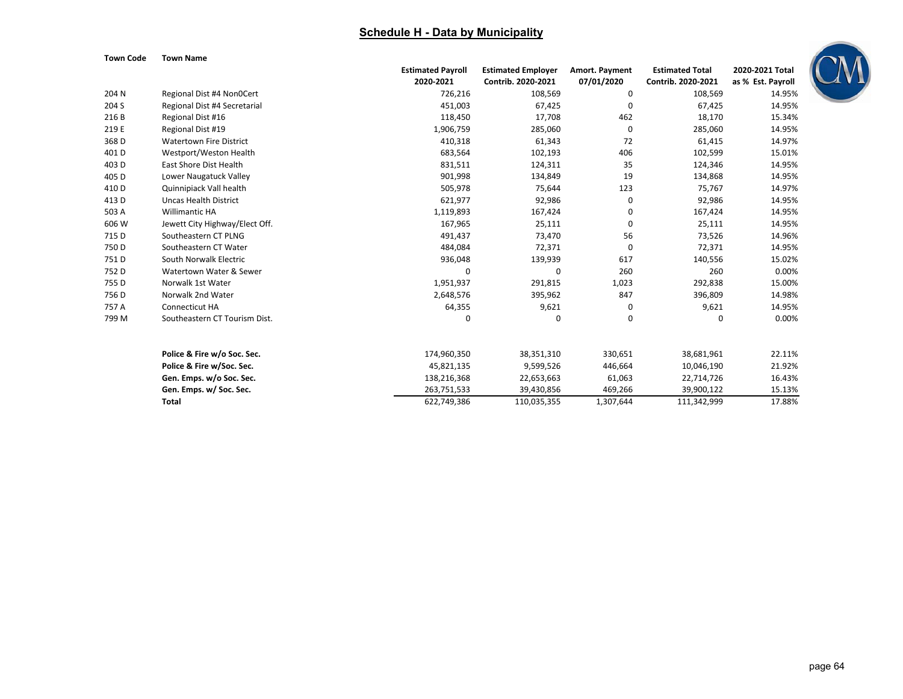

| Town Code |  | <b>Town Name</b> |
|-----------|--|------------------|
|           |  |                  |

|                  |                                | <b>Estimated Payroll</b> | <b>Estimated Employer</b> | Amort. Payment | <b>Estimated Total</b> | 2020-2021 Total   |
|------------------|--------------------------------|--------------------------|---------------------------|----------------|------------------------|-------------------|
|                  |                                | 2020-2021                | Contrib. 2020-2021        | 07/01/2020     | Contrib. 2020-2021     | as % Est. Payroll |
| 204 N            | Regional Dist #4 Non0Cert      | 726,216                  | 108,569                   | 0              | 108,569                | 14.95%            |
| 204 S            | Regional Dist #4 Secretarial   | 451,003                  | 67,425                    | 0              | 67,425                 | 14.95%            |
| 216B             | Regional Dist #16              | 118,450                  | 17,708                    | 462            | 18,170                 | 15.34%            |
| 219 E            | Regional Dist #19              | 1,906,759                | 285,060                   | 0              | 285,060                | 14.95%            |
| 368 D            | <b>Watertown Fire District</b> | 410,318                  | 61,343                    | 72             | 61,415                 | 14.97%            |
| 401 <sub>D</sub> | Westport/Weston Health         | 683,564                  | 102,193                   | 406            | 102,599                | 15.01%            |
| 403 D            | East Shore Dist Health         | 831,511                  | 124,311                   | 35             | 124,346                | 14.95%            |
| 405 D            | Lower Naugatuck Valley         | 901,998                  | 134,849                   | 19             | 134,868                | 14.95%            |
| 410 D            | Quinnipiack Vall health        | 505,978                  | 75,644                    | 123            | 75,767                 | 14.97%            |
| 413 D            | <b>Uncas Health District</b>   | 621,977                  | 92,986                    | 0              | 92,986                 | 14.95%            |
| 503 A            | <b>Willimantic HA</b>          | 1,119,893                | 167,424                   | 0              | 167,424                | 14.95%            |
| 606 W            | Jewett City Highway/Elect Off. | 167,965                  | 25,111                    | 0              | 25,111                 | 14.95%            |
| 715 D            | Southeastern CT PLNG           | 491,437                  | 73,470                    | 56             | 73,526                 | 14.96%            |
| 750 D            | Southeastern CT Water          | 484,084                  | 72,371                    | 0              | 72,371                 | 14.95%            |
| 751D             | South Norwalk Electric         | 936,048                  | 139,939                   | 617            | 140,556                | 15.02%            |
| 752D             | Watertown Water & Sewer        | $\mathbf 0$              | 0                         | 260            | 260                    | 0.00%             |
| 755 D            | Norwalk 1st Water              | 1,951,937                | 291,815                   | 1,023          | 292,838                | 15.00%            |
| 756 D            | Norwalk 2nd Water              | 2,648,576                | 395,962                   | 847            | 396,809                | 14.98%            |
| 757 A            | <b>Connecticut HA</b>          | 64,355                   | 9,621                     | 0              | 9,621                  | 14.95%            |
| 799 M            | Southeastern CT Tourism Dist.  | 0                        | 0                         | 0              | $\Omega$               | 0.00%             |
|                  | Police & Fire w/o Soc. Sec.    | 174,960,350              | 38,351,310                | 330,651        | 38,681,961             | 22.11%            |
|                  | Police & Fire w/Soc. Sec.      | 45,821,135               | 9,599,526                 | 446,664        | 10,046,190             | 21.92%            |
|                  | Gen. Emps. w/o Soc. Sec.       | 138,216,368              | 22,653,663                | 61,063         | 22,714,726             | 16.43%            |
|                  | Gen. Emps. w/ Soc. Sec.        | 263,751,533              | 39,430,856                | 469,266        | 39,900,122             | 15.13%            |
|                  | Total                          | 622,749,386              | 110,035,355               | 1,307,644      | 111,342,999            | 17.88%            |
|                  |                                |                          |                           |                |                        |                   |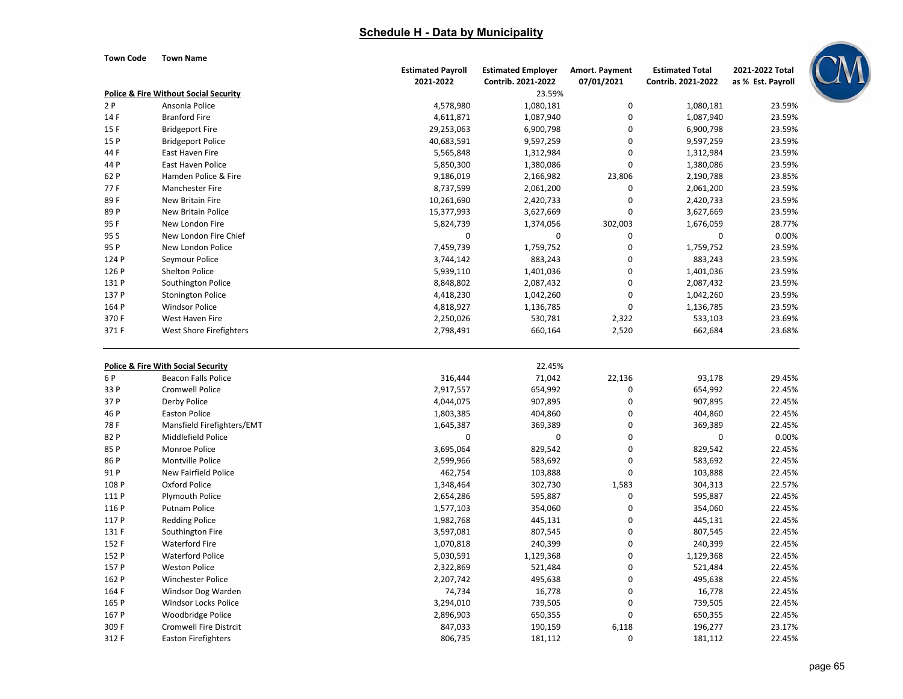**Town Code Town Name**

|       |                                                                             | <b>Estimated Payroll</b> | <b>Estimated Employer</b> | Amort. Payment   | <b>Estimated Total</b> | 2021-2022 Total   |  |
|-------|-----------------------------------------------------------------------------|--------------------------|---------------------------|------------------|------------------------|-------------------|--|
|       |                                                                             | 2021-2022                | Contrib. 2021-2022        | 07/01/2021       | Contrib. 2021-2022     | as % Est. Payroll |  |
|       | <b>Police &amp; Fire Without Social Security</b>                            |                          | 23.59%                    |                  |                        |                   |  |
| 2P    | Ansonia Police                                                              | 4,578,980                | 1,080,181                 | $\pmb{0}$        | 1,080,181              | 23.59%            |  |
| 14 F  | <b>Branford Fire</b>                                                        | 4,611,871                | 1,087,940                 | $\pmb{0}$        | 1,087,940              | 23.59%            |  |
| 15F   | <b>Bridgeport Fire</b>                                                      | 29,253,063               | 6,900,798                 | $\mathbf 0$      | 6,900,798              | 23.59%            |  |
| 15 P  | <b>Bridgeport Police</b>                                                    | 40,683,591               | 9,597,259                 | $\mathbf 0$      | 9,597,259              | 23.59%            |  |
| 44 F  | East Haven Fire                                                             | 5,565,848                | 1,312,984                 | $\mathbf 0$      | 1,312,984              | 23.59%            |  |
| 44 P  | <b>East Haven Police</b>                                                    | 5,850,300                | 1,380,086                 | $\mathbf 0$      | 1,380,086              | 23.59%            |  |
| 62 P  | Hamden Police & Fire                                                        | 9,186,019                | 2,166,982                 | 23,806           | 2,190,788              | 23.85%            |  |
| 77F   | Manchester Fire                                                             | 8,737,599                | 2,061,200                 | 0                | 2,061,200              | 23.59%            |  |
| 89F   | New Britain Fire                                                            | 10,261,690               | 2,420,733                 | $\boldsymbol{0}$ | 2,420,733              | 23.59%            |  |
| 89 P  | New Britain Police                                                          | 15,377,993               | 3,627,669                 | 0                | 3,627,669              | 23.59%            |  |
| 95F   | New London Fire                                                             | 5,824,739                | 1,374,056                 | 302,003          | 1,676,059              | 28.77%            |  |
| 95 S  | New London Fire Chief                                                       | $\mathbf 0$              | 0                         | 0                | 0                      | 0.00%             |  |
| 95 P  | New London Police                                                           | 7,459,739                | 1,759,752                 | 0                | 1,759,752              | 23.59%            |  |
| 124 P | Seymour Police                                                              | 3,744,142                | 883,243                   | 0                | 883,243                | 23.59%            |  |
| 126 P | <b>Shelton Police</b>                                                       | 5,939,110                | 1,401,036                 | $\mathbf 0$      | 1,401,036              | 23.59%            |  |
| 131 P | Southington Police                                                          | 8,848,802                | 2,087,432                 | $\boldsymbol{0}$ | 2,087,432              | 23.59%            |  |
| 137 P | <b>Stonington Police</b>                                                    | 4,418,230                | 1,042,260                 | $\pmb{0}$        | 1,042,260              | 23.59%            |  |
| 164 P | <b>Windsor Police</b>                                                       | 4,818,927                | 1,136,785                 | $\mathbf 0$      | 1,136,785              | 23.59%            |  |
| 370 F | West Haven Fire                                                             | 2,250,026                | 530,781                   | 2,322            | 533,103                | 23.69%            |  |
| 371 F | <b>West Shore Firefighters</b>                                              | 2,798,491                | 660,164                   | 2,520            | 662,684                | 23.68%            |  |
| 6P    | <b>Police &amp; Fire With Social Security</b><br><b>Beacon Falls Police</b> | 316,444                  | 22.45%<br>71,042          | 22,136           | 93,178                 | 29.45%            |  |
| 33 P  | <b>Cromwell Police</b>                                                      | 2,917,557                | 654,992                   | 0                | 654,992                | 22.45%            |  |
| 37 P  | Derby Police                                                                | 4,044,075                | 907,895                   | 0                | 907,895                | 22.45%            |  |
| 46 P  | <b>Easton Police</b>                                                        | 1,803,385                | 404,860                   | 0                | 404,860                | 22.45%            |  |
| 78 F  | Mansfield Firefighters/EMT                                                  | 1,645,387                | 369,389                   | $\mathbf 0$      | 369,389                | 22.45%            |  |
| 82 P  | Middlefield Police                                                          | 0                        | 0                         | 0                | 0                      | 0.00%             |  |
| 85 P  | Monroe Police                                                               | 3,695,064                | 829,542                   | $\boldsymbol{0}$ | 829,542                | 22.45%            |  |
| 86 P  | Montville Police                                                            | 2,599,966                | 583,692                   | $\mathbf 0$      | 583,692                | 22.45%            |  |
| 91 P  | New Fairfield Police                                                        | 462,754                  | 103,888                   | 0                | 103,888                | 22.45%            |  |
| 108 P | Oxford Police                                                               | 1,348,464                | 302,730                   | 1,583            | 304,313                | 22.57%            |  |
| 111 P | Plymouth Police                                                             | 2,654,286                | 595,887                   | 0                | 595,887                | 22.45%            |  |
| 116 P | <b>Putnam Police</b>                                                        | 1,577,103                | 354,060                   | 0                | 354,060                | 22.45%            |  |
| 117 P | <b>Redding Police</b>                                                       | 1,982,768                | 445,131                   | O                | 445,131                | 22.45%            |  |
| 131 F | Southington Fire                                                            | 3,597,081                | 807,545                   | $\mathbf 0$      | 807,545                | 22.45%            |  |
| 152 F | <b>Waterford Fire</b>                                                       | 1,070,818                | 240,399                   | 0                | 240,399                | 22.45%            |  |
| 152 P | <b>Waterford Police</b>                                                     | 5,030,591                | 1,129,368                 | $\mathbf 0$      | 1,129,368              | 22.45%            |  |
| 157 P | <b>Weston Police</b>                                                        | 2,322,869                | 521,484                   | 0                | 521,484                | 22.45%            |  |
| 162 P | <b>Winchester Police</b>                                                    | 2,207,742                | 495,638                   | 0                | 495,638                | 22.45%            |  |
| 164 F | Windsor Dog Warden                                                          | 74,734                   | 16,778                    | $\mathbf 0$      | 16,778                 | 22.45%            |  |
| 165 P | Windsor Locks Police                                                        | 3,294,010                | 739,505                   | $\pmb{0}$        | 739,505                | 22.45%            |  |
| 167 P | Woodbridge Police                                                           | 2,896,903                | 650,355                   | $\Omega$         | 650,355                | 22.45%            |  |
| 309 F | <b>Cromwell Fire Distrcit</b>                                               | 847,033                  | 190,159                   | 6,118            | 196,277                | 23.17%            |  |
| 312 F | <b>Easton Firefighters</b>                                                  | 806,735                  | 181,112                   | $\mathbf 0$      | 181,112                | 22.45%            |  |

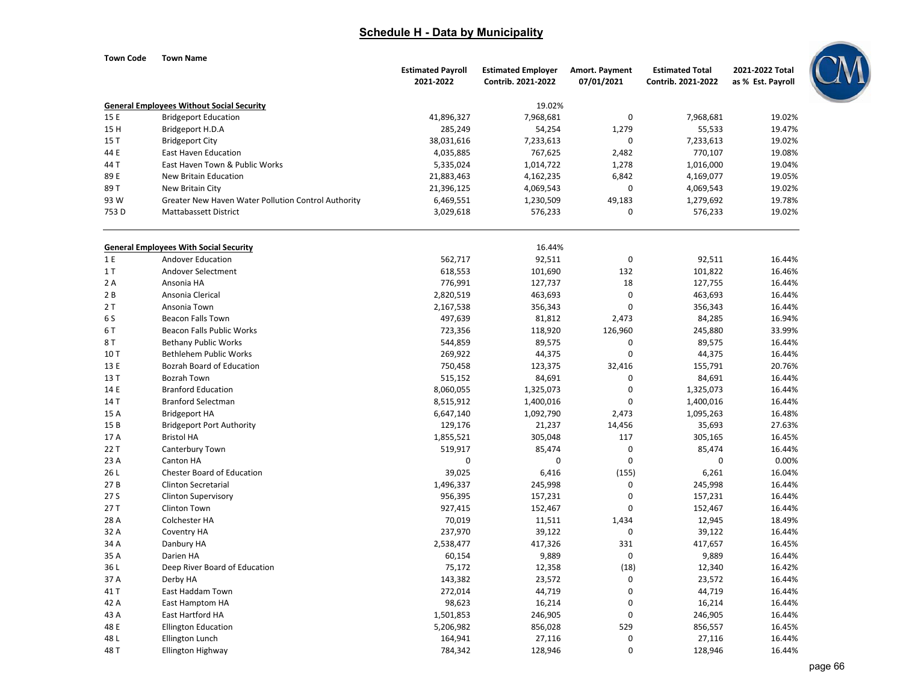| Town Code | <b>Town Name</b>                                    |                          |                           |                       |                        |                   |
|-----------|-----------------------------------------------------|--------------------------|---------------------------|-----------------------|------------------------|-------------------|
|           |                                                     | <b>Estimated Payroll</b> | <b>Estimated Employer</b> | <b>Amort. Payment</b> | <b>Estimated Total</b> | 2021-2022 Total   |
|           |                                                     | 2021-2022                | Contrib. 2021-2022        | 07/01/2021            | Contrib. 2021-2022     | as % Est. Payroll |
|           | <b>General Employees Without Social Security</b>    |                          | 19.02%                    |                       |                        |                   |
| 15 E      | <b>Bridgeport Education</b>                         | 41,896,327               | 7,968,681                 | 0                     | 7,968,681              | 19.02%            |
| 15 H      | Bridgeport H.D.A                                    | 285,249                  | 54,254                    | 1,279                 | 55,533                 | 19.47%            |
| 15 T      | <b>Bridgeport City</b>                              | 38,031,616               | 7,233,613                 | $\mathbf 0$           | 7,233,613              | 19.02%            |
| 44 E      | <b>East Haven Education</b>                         | 4,035,885                | 767,625                   | 2,482                 | 770,107                | 19.08%            |
| 44 T      | East Haven Town & Public Works                      | 5,335,024                | 1,014,722                 | 1,278                 | 1,016,000              | 19.04%            |
| 89 E      | New Britain Education                               | 21,883,463               | 4,162,235                 | 6,842                 | 4,169,077              | 19.05%            |
| 89 T      | New Britain City                                    | 21,396,125               | 4,069,543                 | $\mathbf 0$           | 4,069,543              | 19.02%            |
| 93 W      | Greater New Haven Water Pollution Control Authority | 6,469,551                | 1,230,509                 | 49,183                | 1,279,692              | 19.78%            |
| 753 D     | <b>Mattabassett District</b>                        | 3,029,618                | 576,233                   | $\mathbf 0$           | 576,233                | 19.02%            |
|           | <b>General Employees With Social Security</b>       |                          | 16.44%                    |                       |                        |                   |
| 1 E       | <b>Andover Education</b>                            | 562,717                  | 92,511                    | $\mathbf 0$           | 92,511                 | 16.44%            |
| 1T        | Andover Selectment                                  | 618,553                  | 101,690                   | 132                   | 101,822                | 16.46%            |
| 2A        | Ansonia HA                                          | 776,991                  | 127,737                   | 18                    | 127,755                | 16.44%            |
| 2B        | Ansonia Clerical                                    | 2,820,519                | 463,693                   | $\mathbf 0$           | 463,693                | 16.44%            |
| 2T        | Ansonia Town                                        | 2,167,538                | 356,343                   | $\Omega$              | 356,343                | 16.44%            |
| 6 S       | <b>Beacon Falls Town</b>                            | 497,639                  | 81,812                    | 2,473                 | 84,285                 | 16.94%            |
| 6T        | Beacon Falls Public Works                           | 723,356                  | 118,920                   | 126,960               | 245,880                | 33.99%            |
| 8 T       | <b>Bethany Public Works</b>                         | 544,859                  | 89,575                    | $\mathbf 0$           | 89,575                 | 16.44%            |
| 10T       | <b>Bethlehem Public Works</b>                       | 269,922                  | 44,375                    | $\mathbf 0$           | 44,375                 | 16.44%            |
| 13 E      | Bozrah Board of Education                           | 750,458                  | 123,375                   | 32,416                | 155,791                | 20.76%            |
| 13 T      | <b>Bozrah Town</b>                                  | 515,152                  | 84,691                    | $\mathbf 0$           | 84,691                 | 16.44%            |
| 14 E      | <b>Branford Education</b>                           | 8,060,055                | 1,325,073                 | $\mathbf 0$           | 1,325,073              | 16.44%            |
| 14 T      | <b>Branford Selectman</b>                           | 8,515,912                | 1,400,016                 | $\mathbf 0$           | 1,400,016              | 16.44%            |
| 15 A      | <b>Bridgeport HA</b>                                | 6,647,140                | 1,092,790                 | 2,473                 | 1,095,263              | 16.48%            |
| 15 B      | <b>Bridgeport Port Authority</b>                    | 129,176                  | 21,237                    | 14,456                | 35,693                 | 27.63%            |
| 17 A      | <b>Bristol HA</b>                                   | 1,855,521                | 305,048                   | 117                   | 305,165                | 16.45%            |
| 22 T      | Canterbury Town                                     | 519,917                  | 85,474                    | $\mathbf 0$           | 85,474                 | 16.44%            |
| 23 A      | Canton HA                                           | $\boldsymbol{0}$         | $\mathbf 0$               | $\mathbf 0$           | $\mathbf 0$            | 0.00%             |
| 26L       | Chester Board of Education                          | 39,025                   | 6,416                     | (155)                 | 6,261                  | 16.04%            |
| 27B       | Clinton Secretarial                                 | 1,496,337                | 245,998                   | $\mathbf 0$           | 245,998                | 16.44%            |
| 27 S      | Clinton Supervisory                                 | 956,395                  | 157,231                   | $\mathbf 0$           | 157,231                | 16.44%            |
| 27 T      | <b>Clinton Town</b>                                 | 927,415                  | 152,467                   | $\mathbf 0$           | 152,467                | 16.44%            |
| 28 A      | Colchester HA                                       | 70,019                   | 11,511                    | 1,434                 | 12,945                 | 18.49%            |
| 32 A      | Coventry HA                                         | 237,970                  | 39,122                    | $\mathbf 0$           | 39,122                 | 16.44%            |
| 34 A      | Danbury HA                                          | 2,538,477                | 417,326                   | 331                   | 417,657                | 16.45%            |
| 35 A      | Darien HA                                           | 60,154                   | 9,889                     | $\mathbf 0$           | 9,889                  | 16.44%            |
| 36 L      | Deep River Board of Education                       | 75,172                   | 12,358                    | (18)                  | 12,340                 | 16.42%            |
| 37 A      | Derby HA                                            | 143,382                  | 23,572                    | $\mathbf 0$           | 23,572                 | 16.44%            |
| 41 T      | East Haddam Town                                    | 272,014                  | 44,719                    | $\mathbf 0$           | 44,719                 | 16.44%            |
| 42 A      | East Hamptom HA                                     | 98,623                   | 16,214                    | $\mathbf 0$           | 16,214                 | 16.44%            |
| 43 A      | East Hartford HA                                    | 1,501,853                | 246,905                   | $\Omega$              | 246,905                | 16.44%            |

Ellington Education **Ellington Education** 5,206,982 529 529 856,028 529 856,557 529

Ellington Highway 128,946 16.44% 128,946 128,946 128,946 16.44%

L Ellington Lunch 164,941 27,116 0 27,116 16.44%

48

48

48

M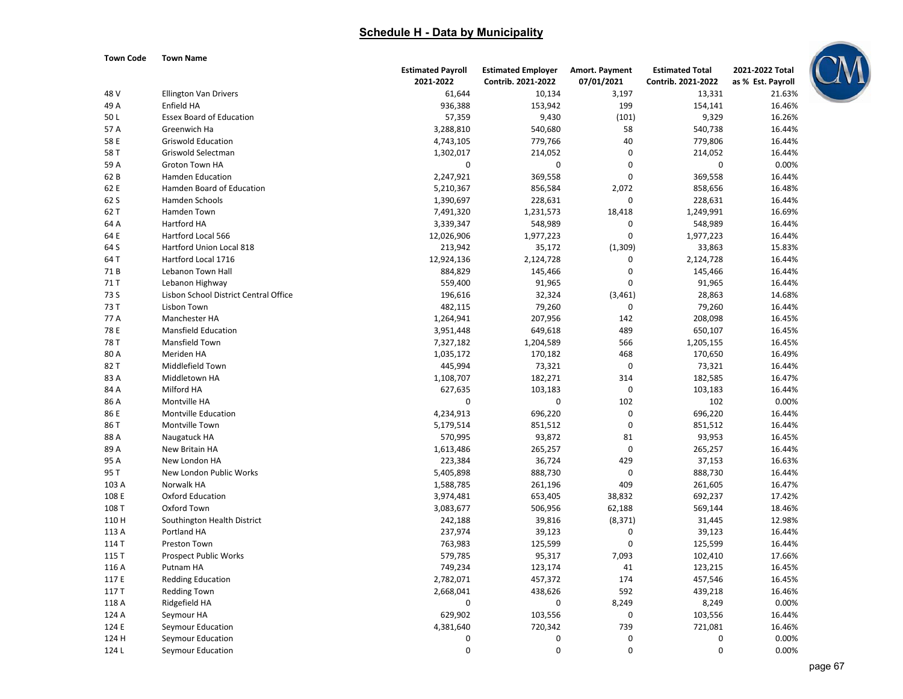

| Town Code |  | <b>Town Name</b> |
|-----------|--|------------------|
|           |  |                  |

|       |                                       | <b>Estimated Payroll</b> | <b>Estimated Employer</b> | Amort. Payment   | <b>Estimated Total</b> | 2021-2022 Total   |
|-------|---------------------------------------|--------------------------|---------------------------|------------------|------------------------|-------------------|
|       |                                       | 2021-2022                | Contrib. 2021-2022        | 07/01/2021       | Contrib. 2021-2022     | as % Est. Payroll |
| 48 V  | <b>Ellington Van Drivers</b>          | 61,644                   | 10,134                    | 3,197            | 13,331                 | 21.63%            |
| 49 A  | Enfield HA                            | 936,388                  | 153,942                   | 199              | 154,141                | 16.46%            |
| 50L   | <b>Essex Board of Education</b>       | 57,359                   | 9,430                     | (101)            | 9,329                  | 16.26%            |
| 57 A  | Greenwich Ha                          | 3,288,810                | 540,680                   | 58               | 540,738                | 16.44%            |
| 58 E  | <b>Griswold Education</b>             | 4,743,105                | 779,766                   | 40               | 779,806                | 16.44%            |
| 58 T  | Griswold Selectman                    | 1,302,017                | 214,052                   | $\mathbf 0$      | 214,052                | 16.44%            |
| 59 A  | Groton Town HA                        | 0                        | 0                         | $\mathbf 0$      | 0                      | 0.00%             |
| 62 B  | <b>Hamden Education</b>               | 2,247,921                | 369,558                   | $\mathbf 0$      | 369,558                | 16.44%            |
| 62 E  | Hamden Board of Education             | 5,210,367                | 856,584                   | 2,072            | 858,656                | 16.48%            |
| 62 S  | <b>Hamden Schools</b>                 | 1,390,697                | 228,631                   | $\mathbf 0$      | 228,631                | 16.44%            |
| 62 T  | Hamden Town                           | 7,491,320                | 1,231,573                 | 18,418           | 1,249,991              | 16.69%            |
| 64 A  | Hartford HA                           | 3,339,347                | 548,989                   | $\mathbf 0$      | 548,989                | 16.44%            |
| 64 E  | Hartford Local 566                    | 12,026,906               | 1,977,223                 | $\overline{0}$   | 1,977,223              | 16.44%            |
| 64 S  | Hartford Union Local 818              | 213,942                  | 35,172                    | (1, 309)         | 33,863                 | 15.83%            |
| 64 T  | Hartford Local 1716                   | 12,924,136               | 2,124,728                 | 0                | 2,124,728              | 16.44%            |
| 71B   | Lebanon Town Hall                     | 884,829                  | 145,466                   | 0                | 145,466                | 16.44%            |
| 71 T  | Lebanon Highway                       | 559,400                  | 91,965                    | 0                | 91,965                 | 16.44%            |
| 73 S  | Lisbon School District Central Office | 196,616                  | 32,324                    | (3, 461)         | 28,863                 | 14.68%            |
| 73 T  | Lisbon Town                           | 482,115                  | 79,260                    | $\mathbf 0$      | 79,260                 | 16.44%            |
| 77 A  | Manchester HA                         | 1,264,941                | 207,956                   | 142              | 208,098                | 16.45%            |
| 78 E  | <b>Mansfield Education</b>            | 3,951,448                | 649,618                   | 489              | 650,107                | 16.45%            |
| 78 T  | Mansfield Town                        | 7,327,182                | 1,204,589                 | 566              | 1,205,155              | 16.45%            |
| 80 A  | Meriden HA                            | 1,035,172                | 170,182                   | 468              | 170,650                | 16.49%            |
| 82 T  | Middlefield Town                      | 445,994                  | 73,321                    | $\mathbf 0$      | 73,321                 | 16.44%            |
| 83 A  | Middletown HA                         | 1,108,707                | 182,271                   | 314              | 182,585                | 16.47%            |
| 84 A  | Milford HA                            | 627,635                  | 103,183                   | $\pmb{0}$        | 103,183                | 16.44%            |
| 86 A  | Montville HA                          | $\mathbf 0$              | 0                         | 102              | 102                    | 0.00%             |
| 86 E  | Montville Education                   | 4,234,913                | 696,220                   | $\mathbf 0$      | 696,220                | 16.44%            |
| 86 T  | Montville Town                        | 5,179,514                | 851,512                   | $\mathbf 0$      | 851,512                | 16.44%            |
| 88 A  | Naugatuck HA                          | 570,995                  | 93,872                    | 81               | 93,953                 | 16.45%            |
| 89 A  | New Britain HA                        | 1,613,486                | 265,257                   | $\mathbf 0$      | 265,257                | 16.44%            |
| 95 A  | New London HA                         | 223,384                  | 36,724                    | 429              | 37,153                 | 16.63%            |
| 95 T  | New London Public Works               | 5,405,898                | 888,730                   | $\mathbf 0$      | 888,730                | 16.44%            |
| 103 A | Norwalk HA                            | 1,588,785                | 261,196                   | 409              | 261,605                | 16.47%            |
| 108 E | <b>Oxford Education</b>               | 3,974,481                | 653,405                   | 38,832           | 692,237                | 17.42%            |
| 108 T | Oxford Town                           | 3,083,677                | 506,956                   | 62,188           | 569,144                | 18.46%            |
| 110 H | Southington Health District           | 242,188                  | 39,816                    | (8, 371)         | 31,445                 | 12.98%            |
| 113 A | Portland HA                           | 237,974                  | 39,123                    | 0                | 39,123                 | 16.44%            |
| 114 T | Preston Town                          | 763,983                  | 125,599                   | $\boldsymbol{0}$ | 125,599                | 16.44%            |
| 115 T | <b>Prospect Public Works</b>          | 579,785                  | 95,317                    | 7,093            | 102,410                | 17.66%            |
|       | Putnam HA                             |                          | 123,174                   | 41               |                        | 16.45%            |
| 116 A |                                       | 749,234                  |                           | 174              | 123,215                |                   |
| 117 E | <b>Redding Education</b>              | 2,782,071                | 457,372                   |                  | 457,546                | 16.45%            |
| 117 T | <b>Redding Town</b>                   | 2,668,041                | 438,626                   | 592              | 439,218                | 16.46%            |
| 118 A | Ridgefield HA                         | $\mathbf 0$              | 0                         | 8,249            | 8,249                  | 0.00%             |
| 124 A | Seymour HA                            | 629,902                  | 103,556                   | 0                | 103,556                | 16.44%            |
| 124 E | Seymour Education                     | 4,381,640                | 720,342                   | 739              | 721,081                | 16.46%            |
| 124 H | Seymour Education                     | 0                        | $\mathbf 0$               | 0                | 0                      | 0.00%             |
| 124 L | Seymour Education                     | $\mathbf 0$              | $\Omega$                  | $\Omega$         | $\Omega$               | 0.00%             |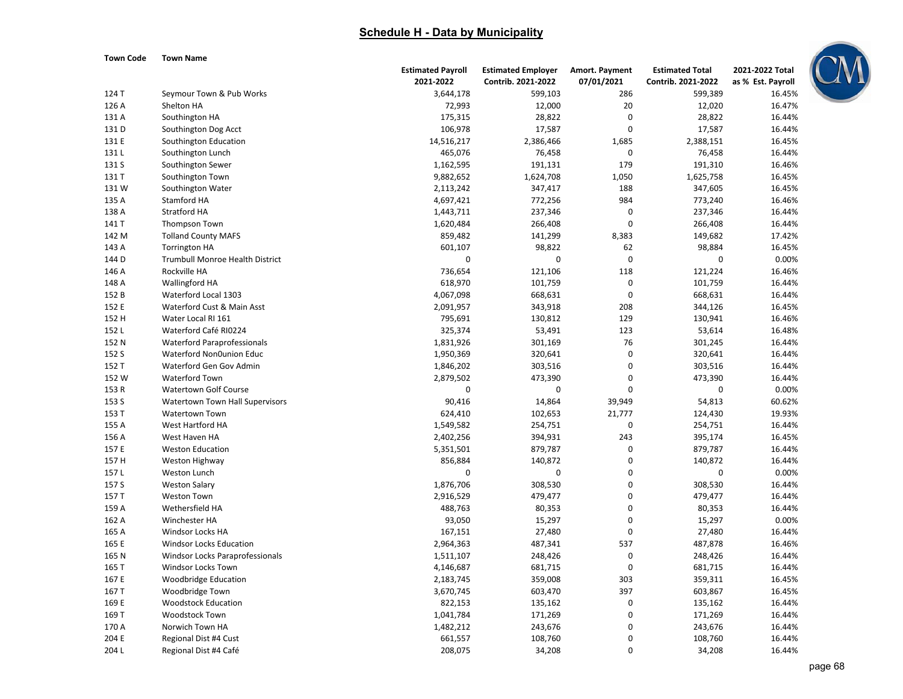#### **Town Code Town Name**

|                |                                    | <b>Estimated Payroll</b> | <b>Estimated Employer</b> | Amort. Payment   | <b>Estimated Total</b> | 2021-2022 Total   |  |
|----------------|------------------------------------|--------------------------|---------------------------|------------------|------------------------|-------------------|--|
|                |                                    | 2021-2022                | Contrib. 2021-2022        | 07/01/2021       | Contrib. 2021-2022     | as % Est. Payroll |  |
| 124 T          | Seymour Town & Pub Works           | 3,644,178                | 599,103                   | 286              | 599,389                | 16.45%            |  |
| 126 A          | Shelton HA                         | 72,993                   | 12,000                    | 20               | 12,020                 | 16.47%            |  |
| 131 A          | Southington HA                     | 175,315                  | 28,822                    | $\mathbf 0$      | 28,822                 | 16.44%            |  |
| 131 D          | Southington Dog Acct               | 106,978                  | 17,587                    | $\mathbf 0$      | 17,587                 | 16.44%            |  |
| 131 E          | Southington Education              | 14,516,217               | 2,386,466                 | 1,685            | 2,388,151              | 16.45%            |  |
| 131L           | Southington Lunch                  | 465,076                  | 76,458                    | $\mathbf 0$      | 76,458                 | 16.44%            |  |
| 131 S          | Southington Sewer                  | 1,162,595                | 191,131                   | 179              | 191,310                | 16.46%            |  |
| 131 T          | Southington Town                   | 9,882,652                | 1,624,708                 | 1,050            | 1,625,758              | 16.45%            |  |
| 131W           | Southington Water                  | 2,113,242                | 347,417                   | 188              | 347,605                | 16.45%            |  |
| 135 A          | Stamford HA                        | 4,697,421                | 772,256                   | 984              | 773,240                | 16.46%            |  |
| 138 A          | <b>Stratford HA</b>                | 1,443,711                | 237,346                   | $\pmb{0}$        | 237,346                | 16.44%            |  |
| 141 T          | Thompson Town                      | 1,620,484                | 266,408                   | $\mathbf 0$      | 266,408                | 16.44%            |  |
| 142 M          | <b>Tolland County MAFS</b>         | 859,482                  | 141,299                   | 8,383            | 149,682                | 17.42%            |  |
| 143 A          | <b>Torrington HA</b>               | 601,107                  | 98,822                    | 62               | 98,884                 | 16.45%            |  |
| 144 D          | Trumbull Monroe Health District    | $\pmb{0}$                | $\boldsymbol{0}$          | $\mathbf 0$      | 0                      | 0.00%             |  |
| 146 A          | Rockville HA                       | 736,654                  | 121,106                   | 118              | 121,224                | 16.46%            |  |
| 148 A          | Wallingford HA                     | 618,970                  | 101,759                   | $\mathbf 0$      | 101,759                | 16.44%            |  |
| 152 B          | Waterford Local 1303               | 4,067,098                | 668,631                   | $\pmb{0}$        | 668,631                | 16.44%            |  |
| 152 E          | Waterford Cust & Main Asst         | 2,091,957                | 343,918                   | 208              | 344,126                | 16.45%            |  |
| 152 H          | Water Local RI 161                 | 795,691                  | 130,812                   | 129              | 130,941                | 16.46%            |  |
| 152L           | Waterford Café RI0224              | 325,374                  | 53,491                    | 123              | 53,614                 | 16.48%            |  |
| 152 N          | <b>Waterford Paraprofessionals</b> | 1,831,926                | 301,169                   | 76               | 301,245                | 16.44%            |  |
| 152 S          | Waterford Non0union Educ           | 1,950,369                | 320,641                   | $\mathbf 0$      | 320,641                | 16.44%            |  |
| 152 T          | Waterford Gen Gov Admin            | 1,846,202                | 303,516                   | $\mathbf 0$      | 303,516                | 16.44%            |  |
| 152 W          | Waterford Town                     | 2,879,502                | 473,390                   | $\mathbf 0$      | 473,390                | 16.44%            |  |
| 153 R          | <b>Watertown Golf Course</b>       | $\boldsymbol{0}$         | 0                         | $\mathbf 0$      | 0                      | 0.00%             |  |
| 153 S          | Watertown Town Hall Supervisors    | 90,416                   | 14,864                    | 39,949           | 54,813                 | 60.62%            |  |
| 153 T          | <b>Watertown Town</b>              | 624,410                  | 102,653                   | 21,777           | 124,430                | 19.93%            |  |
| 155 A          | West Hartford HA                   | 1,549,582                | 254,751                   | $\mathbf 0$      | 254,751                | 16.44%            |  |
| 156 A          | West Haven HA                      | 2,402,256                | 394,931                   | 243              | 395,174                | 16.45%            |  |
| 157 E          | <b>Weston Education</b>            | 5,351,501                | 879,787                   | 0                | 879,787                | 16.44%            |  |
| 157 H          | Weston Highway                     | 856,884                  | 140,872                   | $\boldsymbol{0}$ | 140,872                | 16.44%            |  |
| 157L           | Weston Lunch                       | $\mathbf 0$              | 0                         | 0                | 0                      | 0.00%             |  |
| 157 S          | <b>Weston Salary</b>               | 1,876,706                | 308,530                   | $\boldsymbol{0}$ | 308,530                | 16.44%            |  |
| 157 T          | <b>Weston Town</b>                 | 2,916,529                | 479,477                   | $\mathbf 0$      | 479,477                | 16.44%            |  |
|                |                                    |                          |                           | $\mathbf 0$      |                        |                   |  |
| 159 A<br>162 A | Wethersfield HA<br>Winchester HA   | 488,763<br>93,050        | 80,353<br>15,297          | $\mathbf 0$      | 80,353                 | 16.44%<br>0.00%   |  |
|                |                                    |                          |                           |                  | 15,297                 |                   |  |
| 165 A          | Windsor Locks HA                   | 167,151                  | 27,480                    | $\mathbf 0$      | 27,480                 | 16.44%            |  |
| 165 E          | Windsor Locks Education            | 2,964,363                | 487,341                   | 537              | 487,878                | 16.46%            |  |
| 165 N          | Windsor Locks Paraprofessionals    | 1,511,107                | 248,426                   | $\mathbf 0$      | 248,426                | 16.44%            |  |
| 165 T          | Windsor Locks Town                 | 4,146,687                | 681,715                   | $\mathbf 0$      | 681,715                | 16.44%            |  |
| 167 E          | Woodbridge Education               | 2,183,745                | 359,008                   | 303              | 359,311                | 16.45%            |  |
| 167 T          | Woodbridge Town                    | 3,670,745                | 603,470                   | 397              | 603,867                | 16.45%            |  |
| 169 E          | <b>Woodstock Education</b>         | 822,153                  | 135,162                   | $\pmb{0}$        | 135,162                | 16.44%            |  |
| 169 T          | <b>Woodstock Town</b>              | 1,041,784                | 171,269                   | $\mathbf 0$      | 171,269                | 16.44%            |  |
| 170 A          | Norwich Town HA                    | 1,482,212                | 243,676                   | $\pmb{0}$        | 243,676                | 16.44%            |  |
| 204 E          | Regional Dist #4 Cust              | 661,557                  | 108,760                   | $\mathbf 0$      | 108,760                | 16.44%            |  |
| 204L           | Regional Dist #4 Café              | 208,075                  | 34,208                    | $\mathbf 0$      | 34,208                 | 16.44%            |  |

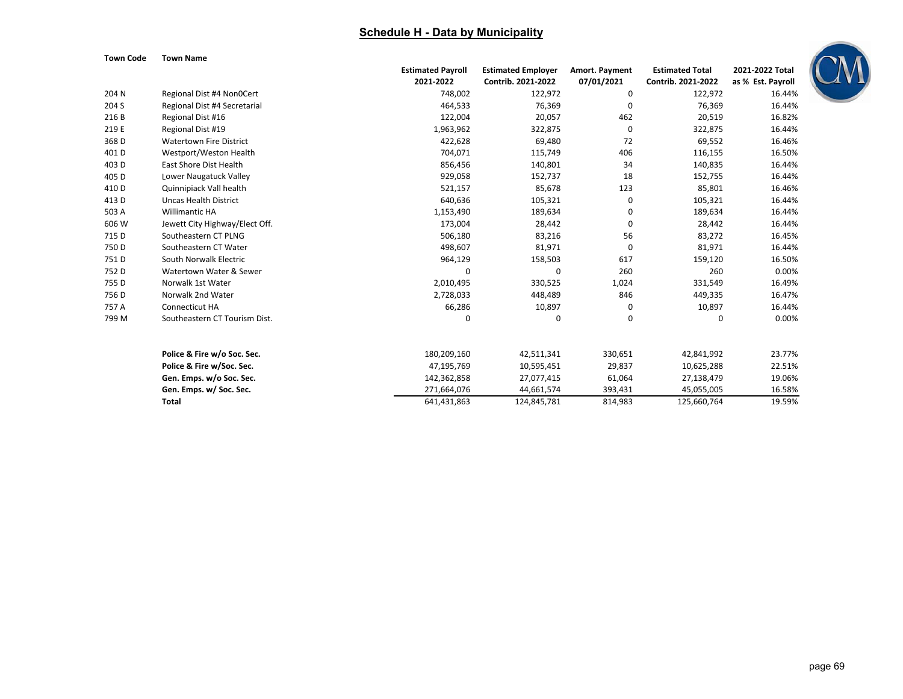

| Town Code |  | <b>Town Name</b> |
|-----------|--|------------------|
|           |  |                  |

|       |                                | <b>Estimated Payroll</b> | <b>Estimated Employer</b> | <b>Amort. Payment</b> | <b>Estimated Total</b> | 2021-2022 Total   |
|-------|--------------------------------|--------------------------|---------------------------|-----------------------|------------------------|-------------------|
|       |                                | 2021-2022                | Contrib. 2021-2022        | 07/01/2021            | Contrib. 2021-2022     | as % Est. Payroll |
| 204 N | Regional Dist #4 Non0Cert      | 748,002                  | 122,972                   | 0                     | 122,972                | 16.44%            |
| 204 S | Regional Dist #4 Secretarial   | 464,533                  | 76,369                    | 0                     | 76,369                 | 16.44%            |
| 216 B | Regional Dist #16              | 122,004                  | 20,057                    | 462                   | 20,519                 | 16.82%            |
| 219 E | Regional Dist #19              | 1,963,962                | 322,875                   | 0                     | 322,875                | 16.44%            |
| 368D  | <b>Watertown Fire District</b> | 422,628                  | 69,480                    | 72                    | 69,552                 | 16.46%            |
| 401D  | Westport/Weston Health         | 704,071                  | 115,749                   | 406                   | 116,155                | 16.50%            |
| 403D  | East Shore Dist Health         | 856,456                  | 140,801                   | 34                    | 140,835                | 16.44%            |
| 405 D | Lower Naugatuck Valley         | 929,058                  | 152,737                   | 18                    | 152,755                | 16.44%            |
| 410 D | Quinnipiack Vall health        | 521,157                  | 85,678                    | 123                   | 85,801                 | 16.46%            |
| 413 D | <b>Uncas Health District</b>   | 640,636                  | 105,321                   | 0                     | 105,321                | 16.44%            |
| 503 A | <b>Willimantic HA</b>          | 1,153,490                | 189,634                   | 0                     | 189,634                | 16.44%            |
| 606 W | Jewett City Highway/Elect Off. | 173,004                  | 28,442                    | 0                     | 28,442                 | 16.44%            |
| 715 D | Southeastern CT PLNG           | 506,180                  | 83,216                    | 56                    | 83,272                 | 16.45%            |
| 750 D | Southeastern CT Water          | 498,607                  | 81,971                    | 0                     | 81,971                 | 16.44%            |
| 751 D | South Norwalk Electric         | 964,129                  | 158,503                   | 617                   | 159,120                | 16.50%            |
| 752 D | Watertown Water & Sewer        | $\Omega$                 | $\mathbf 0$               | 260                   | 260                    | 0.00%             |
| 755 D | Norwalk 1st Water              | 2,010,495                | 330,525                   | 1,024                 | 331,549                | 16.49%            |
| 756 D | Norwalk 2nd Water              | 2,728,033                | 448,489                   | 846                   | 449,335                | 16.47%            |
| 757 A | Connecticut HA                 | 66,286                   | 10,897                    | 0                     | 10,897                 | 16.44%            |
| 799 M | Southeastern CT Tourism Dist.  | 0                        | 0                         | 0                     | 0                      | 0.00%             |
|       | Police & Fire w/o Soc. Sec.    | 180,209,160              | 42,511,341                | 330,651               | 42,841,992             | 23.77%            |
|       | Police & Fire w/Soc. Sec.      | 47,195,769               | 10,595,451                | 29,837                | 10,625,288             | 22.51%            |
|       | Gen. Emps. w/o Soc. Sec.       | 142,362,858              | 27,077,415                | 61,064                | 27,138,479             | 19.06%            |
|       | Gen. Emps. w/ Soc. Sec.        | 271,664,076              | 44,661,574                | 393,431               | 45,055,005             | 16.58%            |
|       | <b>Total</b>                   | 641,431,863              | 124,845,781               | 814,983               | 125,660,764            | 19.59%            |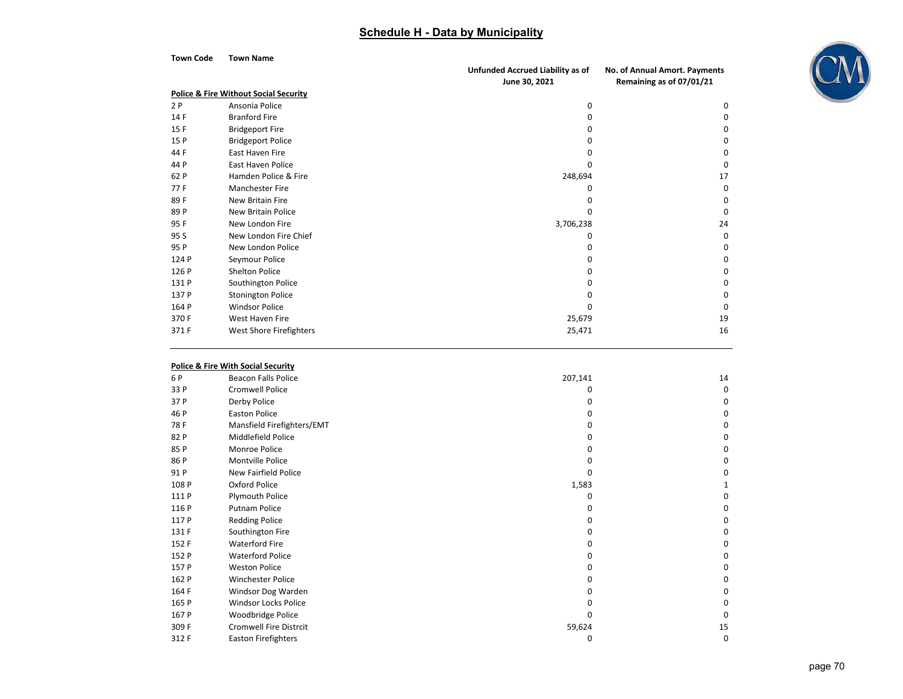| <b>Town Code</b> | <b>Town Name</b>                                 |                                  |                               |
|------------------|--------------------------------------------------|----------------------------------|-------------------------------|
|                  |                                                  | Unfunded Accrued Liability as of | No. of Annual Amort. Payments |
|                  |                                                  | June 30, 2021                    | Remaining as of 07/01/21      |
|                  | <b>Police &amp; Fire Without Social Security</b> |                                  |                               |
| 2P               | Ansonia Police                                   | $\Omega$                         | $\Omega$                      |
| 14F              | <b>Branford Fire</b>                             | O                                | $\Omega$                      |
| 15F              | <b>Bridgeport Fire</b>                           | O                                | $\Omega$                      |
| 15 P             | <b>Bridgeport Police</b>                         |                                  | 0                             |
| 44 F             | East Haven Fire                                  | o                                | 0                             |
| 44 P             | <b>East Haven Police</b>                         | O                                | $\Omega$                      |
| 62 P             | Hamden Police & Fire                             | 248,694                          | 17                            |
| 77 F             | Manchester Fire                                  | $\Omega$                         | $\Omega$                      |
| 89F              | New Britain Fire                                 |                                  | $\Omega$                      |
| 89 P             | <b>New Britain Police</b>                        | O                                | $\Omega$                      |
| 95 F             | New London Fire                                  | 3,706,238                        | 24                            |
| 95 S             | New London Fire Chief                            | O                                | $\Omega$                      |
| 95 P             | New London Police                                | O                                | $\Omega$                      |
| 124 P            | Seymour Police                                   | O                                | 0                             |
| 126 P            | <b>Shelton Police</b>                            |                                  | 0                             |
| 131 P            | Southington Police                               |                                  | 0                             |
| 137 P            | <b>Stonington Police</b>                         |                                  | U                             |
| 164 P            | <b>Windsor Police</b>                            | $\Omega$                         | $\Omega$                      |
| 370 F            | West Haven Fire                                  | 25,679                           | 19                            |
| 371F             | West Shore Firefighters                          | 25,471                           | 16                            |

#### **Police & Fire With Social Security**

| 6 P   | <b>Beacon Falls Police</b>    | 207,141 | 14 |
|-------|-------------------------------|---------|----|
| 33 P  | <b>Cromwell Police</b>        | o       | 0  |
| 37 P  | Derby Police                  |         | 0  |
| 46 P  | <b>Easton Police</b>          | o       | 0  |
| 78F   | Mansfield Firefighters/EMT    |         | 0  |
| 82 P  | Middlefield Police            |         | 0  |
| 85 P  | Monroe Police                 | o       | 0  |
| 86 P  | Montville Police              | n       | 0  |
| 91 P  | New Fairfield Police          | o       | 0  |
| 108 P | <b>Oxford Police</b>          | 1,583   |    |
| 111 P | Plymouth Police               | o       | 0  |
| 116 P | <b>Putnam Police</b>          |         | 0  |
| 117 P | <b>Redding Police</b>         |         | 0  |
| 131 F | Southington Fire              |         | 0  |
| 152 F | <b>Waterford Fire</b>         | o       | 0  |
| 152 P | <b>Waterford Police</b>       |         | 0  |
| 157 P | <b>Weston Police</b>          |         | 0  |
| 162 P | <b>Winchester Police</b>      | o       | 0  |
| 164 F | Windsor Dog Warden            |         | 0  |
| 165 P | Windsor Locks Police          |         | 0  |
| 167 P | Woodbridge Police             | n       | O  |
| 309 F | <b>Cromwell Fire Distrcit</b> | 59,624  | 15 |
| 312 F | <b>Easton Firefighters</b>    | 0       | 0  |

 $AV$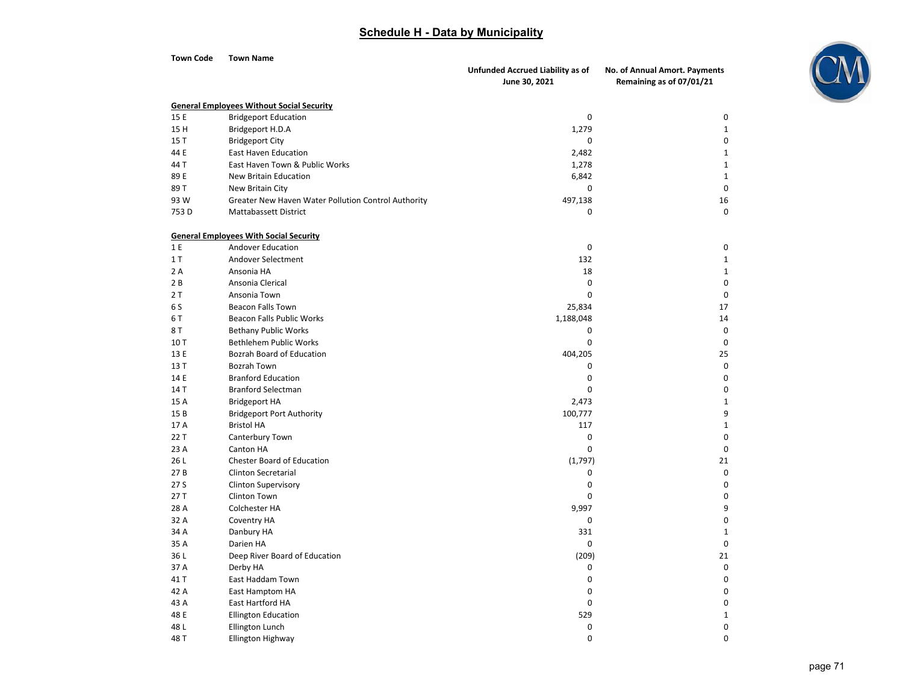| <b>Town Code</b> | <b>Town Name</b>                                       |                                                   |                                                           |
|------------------|--------------------------------------------------------|---------------------------------------------------|-----------------------------------------------------------|
|                  |                                                        | Unfunded Accrued Liability as of<br>June 30, 2021 | No. of Annual Amort. Payments<br>Remaining as of 07/01/21 |
|                  |                                                        |                                                   |                                                           |
|                  | <b>General Employees Without Social Security</b>       |                                                   |                                                           |
| 15 E             | <b>Bridgeport Education</b>                            | $\mathbf 0$                                       | $\mathbf 0$                                               |
| 15 H             | Bridgeport H.D.A                                       | 1,279                                             | $\mathbf{1}$<br>$\mathbf 0$                               |
| 15T              | <b>Bridgeport City</b>                                 | 0                                                 | $\mathbf{1}$                                              |
| 44 E<br>44 T     | East Haven Education<br>East Haven Town & Public Works | 2,482                                             | $1\,$                                                     |
| 89 E             | New Britain Education                                  | 1,278<br>6,842                                    | $\mathbf{1}$                                              |
| 89T              | New Britain City                                       | $\pmb{0}$                                         | $\mathbf 0$                                               |
| 93W              | Greater New Haven Water Pollution Control Authority    | 497,138                                           | 16                                                        |
| 753D             | Mattabassett District                                  | 0                                                 | $\mathbf 0$                                               |
|                  |                                                        |                                                   |                                                           |
|                  | <b>General Employees With Social Security</b>          |                                                   |                                                           |
| 1 E              | Andover Education                                      | $\pmb{0}$                                         | $\mathbf 0$                                               |
| 1T               | Andover Selectment                                     | 132                                               | $\mathbf{1}$                                              |
| 2 A              | Ansonia HA                                             | 18                                                | $1\,$                                                     |
| 2B               | Ansonia Clerical                                       | $\mathbf 0$                                       | $\mathbf 0$                                               |
| 2T               | Ansonia Town                                           | 0                                                 | $\mathbf 0$                                               |
| 6 S              | <b>Beacon Falls Town</b>                               | 25,834                                            | 17                                                        |
| 6 T              | Beacon Falls Public Works                              | 1,188,048                                         | 14                                                        |
| 8 T              | <b>Bethany Public Works</b>                            | 0                                                 | $\mathbf 0$                                               |
| 10T              | <b>Bethlehem Public Works</b>                          | 0                                                 | $\mathbf 0$                                               |
| 13 E             | Bozrah Board of Education                              | 404,205                                           | 25                                                        |
| 13 T             | Bozrah Town                                            | 0                                                 | $\mathbf 0$                                               |
| 14 E             | <b>Branford Education</b>                              | $\pmb{0}$                                         | $\Omega$                                                  |
| 14 T             | <b>Branford Selectman</b>                              | 0                                                 | $\Omega$                                                  |
| 15 A             | <b>Bridgeport HA</b>                                   | 2,473                                             | $\mathbf 1$                                               |
| 15B              | <b>Bridgeport Port Authority</b>                       | 100,777                                           | 9                                                         |
| 17 A             | <b>Bristol HA</b>                                      | 117                                               | $\mathbf{1}$                                              |
| 22 T             | Canterbury Town                                        | 0                                                 | $\Omega$                                                  |
| 23 A             | Canton HA                                              | $\Omega$                                          | $\Omega$                                                  |
| 26L              | <b>Chester Board of Education</b>                      | (1,797)                                           | 21                                                        |
| 27B              | <b>Clinton Secretarial</b>                             | 0                                                 | $\mathbf 0$                                               |
| 27 S             | <b>Clinton Supervisory</b>                             | 0                                                 | $\mathbf 0$                                               |
| 27T              | <b>Clinton Town</b>                                    | $\Omega$                                          | $\Omega$                                                  |
| 28 A             | Colchester HA                                          | 9,997                                             | 9                                                         |
| 32 A             | Coventry HA                                            | $\mathbf 0$                                       | 0                                                         |
| 34 A             | Danbury HA                                             | 331                                               | $\mathbf{1}$                                              |
| 35 A             | Darien HA                                              | $\mathbf 0$                                       | $\mathbf 0$                                               |
| 36L              | Deep River Board of Education                          | (209)                                             | 21                                                        |
| 37 A             | Derby HA                                               | $\mathbf 0$                                       | $\mathbf 0$                                               |
| 41 T             | East Haddam Town                                       | 0                                                 | 0<br>$\mathbf 0$                                          |
| 42 A             | East Hamptom HA                                        | $\mathbf 0$                                       |                                                           |
| 43 A             | East Hartford HA                                       | $\mathbf 0$                                       | $\mathbf 0$                                               |
| 48 E<br>48 L     | <b>Ellington Education</b>                             | 529<br>$\pmb{0}$                                  | $\mathbf{1}$<br>0                                         |
|                  | <b>Ellington Lunch</b>                                 | 0                                                 | 0                                                         |
| 48 T             | Ellington Highway                                      |                                                   |                                                           |

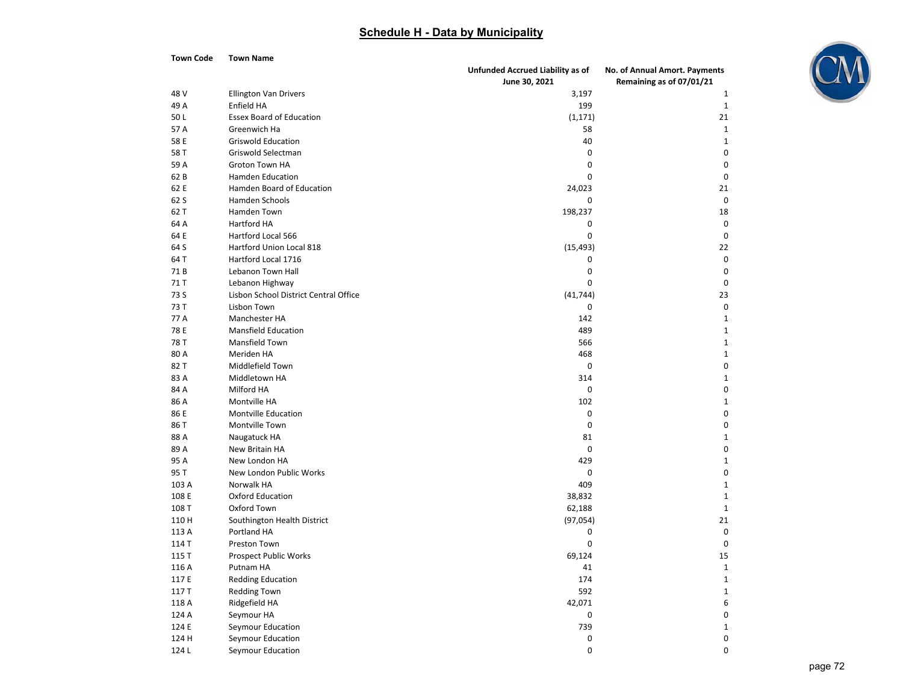**Town Code Town Name**



|       |                                       | Unfunded Accrued Liability as of | No. of Annual Amort. Payments |
|-------|---------------------------------------|----------------------------------|-------------------------------|
|       |                                       | June 30, 2021                    | Remaining as of 07/01/21      |
| 48 V  | <b>Ellington Van Drivers</b>          | 3,197                            | 1                             |
| 49 A  | Enfield HA                            | 199                              | $\mathbf{1}$                  |
| 50L   | <b>Essex Board of Education</b>       | (1, 171)                         | 21                            |
| 57 A  | Greenwich Ha                          | 58                               | $\mathbf 1$                   |
| 58 E  | <b>Griswold Education</b>             | 40                               | $\mathbf{1}$                  |
| 58 T  | Griswold Selectman                    | 0                                | $\boldsymbol{0}$              |
| 59 A  | <b>Groton Town HA</b>                 | $\mathbf 0$                      | $\pmb{0}$                     |
| 62B   | <b>Hamden Education</b>               | 0                                | $\mathbf 0$                   |
| 62 E  | Hamden Board of Education             | 24,023                           | 21                            |
| 62 S  | Hamden Schools                        | 0                                | $\mathbf 0$                   |
| 62 T  | Hamden Town                           | 198,237                          | 18                            |
| 64 A  | Hartford HA                           | 0                                | $\mathbf 0$                   |
| 64 E  | Hartford Local 566                    | $\mathbf 0$                      | $\mathbf 0$                   |
| 64 S  | Hartford Union Local 818              | (15, 493)                        | 22                            |
| 64 T  | Hartford Local 1716                   | 0                                | $\boldsymbol{0}$              |
| 71B   | Lebanon Town Hall                     | 0                                | $\mathbf 0$                   |
| 71 T  | Lebanon Highway                       | 0                                | $\mathbf 0$                   |
| 73 S  | Lisbon School District Central Office | (41, 744)                        | 23                            |
| 73 T  | <b>Lisbon Town</b>                    | 0                                | $\mathbf 0$                   |
| 77 A  | Manchester HA                         | 142                              | $\mathbf 1$                   |
| 78 E  | <b>Mansfield Education</b>            | 489                              | $\mathbf{1}$                  |
| 78 T  | Mansfield Town                        | 566                              | $\mathbf 1$                   |
| 80 A  | Meriden HA                            | 468                              | $1\,$                         |
| 82 T  | Middlefield Town                      | $\pmb{0}$                        | $\pmb{0}$                     |
| 83 A  | Middletown HA                         | 314                              | $\mathbf 1$                   |
| 84 A  | Milford HA                            | 0                                | $\pmb{0}$                     |
| 86 A  | Montville HA                          | 102                              | $\mathbf 1$                   |
| 86 E  | <b>Montville Education</b>            | 0                                | $\boldsymbol{0}$              |
| 86 T  | Montville Town                        | $\mathbf 0$                      | $\boldsymbol{0}$              |
| 88 A  | Naugatuck HA                          | 81                               | $\mathbf{1}$                  |
| 89 A  | New Britain HA                        | 0                                | $\pmb{0}$                     |
| 95 A  | New London HA                         | 429                              | $1\,$                         |
| 95 T  | New London Public Works               | 0                                | $\pmb{0}$                     |
| 103 A | Norwalk HA                            | 409                              | $\mathbf{1}$                  |
| 108 E | <b>Oxford Education</b>               | 38,832                           | $\mathbf 1$                   |
| 108 T | Oxford Town                           | 62,188                           | $\mathbf 1$                   |
| 110 H | Southington Health District           | (97, 054)                        | 21                            |
| 113 A | Portland HA                           | 0                                | $\mathbf 0$                   |
| 114 T | Preston Town                          | 0                                | $\pmb{0}$                     |
| 115T  | <b>Prospect Public Works</b>          | 69,124                           | 15                            |
| 116 A | Putnam HA                             | 41                               | $\mathbf 1$                   |
| 117 E | <b>Redding Education</b>              | 174                              | $\mathbf 1$                   |
| 117T  | <b>Redding Town</b>                   | 592                              | $\mathbf{1}$                  |
| 118 A | Ridgefield HA                         | 42,071                           | 6                             |
| 124 A | Seymour HA                            | 0                                | $\pmb{0}$                     |
| 124 E | Seymour Education                     | 739                              | $\mathbf{1}$                  |
| 124 H | Seymour Education                     | 0                                | $\boldsymbol{0}$              |
| 124L  | Seymour Education                     | $\Omega$                         | 0                             |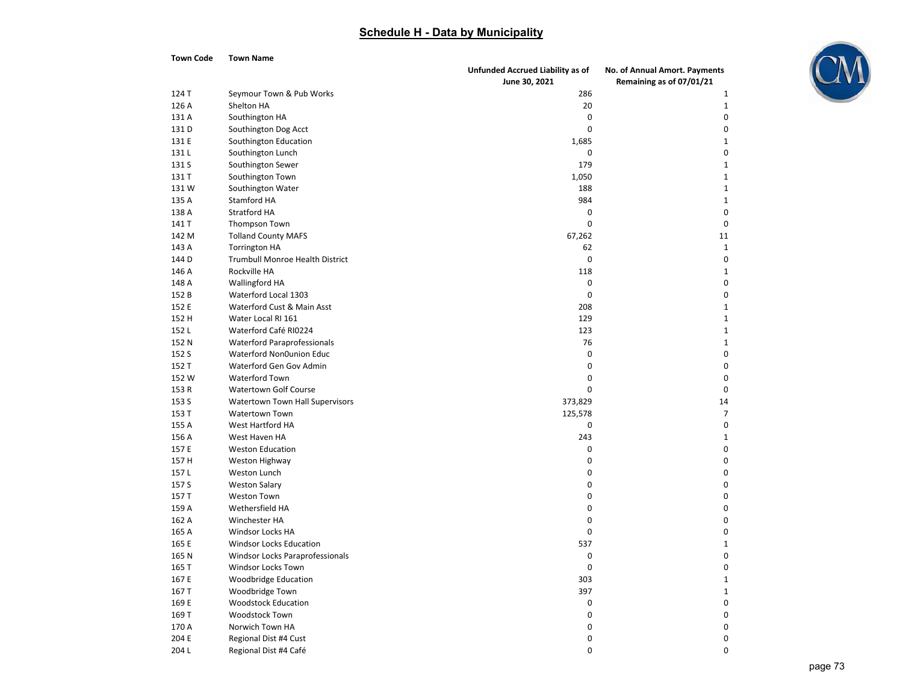**Town Code Town Name**

204



|       |                                 | Unfunded Accrued Liability as of | No. of Annual Amort. Payments |
|-------|---------------------------------|----------------------------------|-------------------------------|
|       |                                 | June 30, 2021                    | Remaining as of 07/01/21      |
| 124 T | Seymour Town & Pub Works        | 286                              | 1                             |
| 126 A | Shelton HA                      | 20                               | $\mathbf 1$                   |
| 131 A | Southington HA                  | 0                                | 0                             |
| 131 D | Southington Dog Acct            | $\mathbf 0$                      | $\mathbf 0$                   |
| 131 E | Southington Education           | 1,685                            | 1                             |
| 131L  | Southington Lunch               | 0                                | $\mathbf 0$                   |
| 131 S | Southington Sewer               | 179                              | $\mathbf{1}$                  |
| 131 T | Southington Town                | 1,050                            | $\mathbf{1}$                  |
| 131W  | Southington Water               | 188                              | $\mathbf{1}$                  |
| 135 A | Stamford HA                     | 984                              | $\mathbf{1}$                  |
| 138 A | <b>Stratford HA</b>             | 0                                | $\mathbf 0$                   |
| 141 T | Thompson Town                   | 0                                | $\mathbf 0$                   |
| 142 M | <b>Tolland County MAFS</b>      | 67,262                           | 11                            |
| 143 A | <b>Torrington HA</b>            | 62                               | $1\,$                         |
| 144 D | Trumbull Monroe Health District | 0                                | $\mathbf 0$                   |
| 146 A | Rockville HA                    | 118                              | $\mathbf 1$                   |
| 148 A | Wallingford HA                  | 0                                | $\Omega$                      |
| 152 B | Waterford Local 1303            | 0                                | 0                             |
| 152 E | Waterford Cust & Main Asst      | 208                              | $\mathbf{1}$                  |
| 152 H | Water Local RI 161              | 129                              | $\mathbf{1}$                  |
| 152 L | Waterford Café RI0224           | 123                              | $\mathbf{1}$                  |
| 152 N | Waterford Paraprofessionals     | 76                               | $\mathbf{1}$                  |
| 152 S | Waterford Non0union Educ        | 0                                | $\mathbf 0$                   |
| 152 T | Waterford Gen Gov Admin         | 0                                | $\mathbf 0$                   |
| 152 W | Waterford Town                  | 0                                | $\mathbf 0$                   |
| 153 R | <b>Watertown Golf Course</b>    | 0                                | $\mathbf 0$                   |
| 153 S | Watertown Town Hall Supervisors | 373,829                          | 14                            |
| 153 T | <b>Watertown Town</b>           | 125,578                          | 7                             |
| 155 A | West Hartford HA                | 0                                | 0                             |
| 156 A | West Haven HA                   | 243                              | $\mathbf{1}$                  |
| 157 E | <b>Weston Education</b>         | 0                                | $\mathbf 0$                   |
| 157 H | Weston Highway                  | 0                                | $\Omega$                      |
| 157L  | Weston Lunch                    | 0                                | $\mathbf 0$                   |
| 157 S | <b>Weston Salary</b>            | 0                                | $\mathbf 0$                   |
| 157 T | <b>Weston Town</b>              | 0                                | $\mathbf 0$                   |
| 159 A | Wethersfield HA                 | 0                                | $\mathbf 0$                   |
| 162 A | Winchester HA                   | 0                                | $\mathbf 0$                   |
| 165 A | Windsor Locks HA                | 0                                | $\mathbf 0$                   |
| 165 E | <b>Windsor Locks Education</b>  | 537                              | $\mathbf{1}$                  |
| 165 N | Windsor Locks Paraprofessionals | 0                                | $\mathbf 0$                   |
| 165 T | Windsor Locks Town              | 0                                | $\mathbf 0$                   |
| 167 E | <b>Woodbridge Education</b>     | 303                              | $\mathbf{1}$                  |
| 167 T | Woodbridge Town                 | 397                              | $\mathbf{1}$                  |
| 169 E | <b>Woodstock Education</b>      | 0                                | $\mathbf 0$                   |
| 169 T | Woodstock Town                  | 0                                | $\Omega$                      |
| 170 A | Norwich Town HA                 | 0                                | $\mathbf 0$                   |
| 204 E | Regional Dist #4 Cust           | $\Omega$                         | $\Omega$                      |

L Regional Dist #4 Café 0 0